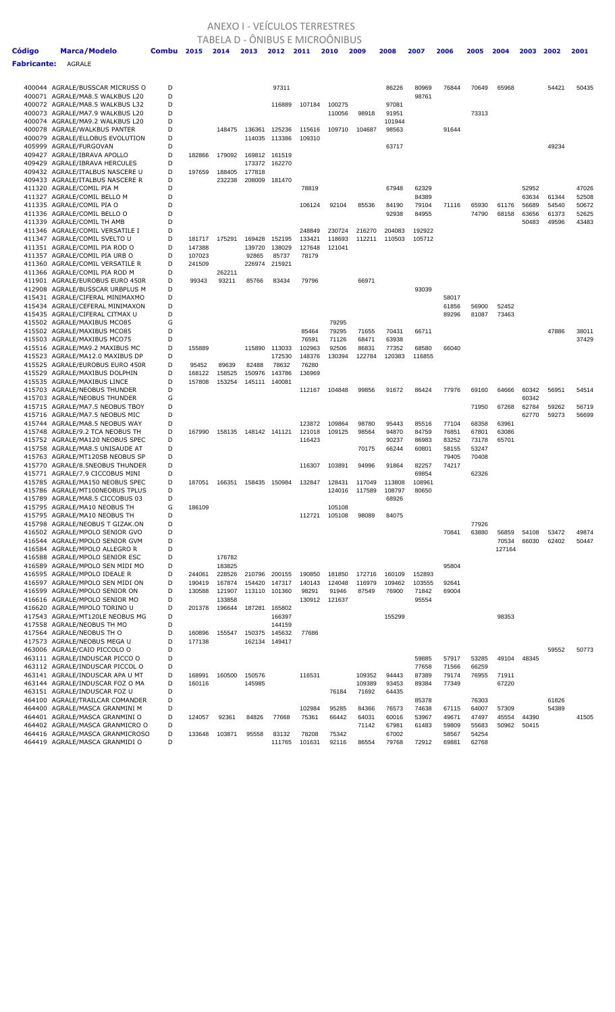## ANEXO I - VEÍCULOS TERRESTRES

|                    |                                                                    |        |                  | TABELA D - ÖNIBUS E MICROÖNIBUS |                  |                  |                  |                  |                         |                  |                  |                |                |                |                |       |                |
|--------------------|--------------------------------------------------------------------|--------|------------------|---------------------------------|------------------|------------------|------------------|------------------|-------------------------|------------------|------------------|----------------|----------------|----------------|----------------|-------|----------------|
| Código             | <b>Marca/Modelo</b>                                                | Combu  | 2015             | 2014                            | 2013             | 2012             | 2011             | 2010             | 2009                    | 2008             | 2007             | 2006           | 2005           | 2004           | 2003           | 2002  | 2001           |
| <b>Fabricante:</b> | AGRALE                                                             |        |                  |                                 |                  |                  |                  |                  |                         |                  |                  |                |                |                |                |       |                |
|                    |                                                                    |        |                  |                                 |                  |                  |                  |                  |                         |                  |                  |                |                |                |                |       |                |
|                    | 400044 AGRALE/BUSSCAR MICRUSS O                                    | D      |                  |                                 |                  | 97311            |                  |                  |                         | 86226            | 80969            | 76844          | 70649          | 65968          |                | 54421 | 50435          |
|                    | 400071 AGRALE/MA8.5 WALKBUS L20<br>400072 AGRALE/MA8.5 WALKBUS L32 | D<br>D |                  |                                 |                  | 116889           | 107184           | 100275           |                         | 97081            | 98761            |                |                |                |                |       |                |
|                    | 400073 AGRALE/MA7.9 WALKBUS L20                                    | D      |                  |                                 |                  |                  |                  | 110056           | 98918                   | 91951            |                  |                | 73313          |                |                |       |                |
|                    | 400074 AGRALE/MA9.2 WALKBUS L20                                    | D      |                  |                                 |                  |                  |                  |                  |                         | 101944           |                  |                |                |                |                |       |                |
|                    | 400078 AGRALE/WALKBUS PANTER                                       | D      |                  | 148475                          | 136361           | 125236           | 115616           | 109710           | 104687                  | 98563            |                  | 91644          |                |                |                |       |                |
|                    | 400079 AGRALE/ELLOBUS EVOLUTION<br>405999 AGRALE/FURGOVAN          | D<br>D |                  |                                 | 114035           | 113386           | 109310           |                  |                         | 63717            |                  |                |                |                |                | 49234 |                |
|                    | 409427 AGRALE/IBRAVA APOLLO                                        | D      | 182866           | 179092                          | 169812           | 161519           |                  |                  |                         |                  |                  |                |                |                |                |       |                |
|                    | 409429 AGRALE/IBRAVA HERCULES                                      | D      |                  |                                 | 173372           | 162270           |                  |                  |                         |                  |                  |                |                |                |                |       |                |
|                    | 409432 AGRALE/ITALBUS NASCERE U                                    | D      | 197659           | 188405                          | 177818           |                  |                  |                  |                         |                  |                  |                |                |                |                |       |                |
|                    | 409433 AGRALE/ITALBUS NASCERE R                                    | D<br>D |                  | 232238                          |                  | 208009 181470    |                  |                  |                         |                  |                  |                |                |                |                |       |                |
|                    | 411320 AGRALE/COMIL PIA M<br>411327 AGRALE/COMIL BELLO M           | D      |                  |                                 |                  |                  | 78819            |                  |                         | 67948            | 62329<br>84389   |                |                |                | 52952<br>63634 | 61344 | 47026<br>52508 |
|                    | 411335 AGRALE/COMIL PIA O                                          | D      |                  |                                 |                  |                  | 106124           | 92104            | 85536                   | 84190            | 79104            | 71116          | 65930          | 61176          | 56689          | 54540 | 50672          |
|                    | 411336 AGRALE/COMIL BELLO O                                        | D      |                  |                                 |                  |                  |                  |                  |                         | 92938            | 84955            |                | 74790          | 68158          | 63656          | 61373 | 52625          |
|                    | 411339 AGRALE/COMIL TH AMB                                         | D      |                  |                                 |                  |                  |                  |                  |                         |                  |                  |                |                |                | 50483          | 49596 | 43483          |
|                    | 411346 AGRALE/COMIL VERSATILE I<br>411347 AGRALE/COMIL SVELTO U    | D<br>D | 181717           | 175291                          | 169428           | 152195           | 248849<br>133421 | 230724<br>118693 | 216270<br>112211        | 204083<br>110503 | 192922<br>105712 |                |                |                |                |       |                |
|                    | 411351 AGRALE/COMIL PIA ROD O                                      | D      | 147388           |                                 | 139720           | 138029           | 127648           | 121041           |                         |                  |                  |                |                |                |                |       |                |
|                    | 411357 AGRALE/COMIL PIA URB O                                      | D      | 107023           |                                 | 92865            | 85737            | 78179            |                  |                         |                  |                  |                |                |                |                |       |                |
|                    | 411360 AGRALE/COMIL VERSATILE R                                    | D      | 241509           |                                 | 226974           | 215921           |                  |                  |                         |                  |                  |                |                |                |                |       |                |
|                    | 411366 AGRALE/COMIL PIA ROD M                                      | D      |                  | 262211                          |                  |                  |                  |                  |                         |                  |                  |                |                |                |                |       |                |
|                    | 411901 AGRALE/EUROBUS EURO 450R<br>412908 AGRALE/BUSSCAR URBPLUS M | D<br>D | 99343            | 93211                           | 85766            | 83434            | 79796            |                  | 66971                   |                  | 93039            |                |                |                |                |       |                |
|                    | 415431 AGRALE/CIFERAL MINIMAXMO                                    | D      |                  |                                 |                  |                  |                  |                  |                         |                  |                  | 58017          |                |                |                |       |                |
|                    | 415434 AGRALE/CEFERAL MINIMAXON                                    | D      |                  |                                 |                  |                  |                  |                  |                         |                  |                  | 61856          | 56900          | 52452          |                |       |                |
|                    | 415435 AGRALE/CIFERAL CITMAX U                                     | D      |                  |                                 |                  |                  |                  |                  |                         |                  |                  | 89296          | 81087          | 73463          |                |       |                |
|                    | 415502 AGRALE/MAXIBUS MCO85                                        | G      |                  |                                 |                  |                  |                  | 79295            |                         |                  |                  |                |                |                |                |       |                |
|                    | 415502 AGRALE/MAXIBUS MCO85<br>415503 AGRALE/MAXIBUS MCO75         | D<br>D |                  |                                 |                  |                  | 85464<br>76591   | 79295<br>71126   | 71655<br>68471          | 70431<br>63938   | 66711            |                |                |                |                | 47886 | 38011<br>37429 |
|                    | 415516 AGRALE/MA9.2 MAXIBUS MC                                     | D      | 155889           |                                 | 115890           | 113033           | 102963           | 92506            | 86831                   | 77352            | 68580            | 66040          |                |                |                |       |                |
|                    | 415523 AGRALE/MA12.0 MAXIBUS DP                                    | D      |                  |                                 |                  | 172530           | 148376           | 130394           | 122784                  | 120383           | 116855           |                |                |                |                |       |                |
|                    | 415525 AGRALE/EUROBUS EURO 450R                                    | D      | 95452            | 89639                           | 82488            | 78632            | 76280            |                  |                         |                  |                  |                |                |                |                |       |                |
|                    | 415529 AGRALE/MAXIBUS DOLPHIN                                      | D      | 168122           | 158525                          | 150976           | 143786           | 136969           |                  |                         |                  |                  |                |                |                |                |       |                |
|                    | 415535 AGRALE/MAXIBUS LINCE<br>415703 AGRALE/NEOBUS THUNDER        | D<br>D | 157808           | 153254                          |                  | 145111 140081    |                  | 104848           | 99856                   | 91672            | 86424            | 77976          | 69160          | 64666          | 60342          | 56951 | 54514          |
|                    | 415703 AGRALE/NEOBUS THUNDER                                       | G      |                  |                                 |                  |                  | 112167           |                  |                         |                  |                  |                |                |                | 60342          |       |                |
|                    | 415715 AGRALE/MA7.5 NEOBUS TBOY                                    | D      |                  |                                 |                  |                  |                  |                  |                         |                  |                  |                | 71950          | 67268          | 62784          | 59262 | 56719          |
|                    | 415716 AGRALE/MA7.5 NEOBUS MIC                                     | D      |                  |                                 |                  |                  |                  |                  |                         |                  |                  |                |                |                | 62770          | 59273 | 56699          |
|                    | 415744 AGRALE/MA8.5 NEOBUS WAY                                     | D      |                  |                                 |                  |                  | 123872           | 109864           | 98780                   | 95443            | 85516            | 77104          | 68358          | 63961          |                |       |                |
|                    | 415748 AGRALE/9.2 TCA NEOBUS TH<br>415752 AGRALE/MA120 NEOBUS SPEC | D<br>D | 167990           | 158135                          |                  | 148142 141121    | 121018<br>116423 | 109125           | 98564                   | 94870<br>90237   | 84759<br>86983   | 76851<br>83252 | 67801<br>73178 | 63086<br>65701 |                |       |                |
|                    | 415758 AGRALE/MA8.5 UNISAUDE AT                                    | D      |                  |                                 |                  |                  |                  |                  | 70175                   | 66244            | 60801            | 58155          | 53247          |                |                |       |                |
|                    | 415763 AGRALE/MT120SB NEOBUS SP                                    | D      |                  |                                 |                  |                  |                  |                  |                         |                  |                  | 79405          | 70408          |                |                |       |                |
|                    | 415770 AGRALE/8.5NEOBUS THUNDER                                    | D      |                  |                                 |                  |                  | 116307           | 103891           | 94996                   | 91864            | 82257            | 74217          |                |                |                |       |                |
|                    | 415771 AGRALE/7.9 CICCOBUS MINI                                    | D<br>D |                  |                                 |                  |                  |                  |                  |                         |                  | 69854            |                | 62326          |                |                |       |                |
|                    | 415785 AGRALE/MA150 NEOBUS SPEC<br>415786 AGRALE/MT100NEOBUS TPLUS | D      | 187051           | 166351                          |                  | 158435 150984    | 132847           | 128431           | 117049<br>124016 117589 | 113808<br>108797 | 108961<br>80650  |                |                |                |                |       |                |
|                    | 415789 AGRALE/MA8.5 CICCOBUS 03                                    | D      |                  |                                 |                  |                  |                  |                  |                         | 68926            |                  |                |                |                |                |       |                |
|                    | 415795 AGRALE/MA10 NEOBUS TH                                       | G      | 186109           |                                 |                  |                  |                  | 105108           |                         |                  |                  |                |                |                |                |       |                |
|                    | 415795 AGRALE/MA10 NEOBUS TH                                       | D      |                  |                                 |                  |                  | 112721           | 105108           | 98089                   | 84075            |                  |                |                |                |                |       |                |
|                    | 415798 AGRALE/NEOBUS T GIZAK.ON<br>416502 AGRALE/MPOLO SENIOR GVO  | D<br>D |                  |                                 |                  |                  |                  |                  |                         |                  |                  | 70841          | 77926<br>63880 | 56859          | 54108          | 53472 | 49874          |
|                    | 416544 AGRALE/MPOLO SENIOR GVM                                     | D      |                  |                                 |                  |                  |                  |                  |                         |                  |                  |                |                | 70534          | 66030          | 62402 | 50447          |
|                    | 416584 AGRALE/MPOLO ALLEGRO R                                      | D      |                  |                                 |                  |                  |                  |                  |                         |                  |                  |                |                | 127164         |                |       |                |
|                    | 416588 AGRALE/MPOLO SENIOR ESC                                     | D      |                  | 176782                          |                  |                  |                  |                  |                         |                  |                  |                |                |                |                |       |                |
|                    | 416589 AGRALE/MPOLO SEN MIDI MO                                    | D      |                  | 183825                          |                  |                  |                  |                  |                         |                  |                  | 95804          |                |                |                |       |                |
|                    | 416595 AGRALE/MPOLO IDEALE R<br>416597 AGRALE/MPOLO SEN MIDI ON    | D<br>D | 244061<br>190419 | 228526<br>167874                | 210796<br>154420 | 200155<br>147317 | 190850<br>140143 | 181850<br>124048 | 172716<br>116979        | 160109<br>109462 | 152893<br>103555 | 92641          |                |                |                |       |                |
|                    | 416599 AGRALE/MPOLO SENIOR ON                                      | D      | 130588           | 121907                          |                  | 113110 101360    | 98291            | 91946            | 87549                   | 76900            | 71842            | 69004          |                |                |                |       |                |
|                    | 416616 AGRALE/MPOLO SENIOR MO                                      | D      |                  | 133858                          |                  |                  | 130912           | 121637           |                         |                  | 95554            |                |                |                |                |       |                |
|                    | 416620 AGRALE/MPOLO TORINO U                                       | D      | 201378           | 196644                          | 187281           | 165802           |                  |                  |                         |                  |                  |                |                |                |                |       |                |
|                    | 417543 AGRALE/MT120LE NEOBUS MG                                    | D      |                  |                                 |                  | 166397           |                  |                  |                         | 155299           |                  |                |                | 98353          |                |       |                |
|                    | 417558 AGRALE/NEOBUS TH MO<br>417564 AGRALE/NEOBUS TH O            | D<br>D | 160896           | 155547                          | 150375           | 144159<br>145632 | 77686            |                  |                         |                  |                  |                |                |                |                |       |                |
|                    | 417573 AGRALE/NEOBUS MEGA U                                        | D      | 177138           |                                 | 162134           | 149417           |                  |                  |                         |                  |                  |                |                |                |                |       |                |
|                    | 463006 AGRALE/CAIO PICCOLO O                                       | D      |                  |                                 |                  |                  |                  |                  |                         |                  |                  |                |                |                |                | 59552 | 50773          |
|                    | 463111 AGRALE/INDUSCAR PICCO O                                     | D      |                  |                                 |                  |                  |                  |                  |                         |                  | 59885            | 57917          | 53285          | 49104          | 48345          |       |                |
|                    | 463112 AGRALE/INDUSCAR PICCOL O                                    | D      |                  |                                 |                  |                  |                  |                  |                         |                  | 77658            | 71566          | 66259          |                |                |       |                |
|                    | 463141 AGRALE/INDUSCAR APA U MT<br>463144 AGRALE/INDUSCAR FOZ O MA | D<br>D | 168991           | 160500                          | 150576           |                  | 116531           |                  | 109352                  | 94443            | 87389            | 79174          | 76955          | 71911          |                |       |                |
|                    | 463151 AGRALE/INDUSCAR FOZ U                                       | D      | 160116           |                                 | 145985           |                  |                  | 76184            | 109389<br>71692         | 93453<br>64435   | 89384            | 77349          |                | 67220          |                |       |                |
|                    | 464100 AGRALE/TRAILCAR COMANDER                                    | D      |                  |                                 |                  |                  |                  |                  |                         |                  | 85378            |                | 76303          |                |                | 61826 |                |
|                    | 464400 AGRALE/MASCA GRANMINI M                                     | D      |                  |                                 |                  |                  | 102984           | 95285            | 84366                   | 76573            | 74638            | 67115          | 64007          | 57309          |                | 54389 |                |
|                    | 464401 AGRALE/MASCA GRANMINI O                                     | D      | 124057           | 92361                           | 84826            | 77668            | 75361            | 66442            | 64031                   | 60016            | 53967            | 49671          | 47497          | 45554          | 44390          |       | 41505          |
|                    | 464402 AGRALE/MASCA GRANMICRO O                                    | D<br>D |                  |                                 | 95558            | 83132            | 78208            |                  | 71142                   | 67981<br>67002   | 61483            | 59809          | 55683          | 50962          | 50415          |       |                |
|                    | 464416 AGRALE/MASCA GRANMICROSO<br>464419 AGRALE/MASCA GRANMIDI O  | D      | 133648           | 103871                          |                  | 111765           | 101631           | 75342<br>92116   | 86554                   | 79768            | 72912            | 58567<br>69881 | 54254<br>62768 |                |                |       |                |
|                    |                                                                    |        |                  |                                 |                  |                  |                  |                  |                         |                  |                  |                |                |                |                |       |                |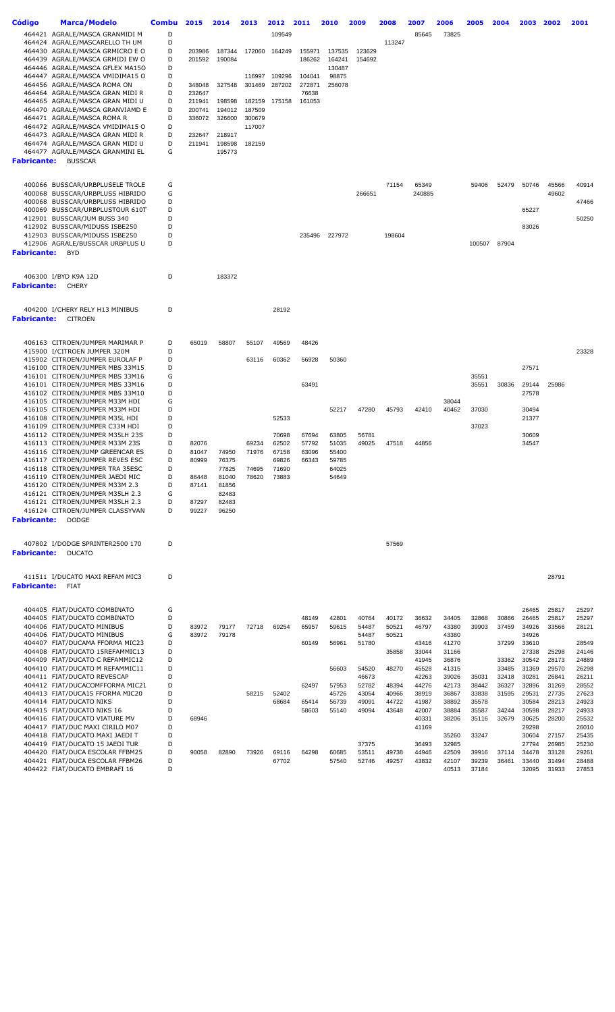| <b>Código</b>          | Marca/Modelo                                                       | <b>Combu</b> | 2015   | 2014           | 2013           | 2012           | 2011   | 2010           | 2009   | 2008   | 2007           | 2006           | 2005   | 2004  | 2003           | 2002  | 2001           |
|------------------------|--------------------------------------------------------------------|--------------|--------|----------------|----------------|----------------|--------|----------------|--------|--------|----------------|----------------|--------|-------|----------------|-------|----------------|
|                        |                                                                    |              |        |                |                |                |        |                |        |        |                |                |        |       |                |       |                |
|                        | 464421 AGRALE/MASCA GRANMIDI M<br>464424 AGRALE/MASCARELLO TH UM   | D<br>D       |        |                |                | 109549         |        |                |        | 113247 | 85645          | 73825          |        |       |                |       |                |
|                        | 464430 AGRALE/MASCA GRMICRO E O                                    | D            | 203986 | 187344         | 172060         | 164249         | 155971 | 137535         | 123629 |        |                |                |        |       |                |       |                |
|                        | 464439 AGRALE/MASCA GRMIDI EW O                                    | D            | 201592 | 190084         |                |                | 186262 | 164241         | 154692 |        |                |                |        |       |                |       |                |
|                        | 464446 AGRALE/MASCA GFLEX MA150                                    | D            |        |                |                |                |        | 130487         |        |        |                |                |        |       |                |       |                |
|                        | 464447 AGRALE/MASCA VMIDIMA15 O                                    | D            |        |                | 116997         | 109296         | 104041 | 98875          |        |        |                |                |        |       |                |       |                |
|                        | 464456 AGRALE/MASCA ROMA ON                                        | D            | 348048 | 327548         | 301469         | 287202         | 272871 | 256078         |        |        |                |                |        |       |                |       |                |
|                        | 464464 AGRALE/MASCA GRAN MIDI R                                    | D            | 232647 |                |                |                | 76638  |                |        |        |                |                |        |       |                |       |                |
|                        | 464465 AGRALE/MASCA GRAN MIDI U                                    | D            | 211941 | 198598         | 182159         | 175158         | 161053 |                |        |        |                |                |        |       |                |       |                |
|                        | 464470 AGRALE/MASCA GRANVIAMD E                                    | D            | 200741 | 194012         | 187509         |                |        |                |        |        |                |                |        |       |                |       |                |
|                        | 464471 AGRALE/MASCA ROMA R                                         | D            | 336072 | 326600         | 300679         |                |        |                |        |        |                |                |        |       |                |       |                |
|                        | 464472 AGRALE/MASCA VMIDIMA15 O                                    | D            |        |                | 117007         |                |        |                |        |        |                |                |        |       |                |       |                |
|                        | 464473 AGRALE/MASCA GRAN MIDI R                                    | D            | 232647 | 218917         |                |                |        |                |        |        |                |                |        |       |                |       |                |
|                        | 464474 AGRALE/MASCA GRAN MIDI U                                    | D<br>G       | 211941 | 198598         | 182159         |                |        |                |        |        |                |                |        |       |                |       |                |
|                        | 464477 AGRALE/MASCA GRANMINI EL                                    |              |        | 195773         |                |                |        |                |        |        |                |                |        |       |                |       |                |
| <b>Fabricante:</b>     | <b>BUSSCAR</b>                                                     |              |        |                |                |                |        |                |        |        |                |                |        |       |                |       |                |
|                        |                                                                    |              |        |                |                |                |        |                |        |        |                |                |        |       |                |       |                |
|                        | 400066 BUSSCAR/URBPLUSELE TROLE                                    | G            |        |                |                |                |        |                |        | 71154  | 65349          |                | 59406  | 52479 | 50746          | 45566 | 40914          |
|                        | 400068 BUSSCAR/URBPLUSS HIBRIDO                                    | G            |        |                |                |                |        |                | 266651 |        | 240885         |                |        |       |                | 49602 |                |
|                        | 400068 BUSSCAR/URBPLUSS HIBRIDO                                    | D            |        |                |                |                |        |                |        |        |                |                |        |       |                |       | 47466          |
|                        | 400069 BUSSCAR/URBPLUSTOUR 610T                                    | D            |        |                |                |                |        |                |        |        |                |                |        |       | 65227          |       |                |
|                        | 412901 BUSSCAR/JUM BUSS 340                                        | D            |        |                |                |                |        |                |        |        |                |                |        |       |                |       | 50250          |
|                        | 412902 BUSSCAR/MIDUSS ISBE250                                      | D            |        |                |                |                |        |                |        |        |                |                |        |       | 83026          |       |                |
|                        | 412903 BUSSCAR/MIDUSS ISBE250<br>412906 AGRALE/BUSSCAR URBPLUS U   | D<br>D       |        |                |                |                | 235496 | 227972         |        | 198604 |                |                |        | 87904 |                |       |                |
| <b>Fabricante:</b> BYD |                                                                    |              |        |                |                |                |        |                |        |        |                |                | 100507 |       |                |       |                |
|                        |                                                                    |              |        |                |                |                |        |                |        |        |                |                |        |       |                |       |                |
|                        |                                                                    |              |        |                |                |                |        |                |        |        |                |                |        |       |                |       |                |
|                        | 406300 I/BYD K9A 12D                                               | D            |        | 183372         |                |                |        |                |        |        |                |                |        |       |                |       |                |
| <b>Fabricante:</b>     | CHERY                                                              |              |        |                |                |                |        |                |        |        |                |                |        |       |                |       |                |
|                        |                                                                    |              |        |                |                |                |        |                |        |        |                |                |        |       |                |       |                |
|                        |                                                                    |              |        |                |                |                |        |                |        |        |                |                |        |       |                |       |                |
|                        | 404200 I/CHERY RELY H13 MINIBUS                                    | D            |        |                |                | 28192          |        |                |        |        |                |                |        |       |                |       |                |
| <b>Fabricante:</b>     | CITROEN                                                            |              |        |                |                |                |        |                |        |        |                |                |        |       |                |       |                |
|                        |                                                                    |              |        |                |                |                |        |                |        |        |                |                |        |       |                |       |                |
|                        |                                                                    |              |        |                |                |                |        |                |        |        |                |                |        |       |                |       |                |
|                        | 406163 CITROEN/JUMPER MARIMAR P<br>415900 I/CITROEN JUMPER 320M    | D<br>D       | 65019  | 58807          | 55107          | 49569          | 48426  |                |        |        |                |                |        |       |                |       | 23328          |
|                        | 415902 CITROEN/JUMPER EUROLAF P                                    | D            |        |                | 63116          | 60362          | 56928  | 50360          |        |        |                |                |        |       |                |       |                |
|                        | 416100 CITROEN/JUMPER MBS 33M15                                    | D            |        |                |                |                |        |                |        |        |                |                |        |       | 27571          |       |                |
|                        | 416101 CITROEN/JUMPER MBS 33M16                                    | G            |        |                |                |                |        |                |        |        |                |                | 35551  |       |                |       |                |
|                        | 416101 CITROEN/JUMPER MBS 33M16                                    | D            |        |                |                |                | 63491  |                |        |        |                |                | 35551  | 30836 | 29144          | 25986 |                |
|                        | 416102 CITROEN/JUMPER MBS 33M10                                    | D            |        |                |                |                |        |                |        |        |                |                |        |       | 27578          |       |                |
|                        | 416105 CITROEN/JUMPER M33M HDI                                     | G            |        |                |                |                |        |                |        |        |                | 38044          |        |       |                |       |                |
|                        | 416105 CITROEN/JUMPER M33M HDI                                     | D            |        |                |                |                |        | 52217          | 47280  | 45793  | 42410          | 40462          | 37030  |       | 30494          |       |                |
|                        | 416108 CITROEN/JUMPER M35L HDI                                     | D            |        |                |                | 52533          |        |                |        |        |                |                |        |       | 21377          |       |                |
|                        | 416109 CITROEN/JUMPER C33M HDI                                     | D            |        |                |                |                |        |                |        |        |                |                | 37023  |       |                |       |                |
|                        | 416112 CITROEN/JUMPER M35LH 23S                                    | D            |        |                |                | 70698          | 67694  | 63805          | 56781  |        |                |                |        |       | 30609          |       |                |
|                        | 416113 CITROEN/JUMPER M33M 23S                                     | D            | 82076  |                | 69234          | 62502          | 57792  | 51035          | 49025  | 47518  | 44856          |                |        |       | 34547          |       |                |
|                        | 416116 CITROEN/JUMP GREENCAR ES                                    | D            | 81047  | 74950          | 71976          | 67158          | 63096  | 55400          |        |        |                |                |        |       |                |       |                |
|                        | 416117 CITROEN/JUMPER REVES ESC                                    | D<br>D       | 80999  | 76375          |                | 69826          | 66343  | 59785          |        |        |                |                |        |       |                |       |                |
|                        | 416118 CITROEN/JUMPER TRA 35ESC<br>416119 CITROEN/JUMPER JAEDI MIC | D            | 86448  | 77825<br>81040 | 74695<br>78620 | 71690<br>73883 |        | 64025<br>54649 |        |        |                |                |        |       |                |       |                |
|                        | 416120 CITROEN/JUMPER M33M 2.3                                     | D            | 87141  | 81856          |                |                |        |                |        |        |                |                |        |       |                |       |                |
|                        | 416121 CITROEN/JUMPER M35LH 2.3                                    | G            |        | 82483          |                |                |        |                |        |        |                |                |        |       |                |       |                |
|                        | 416121 CITROEN/JUMPER M35LH 2.3                                    | D            | 87297  | 82483          |                |                |        |                |        |        |                |                |        |       |                |       |                |
|                        | 416124 CITROEN/JUMPER CLASSYVAN                                    | D            | 99227  | 96250          |                |                |        |                |        |        |                |                |        |       |                |       |                |
| <b>Fabricante:</b>     | <b>DODGE</b>                                                       |              |        |                |                |                |        |                |        |        |                |                |        |       |                |       |                |
|                        |                                                                    |              |        |                |                |                |        |                |        |        |                |                |        |       |                |       |                |
|                        |                                                                    |              |        |                |                |                |        |                |        |        |                |                |        |       |                |       |                |
|                        | 407802 I/DODGE SPRINTER2500 170                                    | D            |        |                |                |                |        |                |        | 57569  |                |                |        |       |                |       |                |
| <b>Fabricante:</b>     | <b>DUCATO</b>                                                      |              |        |                |                |                |        |                |        |        |                |                |        |       |                |       |                |
|                        |                                                                    |              |        |                |                |                |        |                |        |        |                |                |        |       |                |       |                |
|                        | 411511 I/DUCATO MAXI REFAM MIC3                                    | D            |        |                |                |                |        |                |        |        |                |                |        |       |                | 28791 |                |
| <b>Fabricante:</b>     | FIAT                                                               |              |        |                |                |                |        |                |        |        |                |                |        |       |                |       |                |
|                        |                                                                    |              |        |                |                |                |        |                |        |        |                |                |        |       |                |       |                |
|                        |                                                                    |              |        |                |                |                |        |                |        |        |                |                |        |       |                |       |                |
|                        | 404405 FIAT/DUCATO COMBINATO                                       | G            |        |                |                |                |        |                |        |        |                |                |        |       | 26465          | 25817 | 25297          |
|                        | 404405 FIAT/DUCATO COMBINATO                                       | D            |        |                |                |                | 48149  | 42801          | 40764  | 40172  | 36632          | 34405          | 32868  | 30866 | 26465          | 25817 | 25297          |
|                        | 404406 FIAT/DUCATO MINIBUS                                         | D            | 83972  | 79177          | 72718          | 69254          | 65957  | 59615          | 54487  | 50521  | 46797          | 43380          | 39903  | 37459 | 34926          | 33566 | 28121          |
|                        | 404406 FIAT/DUCATO MINIBUS                                         | G            | 83972  | 79178          |                |                |        |                | 54487  | 50521  |                | 43380          |        |       | 34926          |       |                |
|                        | 404407 FIAT/DUCAMA FFORMA MIC23<br>404408 FIAT/DUCATO 15REFAMMIC13 | D<br>D       |        |                |                |                | 60149  | 56961          | 51780  | 35858  | 43416<br>33044 | 41270<br>31166 |        | 37299 | 33610<br>27338 | 25298 | 28549<br>24146 |
|                        | 404409 FIAT/DUCATO C REFAMMIC12                                    | D            |        |                |                |                |        |                |        |        | 41945          | 36876          |        | 33362 | 30542          | 28173 | 24889          |
|                        | 404410 FIAT/DUCATO M REFAMMIC11                                    | D            |        |                |                |                |        | 56603          | 54520  | 48270  | 45528          | 41315          |        | 33485 | 31369          | 29570 | 26298          |
|                        | 404411 FIAT/DUCATO REVESCAP                                        | D            |        |                |                |                |        |                | 46673  |        | 42263          | 39026          | 35031  | 32418 | 30281          | 26841 | 26211          |
|                        | 404412 FIAT/DUCACOMFFORMA MIC21                                    | D            |        |                |                |                | 62497  | 57953          | 52782  | 48394  | 44276          | 42173          | 38442  | 36327 | 32896          | 31269 | 28552          |
|                        | 404413 FIAT/DUCA15 FFORMA MIC20                                    | D            |        |                | 58215          | 52402          |        | 45726          | 43054  | 40966  | 38919          | 36867          | 33838  | 31595 | 29531          | 27735 | 27623          |
|                        | 404414 FIAT/DUCATO NIKS                                            | D            |        |                |                | 68684          | 65414  | 56739          | 49091  | 44722  | 41987          | 38892          | 35578  |       | 30584          | 28213 | 24923          |
|                        | 404415 FIAT/DUCATO NIKS 16                                         | D            |        |                |                |                | 58603  | 55140          | 49094  | 43648  | 42007          | 38884          | 35587  | 34244 | 30598          | 28217 | 24933          |
|                        | 404416 FIAT/DUCATO VIATURE MV                                      | D            | 68946  |                |                |                |        |                |        |        | 40331          | 38206          | 35116  | 32679 | 30625          | 28200 | 25532          |
|                        | 404417 FIAT/DUC MAXI CIRILO M07                                    | D            |        |                |                |                |        |                |        |        | 41169          |                |        |       | 29298          |       | 26010          |
|                        | 404418 FIAT/DUCATO MAXI JAEDI T                                    | D            |        |                |                |                |        |                |        |        |                | 35260          | 33247  |       | 30604          | 27157 | 25435          |
|                        | 404419 FIAT/DUCATO 15 JAEDI TUR                                    | D            |        |                |                |                |        |                | 37375  |        | 36493          | 32985          |        |       | 27794          | 26985 | 25230          |
|                        | 404420 FIAT/DUCA ESCOLAR FFBM25                                    | D            | 90058  | 82890          | 73926          | 69116          | 64298  | 60685          | 53511  | 49738  | 44946          | 42509          | 39916  | 37114 | 34478          | 33128 | 29261          |
|                        | 404421 FIAT/DUCA ESCOLAR FFBM26                                    | D            |        |                |                | 67702          |        | 57540          | 52746  | 49257  | 43832          | 42107          | 39239  | 36461 | 33440          | 31494 | 28488          |

FIAT/DUCATO EMBRAFI 16 D 40513 37184 32095 31933 27853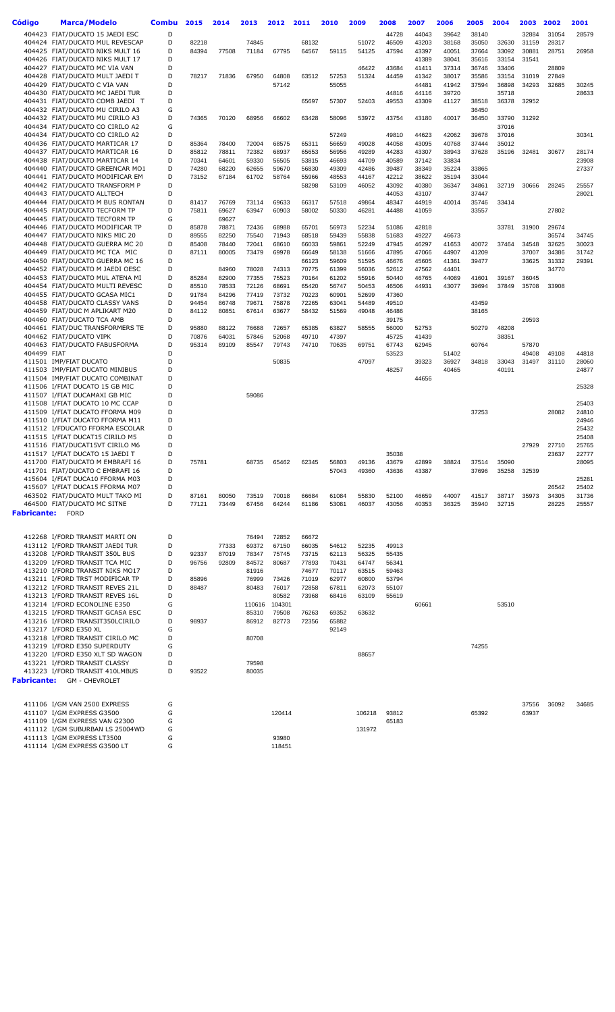| Código                  | <b>Marca/Modelo</b>                                                | <b>Combu</b> | 2015           | 2014           | 2013           | 2012           | 2011           | 2010           | 2009           | 2008           | 2007           | 2006           | 2005           | 2004           | 2003           | 2002           | 2001           |
|-------------------------|--------------------------------------------------------------------|--------------|----------------|----------------|----------------|----------------|----------------|----------------|----------------|----------------|----------------|----------------|----------------|----------------|----------------|----------------|----------------|
|                         | 404423 FIAT/DUCATO 15 JAEDI ESC                                    | D            |                |                |                |                |                |                |                | 44728          | 44043          |                | 38140          |                |                | 31054          |                |
|                         | 404424 FIAT/DUCATO MUL REVESCAP                                    | D            | 82218          |                | 74845          |                | 68132          |                | 51072          | 46509          | 43203          | 39642<br>38168 | 35050          | 32630          | 32884<br>31159 | 28317          | 28579          |
|                         | 404425 FIAT/DUCATO NIKS MULT 16                                    | D            | 84394          | 77508          | 71184          | 67795          | 64567          | 59115          | 54125          | 47594          | 43397          | 40051          | 37664          | 33092          | 30881          | 28751          | 26958          |
|                         | 404426 FIAT/DUCATO NIKS MULT 17                                    | D            |                |                |                |                |                |                |                |                | 41389          | 38041          | 35616          | 33154          | 31541          |                |                |
|                         | 404427 FIAT/DUCATO MC VIA VAN                                      | D            |                |                |                |                |                |                | 46422          | 43684          | 41411          | 37314          | 36746          | 33406          |                | 28809          |                |
|                         | 404428 FIAT/DUCATO MULT JAEDI T                                    | D            | 78217          | 71836          | 67950          | 64808          | 63512          | 57253          | 51324          | 44459          | 41342          | 38017          | 35586          | 33154          | 31019          | 27849          |                |
|                         | 404429 FIAT/DUCATO C VIA VAN                                       | D            |                |                |                | 57142          |                | 55055          |                |                | 44481          | 41942          | 37594          | 36898          | 34293          | 32685          | 30245          |
|                         | 404430 FIAT/DUCATO MC JAEDI TUR                                    | D            |                |                |                |                |                |                |                | 44816          | 44116          | 39720          |                | 35718          |                |                | 28633          |
|                         | 404431 FIAT/DUCATO COMB JAEDI T                                    | D            |                |                |                |                | 65697          | 57307          | 52403          | 49553          | 43309          | 41127          | 38518          | 36378          | 32952          |                |                |
|                         | 404432 FIAT/DUCATO MU CIRILO A3                                    | G            |                |                |                |                |                |                |                |                |                |                | 36450          |                |                |                |                |
|                         | 404432 FIAT/DUCATO MU CIRILO A3                                    | D            | 74365          | 70120          | 68956          | 66602          | 63428          | 58096          | 53972          | 43754          | 43180          | 40017          | 36450          | 33790          | 31292          |                |                |
|                         | 404434 FIAT/DUCATO CO CIRILO A2                                    | G            |                |                |                |                |                |                |                |                |                |                |                | 37016          |                |                |                |
|                         | 404434 FIAT/DUCATO CO CIRILO A2<br>404436 FIAT/DUCATO MARTICAR 17  | D<br>D       |                |                | 72004          |                |                | 57249<br>56659 | 49028          | 49810<br>44058 | 44623<br>43095 | 42062<br>40768 | 39678<br>37444 | 37016<br>35012 |                |                | 30341          |
|                         | 404437 FIAT/DUCATO MARTICAR 16                                     | D            | 85364<br>85812 | 78400<br>78811 | 72382          | 68575<br>68937 | 65311<br>65653 | 56956          | 49289          | 44283          | 43307          | 38943          | 37628          | 35196          | 32481          | 30677          | 28174          |
|                         | 404438 FIAT/DUCATO MARTICAR 14                                     | D            | 70341          | 64601          | 59330          | 56505          | 53815          | 46693          | 44709          | 40589          | 37142          | 33834          |                |                |                |                | 23908          |
|                         | 404440 FIAT/DUCATO GREENCAR MO1                                    | D            | 74280          | 68220          | 62655          | 59670          | 56830          | 49309          | 42486          | 39487          | 38349          | 35224          | 33865          |                |                |                | 27337          |
|                         | 404441 FIAT/DUCATO MODIFICAR EM                                    | D            | 73152          | 67184          | 61702          | 58764          | 55966          | 48553          | 44167          | 42212          | 38622          | 35194          | 33044          |                |                |                |                |
|                         | 404442 FIAT/DUCATO TRANSFORM P                                     | D            |                |                |                |                | 58298          | 53109          | 46052          | 43092          | 40380          | 36347          | 34861          | 32719          | 30666          | 28245          | 25557          |
|                         | 404443 FIAT/DUCATO ALLTECH                                         | D            |                |                |                |                |                |                |                | 44053          | 43107          |                | 37447          |                |                |                | 28021          |
|                         | 404444 FIAT/DUCATO M BUS RONTAN                                    | D            | 81417          | 76769          | 73114          | 69633          | 66317          | 57518          | 49864          | 48347          | 44919          | 40014          | 35746          | 33414          |                |                |                |
|                         | 404445 FIAT/DUCATO TECFORM TP                                      | D            | 75811          | 69627          | 63947          | 60903          | 58002          | 50330          | 46281          | 44488          | 41059          |                | 33557          |                |                | 27802          |                |
|                         | 404445 FIAT/DUCATO TECFORM TP                                      | G            |                | 69627          |                |                |                |                |                |                |                |                |                |                |                |                |                |
|                         | 404446 FIAT/DUCATO MODIFICAR TP                                    | D            | 85878          | 78871          | 72436          | 68988          | 65701          | 56973          | 52234          | 51086          | 42818          |                |                | 33781          | 31900          | 29674          |                |
|                         | 404447 FIAT/DUCATO NIKS MIC 20                                     | D<br>D       | 89555          | 82250          | 75540          | 71943          | 68518          | 59439          | 55838          | 51683          | 49227          | 46673          |                |                |                | 36574          | 34745          |
|                         | 404448 FIAT/DUCATO GUERRA MC 20<br>404449 FIAT/DUCATO MC TCA MIC   | D            | 85408<br>87111 | 78440<br>80005 | 72041<br>73479 | 68610<br>69978 | 66033<br>66649 | 59861<br>58138 | 52249<br>51666 | 47945<br>47895 | 46297<br>47066 | 41653<br>44907 | 40072<br>41209 | 37464          | 34548<br>37007 | 32625<br>34386 | 30023<br>31742 |
|                         | 404450 FIAT/DUCATO GUERRA MC 16                                    | D            |                |                |                |                | 66123          | 59609          | 51595          | 46676          | 45605          | 41361          | 39477          |                | 33625          | 31332          | 29391          |
|                         | 404452 FIAT/DUCATO M JAEDI OESC                                    | D            |                | 84960          | 78028          | 74313          | 70775          | 61399          | 56036          | 52612          | 47562          | 44401          |                |                |                | 34770          |                |
|                         | 404453 FIAT/DUCATO MUL ATENA MI                                    | D            | 85284          | 82900          | 77355          | 75523          | 70164          | 61202          | 55916          | 50440          | 46765          | 44089          | 41601          | 39167          | 36045          |                |                |
|                         | 404454 FIAT/DUCATO MULTI REVESC                                    | D            | 85510          | 78533          | 72126          | 68691          | 65420          | 56747          | 50453          | 46506          | 44931          | 43077          | 39694          | 37849          | 35708          | 33908          |                |
|                         | 404455 FIAT/DUCATO GCASA MIC1                                      | D            | 91784          | 84296          | 77419          | 73732          | 70223          | 60901          | 52699          | 47360          |                |                |                |                |                |                |                |
|                         | 404458 FIAT/DUCATO CLASSY VANS                                     | D            | 94454          | 86748          | 79671          | 75878          | 72265          | 63041          | 54489          | 49510          |                |                | 43459          |                |                |                |                |
|                         | 404459 FIAT/DUC M APLIKART M20                                     | D            | 84112          | 80851          | 67614          | 63677          | 58432          | 51569          | 49048          | 46486          |                |                | 38165          |                |                |                |                |
|                         | 404460 FIAT/DUCATO TCA AMB                                         | D            |                |                |                |                |                |                |                | 39175          |                |                |                |                | 29593          |                |                |
|                         | 404461 FIAT/DUC TRANSFORMERS TE                                    | D            | 95880          | 88122          | 76688          | 72657          | 65385          | 63827          | 58555          | 56000          | 52753          |                | 50279          | 48208          |                |                |                |
|                         | 404462 FIAT/DUCATO VIPK                                            | D            | 70876          | 64031          | 57846          | 52068          | 49710          | 47397          |                | 45725          | 41439          |                |                | 38351          |                |                |                |
|                         | 404463 FIAT/DUCATO FABUSFORMA                                      | D<br>D       | 95314          | 89109          | 85547          | 79743          | 74710          | 70635          | 69751          | 67743          | 62945          |                | 60764          |                | 57870          |                |                |
| 404499 FIAT             | 411501 IMP/FIAT DUCATO                                             | D            |                |                |                | 50835          |                |                | 47097          | 53523          | 39323          | 51402<br>36927 | 34818          | 33043          | 49408<br>31497 | 49108<br>31110 | 44818<br>28060 |
|                         | 411503 IMP/FIAT DUCATO MINIBUS                                     | D            |                |                |                |                |                |                |                | 48257          |                | 40465          |                | 40191          |                |                | 24877          |
|                         | 411504 IMP/FIAT DUCATO COMBINAT                                    | D            |                |                |                |                |                |                |                |                | 44656          |                |                |                |                |                |                |
|                         | 411506 I/FIAT DUCATO 15 GB MIC                                     | D            |                |                |                |                |                |                |                |                |                |                |                |                |                |                | 25328          |
|                         | 411507 I/FIAT DUCAMAXI GB MIC                                      | D            |                |                | 59086          |                |                |                |                |                |                |                |                |                |                |                |                |
|                         | 411508 I/FIAT DUCATO 10 MC CCAP                                    | D            |                |                |                |                |                |                |                |                |                |                |                |                |                |                | 25403          |
|                         | 411509 I/FIAT DUCATO FFORMA M09                                    | D            |                |                |                |                |                |                |                |                |                |                | 37253          |                |                | 28082          | 24810          |
|                         | 411510 I/FIAT DUCATO FFORMA M11                                    | D            |                |                |                |                |                |                |                |                |                |                |                |                |                |                | 24946          |
|                         | 411512 I/FDUCATO FFORMA ESCOLAR                                    | D            |                |                |                |                |                |                |                |                |                |                |                |                |                |                | 25432          |
|                         | 411515 I/FIAT DUCAT15 CIRILO M5                                    | D            |                |                |                |                |                |                |                |                |                |                |                |                |                |                | 25408          |
|                         | 411516 FIAT/DUCAT15VT CIRILO M6                                    | D            |                |                |                |                |                |                |                |                |                |                |                |                | 27929          | 27710          | 25765          |
|                         | 411517 I/FIAT DUCATO 15 JAEDI T<br>411700 FIAT/DUCATO M EMBRAFI 16 | D<br>D       | 75781          |                | 68735          | 65462          | 62345          | 56803          | 49136          | 35038<br>43679 | 42899          | 38824          | 37514          | 35090          |                | 23637          | 22777<br>28095 |
|                         | 411701 FIAT/DUCATO C EMBRAFI 16                                    | D            |                |                |                |                |                | 57043          | 49360          | 43636          | 43387          |                | 37696          | 35258          | 32539          |                |                |
|                         | 415604 I/FIAT DUCA10 FFORMA M03                                    | D            |                |                |                |                |                |                |                |                |                |                |                |                |                |                | 25281          |
|                         | 415607 I/FIAT DUCA15 FFORMA M07                                    | D            |                |                |                |                |                |                |                |                |                |                |                |                |                | 26542          | 25402          |
|                         | 463502 FIAT/DUCATO MULT TAKO MI                                    | D            | 87161          | 80050          | 73519          | 70018          | 66684          | 61084          | 55830          | 52100          | 46659          | 44007          | 41517          | 38717          | 35973          | 34305          | 31736          |
|                         | 464500 FIAT/DUCATO MC SITNE                                        | D            | 77121          | 73449          | 67456          | 64244          | 61186          | 53081          | 46037          | 43056          | 40353          | 36325          | 35940          | 32715          |                | 28225          | 25557          |
| <b>Fabricante:</b> FORD |                                                                    |              |                |                |                |                |                |                |                |                |                |                |                |                |                |                |                |
|                         |                                                                    |              |                |                |                |                |                |                |                |                |                |                |                |                |                |                |                |
|                         |                                                                    |              |                |                |                |                |                |                |                |                |                |                |                |                |                |                |                |
|                         | 412268 I/FORD TRANSIT MARTI ON                                     | D            |                |                | 76494          | 72852          | 66672          |                |                |                |                |                |                |                |                |                |                |
|                         | 413112 I/FORD TRANSIT JAEDI TUR                                    | D            |                | 77333          | 69372          | 67150          | 66035          | 54612          | 52235          | 49913          |                |                |                |                |                |                |                |
|                         | 413208 I/FORD TRANSIT 350L BUS<br>413209 I/FORD TRANSIT TCA MIC    | D<br>D       | 92337<br>96756 | 87019<br>92809 | 78347<br>84572 | 75745<br>80687 | 73715<br>77893 | 62113<br>70431 | 56325<br>64747 | 55435<br>56341 |                |                |                |                |                |                |                |
|                         | 413210 I/FORD TRANSIT NIKS MO17                                    | D            |                |                | 81916          |                | 74677          | 70117          | 63515          | 59463          |                |                |                |                |                |                |                |
|                         | 413211 I/FORD TRST MODIFICAR TP                                    | D            | 85896          |                | 76999          | 73426          | 71019          | 62977          | 60800          | 53794          |                |                |                |                |                |                |                |
|                         | 413212 I/FORD TRANSIT REVES 21L                                    | D            | 88487          |                | 80483          | 76017          | 72858          | 67811          | 62073          | 55107          |                |                |                |                |                |                |                |
|                         | 413213 I/FORD TRANSIT REVES 16L                                    | D            |                |                |                | 80582          | 73968          | 68416          | 63109          | 55619          |                |                |                |                |                |                |                |
|                         | 413214 I/FORD ECONOLINE E350                                       | G            |                |                | 110616         | 104301         |                |                |                |                | 60661          |                |                | 53510          |                |                |                |
|                         | 413215 I/FORD TRANSIT GCASA ESC                                    | D            |                |                | 85310          | 79508          | 76263          | 69352          | 63632          |                |                |                |                |                |                |                |                |
|                         | 413216 I/FORD TRANSIT350LCIRILO                                    | D            | 98937          |                | 86912          | 82773          | 72356          | 65882          |                |                |                |                |                |                |                |                |                |
|                         | 413217 I/FORD E350 XL                                              | G            |                |                |                |                |                | 92149          |                |                |                |                |                |                |                |                |                |
|                         | 413218 I/FORD TRANSIT CIRILO MC                                    | D            |                |                | 80708          |                |                |                |                |                |                |                |                |                |                |                |                |
|                         | 413219 I/FORD E350 SUPERDUTY                                       | G            |                |                |                |                |                |                |                |                |                |                | 74255          |                |                |                |                |
|                         | 413220 I/FORD E350 XLT SD WAGON                                    | D<br>D       |                |                | 79598          |                |                |                | 88657          |                |                |                |                |                |                |                |                |
|                         | 413221 I/FORD TRANSIT CLASSY<br>413223 I/FORD TRANSIT 410LMBUS     | D            | 93522          |                | 80035          |                |                |                |                |                |                |                |                |                |                |                |                |
|                         | <b>Fabricante:</b> GM - CHEVROLET                                  |              |                |                |                |                |                |                |                |                |                |                |                |                |                |                |                |
|                         |                                                                    |              |                |                |                |                |                |                |                |                |                |                |                |                |                |                |                |
|                         | 411106 I/GM VAN 2500 EXPRESS                                       | G            |                |                |                |                |                |                |                |                |                |                |                |                | 37556          | 36092          | 34685          |
|                         | 411107 I/GM EXPRESS G3500                                          | G            |                |                |                | 120414         |                |                | 106218         | 93812          |                |                | 65392          |                | 63937          |                |                |
|                         | 411109 I/GM EXPRESS VAN G2300                                      | G            |                |                |                |                |                |                |                | 65183          |                |                |                |                |                |                |                |
|                         | 411112 I/GM SUBURBAN LS 25004WD                                    | G            |                |                |                |                |                |                | 131972         |                |                |                |                |                |                |                |                |
|                         | 411113 I/GM EXPRESS LT3500                                         | G            |                |                |                | 93980          |                |                |                |                |                |                |                |                |                |                |                |
|                         | 411114 I/GM EXPRESS G3500 LT                                       | G            |                |                |                | 118451         |                |                |                |                |                |                |                |                |                |                |                |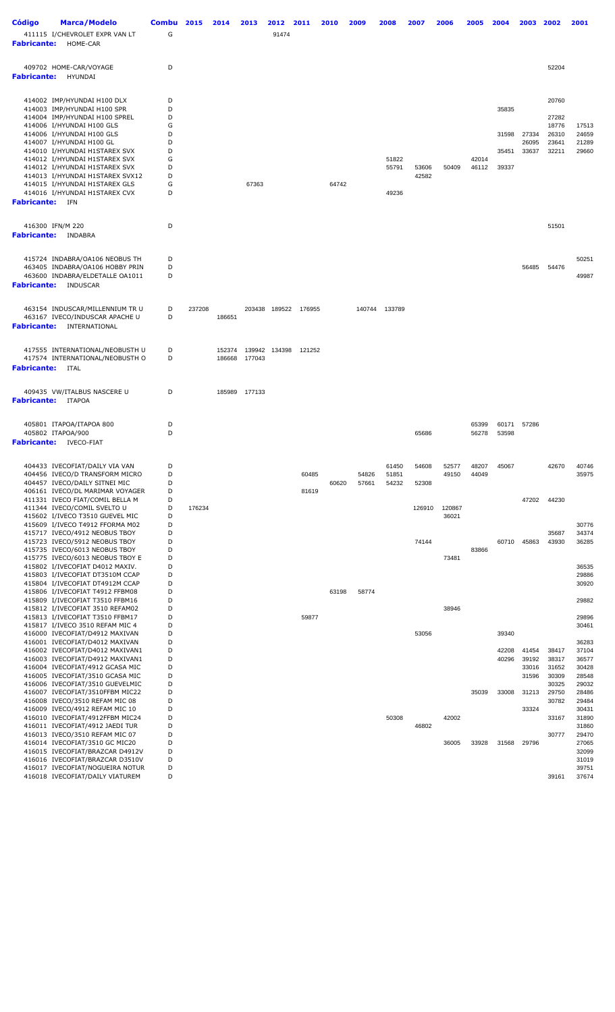| <b>Código</b><br><b>Fabricante:</b> | <b>Marca/Modelo</b><br>411115 I/CHEVROLET EXPR VAN LT<br>HOME-CAR                                                                                                                                                                                                                                                                                        | Combu<br>G                                          | 2015   | 2014             | 2013             | 2012<br>91474 | 2011           | 2010  | 2009           | 2008                    | 2007           | 2006            | 2005           | 2004                             | 2003                             | 2002                                               | 2001                                               |
|-------------------------------------|----------------------------------------------------------------------------------------------------------------------------------------------------------------------------------------------------------------------------------------------------------------------------------------------------------------------------------------------------------|-----------------------------------------------------|--------|------------------|------------------|---------------|----------------|-------|----------------|-------------------------|----------------|-----------------|----------------|----------------------------------|----------------------------------|----------------------------------------------------|----------------------------------------------------|
| <b>Fabricante:</b>                  | 409702 HOME-CAR/VOYAGE<br><b>HYUNDAI</b>                                                                                                                                                                                                                                                                                                                 | D                                                   |        |                  |                  |               |                |       |                |                         |                |                 |                |                                  |                                  | 52204                                              |                                                    |
|                                     | 414002 IMP/HYUNDAI H100 DLX<br>414003 IMP/HYUNDAI H100 SPR<br>414004 IMP/HYUNDAI H100 SPREL<br>414006 I/HYUNDAI H100 GLS<br>414006 I/HYUNDAI H100 GLS<br>414007 I/HYUNDAI H100 GL<br>414010 I/HYUNDAI H1STAREX SVX<br>414012 I/HYUNDAI H1STAREX SVX<br>414012 I/HYUNDAI H1STAREX SVX<br>414013 I/HYUNDAI H1STAREX SVX12<br>414015 I/HYUNDAI H1STAREX GLS | D<br>D<br>D<br>G<br>D<br>D<br>D<br>G<br>D<br>D<br>G |        |                  | 67363            |               |                | 64742 |                | 51822<br>55791          | 53606<br>42582 | 50409           | 42014<br>46112 | 35835<br>31598<br>35451<br>39337 | 27334<br>26095<br>33637          | 20760<br>27282<br>18776<br>26310<br>23641<br>32211 | 17513<br>24659<br>21289<br>29660                   |
| <b>Fabricante:</b> IFN              | 414016 I/HYUNDAI H1STAREX CVX                                                                                                                                                                                                                                                                                                                            | D                                                   |        |                  |                  |               |                |       |                | 49236                   |                |                 |                |                                  |                                  |                                                    |                                                    |
| <b>Fabricante:</b>                  | 416300 IFN/M 220<br><b>INDABRA</b>                                                                                                                                                                                                                                                                                                                       | D                                                   |        |                  |                  |               |                |       |                |                         |                |                 |                |                                  |                                  | 51501                                              |                                                    |
|                                     | 415724 INDABRA/OA106 NEOBUS TH<br>463405 INDABRA/OA106 HOBBY PRIN<br>463600 INDABRA/ELDETALLE OA1011<br><b>Fabricante:</b> INDUSCAR                                                                                                                                                                                                                      | D<br>D<br>D                                         |        |                  |                  |               |                |       |                |                         |                |                 |                |                                  | 56485                            | 54476                                              | 50251<br>49987                                     |
|                                     | 463154 INDUSCAR/MILLENNIUM TR U<br>463167 IVECO/INDUSCAR APACHE U<br><b>Fabricante:</b> INTERNATIONAL                                                                                                                                                                                                                                                    | D<br>D                                              | 237208 | 186651           | 203438           | 189522        | 176955         |       |                | 140744 133789           |                |                 |                |                                  |                                  |                                                    |                                                    |
| <b>Fabricante:</b>                  | 417555 INTERNATIONAL/NEOBUSTH U<br>417574 INTERNATIONAL/NEOBUSTH O<br>ITAL                                                                                                                                                                                                                                                                               | D<br>D                                              |        | 152374<br>186668 | 139942<br>177043 | 134398        | 121252         |       |                |                         |                |                 |                |                                  |                                  |                                                    |                                                    |
|                                     | 409435 VW/ITALBUS NASCERE U<br><b>Fabricante:</b> ITAPOA                                                                                                                                                                                                                                                                                                 | D                                                   |        | 185989           | 177133           |               |                |       |                |                         |                |                 |                |                                  |                                  |                                                    |                                                    |
|                                     | 405801 ITAPOA/ITAPOA 800<br>405802 ITAPOA/900<br><b>Fabricante:</b> IVECO-FIAT                                                                                                                                                                                                                                                                           | D<br>D                                              |        |                  |                  |               |                |       |                |                         | 65686          |                 | 65399<br>56278 | 60171<br>53598                   | 57286                            |                                                    |                                                    |
|                                     | 404433 IVECOFIAT/DAILY VIA VAN<br>404456 IVECO/D TRANSFORM MICRO<br>404457 IVECO/DAILY SITNEI MIC<br>406161 IVECO/DL MARIMAR VOYAGER                                                                                                                                                                                                                     | D<br>D<br>D<br>D                                    |        |                  |                  |               | 60485<br>81619 | 60620 | 54826<br>57661 | 61450<br>51851<br>54232 | 54608<br>52308 | 52577<br>49150  | 48207<br>44049 | 45067                            |                                  | 42670                                              | 40746<br>35975                                     |
|                                     | 411331 IVECO FIAT/COMIL BELLA M<br>411344 IVECO/COMIL SVELTO U<br>415602 I/IVECO T3510 GUEVEL MIC<br>415609 I/IVECO T4912 FFORMA M02                                                                                                                                                                                                                     | D<br>D<br>D<br>D                                    | 176234 |                  |                  |               |                |       |                |                         | 126910         | 120867<br>36021 |                |                                  | 47202                            | 44230                                              | 30776                                              |
|                                     | 415717 IVECO/4912 NEOBUS TBOY<br>415723 IVECO/5912 NEOBUS TBOY<br>415735 IVECO/6013 NEOBUS TBOY<br>415775 IVECO/6013 NEOBUS TBOY E                                                                                                                                                                                                                       | D<br>D<br>D<br>D                                    |        |                  |                  |               |                |       |                |                         | 74144          | 73481           | 83866          | 60710                            | 45863                            | 35687<br>43930                                     | 34374<br>36285                                     |
|                                     | 415802 I/IVECOFIAT D4012 MAXIV.<br>415803 I/IVECOFIAT DT3510M CCAP<br>415804 I/IVECOFIAT DT4912M CCAP<br>415806 I/IVECOFIAT T4912 FFBM08<br>415809 I/IVECOFIAT T3510 FFBM16                                                                                                                                                                              | D<br>D<br>D<br>D<br>D                               |        |                  |                  |               |                | 63198 | 58774          |                         |                |                 |                |                                  |                                  |                                                    | 36535<br>29886<br>30920<br>29882                   |
|                                     | 415812 I/IVECOFIAT 3510 REFAM02<br>415813 I/IVECOFIAT T3510 FFBM17<br>415817 I/IVECO 3510 REFAM MIC 4<br>416000 IVECOFIAT/D4912 MAXIVAN                                                                                                                                                                                                                  | D<br>D<br>D<br>D                                    |        |                  |                  |               | 59877          |       |                |                         | 53056          | 38946           |                | 39340                            |                                  |                                                    | 29896<br>30461                                     |
|                                     | 416001 IVECOFIAT/D4012 MAXIVAN<br>416002 IVECOFIAT/D4012 MAXIVAN1<br>416003 IVECOFIAT/D4912 MAXIVAN1<br>416004 IVECOFIAT/4912 GCASA MIC<br>416005 IVECOFIAT/3510 GCASA MIC<br>416006 IVECOFIAT/3510 GUEVELMIC                                                                                                                                            | D<br>D<br>D<br>D<br>D<br>D                          |        |                  |                  |               |                |       |                |                         |                |                 |                | 42208<br>40296                   | 41454<br>39192<br>33016<br>31596 | 38417<br>38317<br>31652<br>30309<br>30325          | 36283<br>37104<br>36577<br>30428<br>28548<br>29032 |
|                                     | 416007 IVECOFIAT/3510FFBM MIC22<br>416008 IVECO/3510 REFAM MIC 08<br>416009 IVECO/4912 REFAM MIC 10<br>416010 IVECOFIAT/4912FFBM MIC24                                                                                                                                                                                                                   | D<br>D<br>D<br>D                                    |        |                  |                  |               |                |       |                | 50308                   |                | 42002           | 35039          | 33008                            | 31213<br>33324                   | 29750<br>30782<br>33167                            | 28486<br>29484<br>30431<br>31890                   |
|                                     | 416011 IVECOFIAT/4912 JAEDI TUR<br>416013 IVECO/3510 REFAM MIC 07<br>416014 IVECOFIAT/3510 GC MIC20<br>416015 IVECOFIAT/BRAZCAR D4912V<br>416016 IVECOFIAT/BRAZCAR D3510V<br>416017 IVECOFIAT/NOGUEIRA NOTUR                                                                                                                                             | D<br>D<br>D<br>D<br>D<br>D                          |        |                  |                  |               |                |       |                |                         | 46802          | 36005           | 33928          | 31568                            | 29796                            | 30777                                              | 31860<br>29470<br>27065<br>32099<br>31019<br>39751 |
|                                     | 416018 IVECOFIAT/DAILY VIATUREM                                                                                                                                                                                                                                                                                                                          | D                                                   |        |                  |                  |               |                |       |                |                         |                |                 |                |                                  |                                  | 39161                                              | 37674                                              |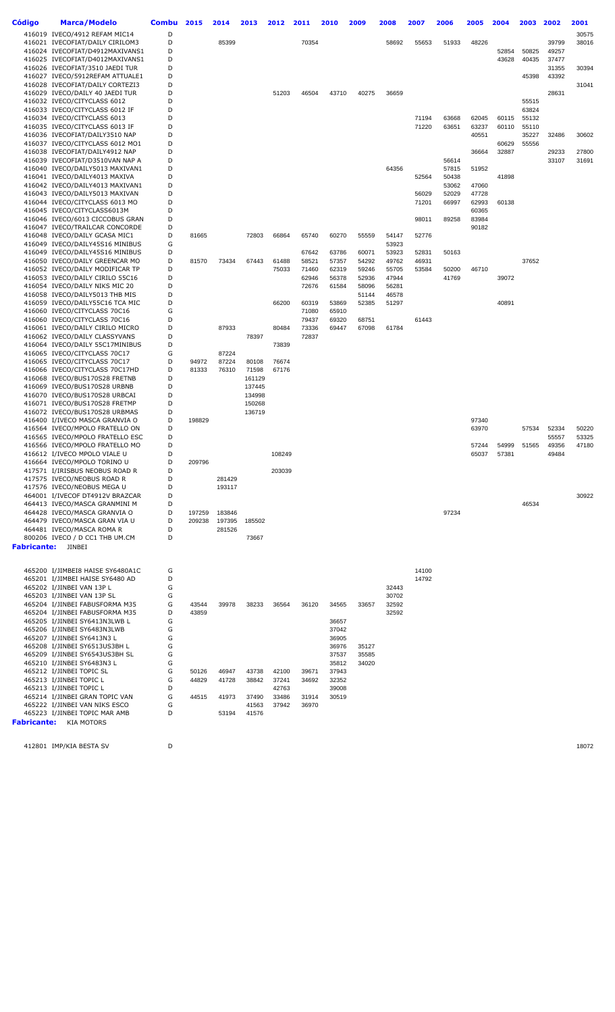| Código             | <b>Marca/Modelo</b>                                                | <b>Combu</b> | 2015           | 2014             | 2013             | 2012           | 2011           | 2010           | 2009           | 2008           | 2007           | 2006           | 2005           | 2004           | 2003           | 2002           | 2001           |
|--------------------|--------------------------------------------------------------------|--------------|----------------|------------------|------------------|----------------|----------------|----------------|----------------|----------------|----------------|----------------|----------------|----------------|----------------|----------------|----------------|
|                    | 416019 IVECO/4912 REFAM MIC14                                      | D            |                |                  |                  |                |                |                |                |                |                |                |                |                |                |                | 30575          |
|                    | 416021 IVECOFIAT/DAILY CIRILOM3                                    | D            |                | 85399            |                  |                | 70354          |                |                | 58692          | 55653          | 51933          | 48226          |                |                | 39799          | 38016          |
|                    | 416024 IVECOFIAT/D4912MAXIVANS1                                    | D            |                |                  |                  |                |                |                |                |                |                |                |                | 52854          | 50825          | 49257          |                |
|                    | 416025 IVECOFIAT/D4012MAXIVANS1<br>416026 IVECOFIAT/3510 JAEDI TUR | D<br>D       |                |                  |                  |                |                |                |                |                |                |                |                | 43628          | 40435          | 37477<br>31355 | 30394          |
|                    | 416027 IVECO/5912REFAM ATTUALE1                                    | D            |                |                  |                  |                |                |                |                |                |                |                |                |                | 45398          | 43392          |                |
|                    | 416028 IVECOFIAT/DAILY CORTEZI3                                    | D            |                |                  |                  |                |                |                |                |                |                |                |                |                |                |                | 31041          |
|                    | 416029 IVECO/DAILY 40 JAEDI TUR                                    | D            |                |                  |                  | 51203          | 46504          | 43710          | 40275          | 36659          |                |                |                |                |                | 28631          |                |
|                    | 416032 IVECO/CITYCLASS 6012                                        | D            |                |                  |                  |                |                |                |                |                |                |                |                |                | 55515          |                |                |
|                    | 416033 IVECO/CITYCLASS 6012 IF                                     | D            |                |                  |                  |                |                |                |                |                |                |                |                |                | 63824          |                |                |
|                    | 416034 IVECO/CITYCLASS 6013<br>416035 IVECO/CITYCLASS 6013 IF      | D<br>D       |                |                  |                  |                |                |                |                |                | 71194<br>71220 | 63668<br>63651 | 62045<br>63237 | 60115<br>60110 | 55132<br>55110 |                |                |
|                    | 416036 IVECOFIAT/DAILY3510 NAP                                     | D            |                |                  |                  |                |                |                |                |                |                |                | 40551          |                | 35227          | 32486          | 30602          |
|                    | 416037 IVECO/CITYCLASS 6012 MO1                                    | D            |                |                  |                  |                |                |                |                |                |                |                |                | 60629          | 55556          |                |                |
|                    | 416038 IVECOFIAT/DAILY4912 NAP                                     | D            |                |                  |                  |                |                |                |                |                |                |                | 36664          | 32887          |                | 29233          | 27800          |
|                    | 416039 IVECOFIAT/D3510VAN NAP A                                    | D            |                |                  |                  |                |                |                |                |                |                | 56614          |                |                |                | 33107          | 31691          |
|                    | 416040 IVECO/DAILY5013 MAXIVAN1<br>416041 IVECO/DAILY4013 MAXIVA   | D<br>D       |                |                  |                  |                |                |                |                | 64356          | 52564          | 57815<br>50438 | 51952          | 41898          |                |                |                |
|                    | 416042 IVECO/DAILY4013 MAXIVAN1                                    | D            |                |                  |                  |                |                |                |                |                |                | 53062          | 47060          |                |                |                |                |
|                    | 416043 IVECO/DAILY5013 MAXIVAN                                     | D            |                |                  |                  |                |                |                |                |                | 56029          | 52029          | 47728          |                |                |                |                |
|                    | 416044 IVECO/CITYCLASS 6013 MO                                     | D            |                |                  |                  |                |                |                |                |                | 71201          | 66997          | 62993          | 60138          |                |                |                |
|                    | 416045 IVECO/CITYCLASS6013M                                        | D            |                |                  |                  |                |                |                |                |                |                |                | 60365          |                |                |                |                |
|                    | 416046 IVECO/6013 CICCOBUS GRAN<br>416047 IVECO/TRAILCAR CONCORDE  | D<br>D       |                |                  |                  |                |                |                |                |                | 98011          | 89258          | 83984<br>90182 |                |                |                |                |
|                    | 416048 IVECO/DAILY GCASA MIC1                                      | D            | 81665          |                  | 72803            | 66864          | 65740          | 60270          | 55559          | 54147          | 52776          |                |                |                |                |                |                |
|                    | 416049 IVECO/DAILY45S16 MINIBUS                                    | G            |                |                  |                  |                |                |                |                | 53923          |                |                |                |                |                |                |                |
|                    | 416049 IVECO/DAILY45S16 MINIBUS                                    | D            |                |                  |                  |                | 67642          | 63786          | 60071          | 53923          | 52831          | 50163          |                |                |                |                |                |
|                    | 416050 IVECO/DAILY GREENCAR MO                                     | D            | 81570          | 73434            | 67443            | 61488          | 58521          | 57357          | 54292          | 49762          | 46931          |                |                |                | 37652          |                |                |
|                    | 416052 IVECO/DAILY MODIFICAR TP                                    | D            |                |                  |                  | 75033          | 71460          | 62319          | 59246          | 55705          | 53584          | 50200          | 46710          |                |                |                |                |
|                    | 416053 IVECO/DAILY CIRILO 55C16<br>416054 IVECO/DAILY NIKS MIC 20  | D<br>D       |                |                  |                  |                | 62946<br>72676 | 56378<br>61584 | 52936<br>58096 | 47944<br>56281 |                | 41769          |                | 39072          |                |                |                |
|                    | 416058 IVECO/DAILY5013 THB MIS                                     | D            |                |                  |                  |                |                |                | 51144          | 46578          |                |                |                |                |                |                |                |
|                    | 416059 IVECO/DAILY55C16 TCA MIC                                    | D            |                |                  |                  | 66200          | 60319          | 53869          | 52385          | 51297          |                |                |                | 40891          |                |                |                |
|                    | 416060 IVECO/CITYCLASS 70C16                                       | G            |                |                  |                  |                | 71080          | 65910          |                |                |                |                |                |                |                |                |                |
|                    | 416060 IVECO/CITYCLASS 70C16                                       | D            |                |                  |                  |                | 79437          | 69320          | 68751          |                | 61443          |                |                |                |                |                |                |
|                    | 416061 IVECO/DAILY CIRILO MICRO<br>416062 IVECO/DAILY CLASSYVANS   | D<br>D       |                | 87933            | 78397            | 80484          | 73336<br>72837 | 69447          | 67098          | 61784          |                |                |                |                |                |                |                |
|                    | 416064 IVECO/DAILY 55C17MINIBUS                                    | D            |                |                  |                  | 73839          |                |                |                |                |                |                |                |                |                |                |                |
|                    | 416065 IVECO/CITYCLASS 70C17                                       | G            |                | 87224            |                  |                |                |                |                |                |                |                |                |                |                |                |                |
|                    | 416065 IVECO/CITYCLASS 70C17                                       | D            | 94972          | 87224            | 80108            | 76674          |                |                |                |                |                |                |                |                |                |                |                |
|                    | 416066 IVECO/CITYCLASS 70C17HD                                     | D            | 81333          | 76310            | 71598            | 67176          |                |                |                |                |                |                |                |                |                |                |                |
|                    | 416068 IVECO/BUS170S28 FRETNB<br>416069 IVECO/BUS170S28 URBNB      | D<br>D       |                |                  | 161129<br>137445 |                |                |                |                |                |                |                |                |                |                |                |                |
|                    | 416070 IVECO/BUS170S28 URBCAI                                      | D            |                |                  | 134998           |                |                |                |                |                |                |                |                |                |                |                |                |
|                    | 416071 IVECO/BUS170S28 FRETMP                                      | D            |                |                  | 150268           |                |                |                |                |                |                |                |                |                |                |                |                |
|                    | 416072 IVECO/BUS170S28 URBMAS                                      | D            |                |                  | 136719           |                |                |                |                |                |                |                |                |                |                |                |                |
|                    | 416400 I/IVECO MASCA GRANVIA O                                     | D            | 198829         |                  |                  |                |                |                |                |                |                |                | 97340          |                |                |                |                |
|                    | 416564 IVECO/MPOLO FRATELLO ON<br>416565 IVECO/MPOLO FRATELLO ESC  | D<br>D       |                |                  |                  |                |                |                |                |                |                |                | 63970          |                | 57534          | 52334<br>55557 | 50220<br>53325 |
|                    | 416566 IVECO/MPOLO FRATELLO MO                                     | D            |                |                  |                  |                |                |                |                |                |                |                | 57244          | 54999          | 51565          | 49356          | 47180          |
|                    | 416612 I/IVECO MPOLO VIALE U                                       | D            |                |                  |                  | 108249         |                |                |                |                |                |                | 65037          | 57381          |                | 49484          |                |
|                    | 416664 IVECO/MPOLO TORINO U                                        | D            | 209796         |                  |                  |                |                |                |                |                |                |                |                |                |                |                |                |
|                    | 417571 I/IRISBUS NEOBUS ROAD R                                     | D            |                |                  |                  | 203039         |                |                |                |                |                |                |                |                |                |                |                |
|                    | 417575 IVECO/NEOBUS ROAD R<br>417576 IVECO/NEOBUS MEGA U           | D<br>D       |                | 281429<br>193117 |                  |                |                |                |                |                |                |                |                |                |                |                |                |
|                    | 464001 I/IVECOF DT4912V BRAZCAR                                    | D            |                |                  |                  |                |                |                |                |                |                |                |                |                |                |                | 30922          |
|                    | 464413 IVECO/MASCA GRANMINI M                                      | D            |                |                  |                  |                |                |                |                |                |                |                |                |                | 46534          |                |                |
|                    | 464428 IVECO/MASCA GRANVIA O                                       | D            | 197259         | 183846           |                  |                |                |                |                |                |                | 97234          |                |                |                |                |                |
|                    | 464479 IVECO/MASCA GRAN VIA U                                      | D            | 209238         | 197395           | 185502           |                |                |                |                |                |                |                |                |                |                |                |                |
|                    | 464481 IVECO/MASCA ROMA R<br>800206 IVECO / D CC1 THB UM.CM        | D<br>D       |                | 281526           | 73667            |                |                |                |                |                |                |                |                |                |                |                |                |
| Fabricante:        | JINBEI                                                             |              |                |                  |                  |                |                |                |                |                |                |                |                |                |                |                |                |
|                    |                                                                    |              |                |                  |                  |                |                |                |                |                |                |                |                |                |                |                |                |
|                    | 465200 I/JIMBEI8 HAISE SY6480A1C                                   | G            |                |                  |                  |                |                |                |                |                | 14100          |                |                |                |                |                |                |
|                    | 465201 I/JIMBEI HAISE SY6480 AD                                    | D            |                |                  |                  |                |                |                |                |                | 14792          |                |                |                |                |                |                |
|                    | 465202 I/JINBEI VAN 13P L                                          | G            |                |                  |                  |                |                |                |                | 32443          |                |                |                |                |                |                |                |
|                    | 465203 I/JINBEI VAN 13P SL                                         | G            |                |                  |                  |                |                |                |                | 30702          |                |                |                |                |                |                |                |
|                    | 465204 I/JINBEI FABUSFORMA M35                                     | G            | 43544          | 39978            | 38233            | 36564          | 36120          | 34565          | 33657          | 32592          |                |                |                |                |                |                |                |
|                    | 465204 I/JINBEI FABUSFORMA M35                                     | D<br>G       | 43859          |                  |                  |                |                |                |                | 32592          |                |                |                |                |                |                |                |
|                    | 465205 I/JINBEI SY6413N3LWB L<br>465206 I/JINBEI SY6483N3LWB       | G            |                |                  |                  |                |                | 36657<br>37042 |                |                |                |                |                |                |                |                |                |
|                    | 465207 I/JINBEI SY6413N3 L                                         | G            |                |                  |                  |                |                | 36905          |                |                |                |                |                |                |                |                |                |
|                    | 465208 I/JINBEI SY6513US3BH L                                      | G            |                |                  |                  |                |                | 36976          | 35127          |                |                |                |                |                |                |                |                |
|                    | 465209 I/JINBEI SY6543US3BH SL                                     | G            |                |                  |                  |                |                | 37537          | 35585          |                |                |                |                |                |                |                |                |
|                    | 465210 I/JINBEI SY6483N3 L                                         | G            |                |                  |                  |                |                | 35812          | 34020          |                |                |                |                |                |                |                |                |
|                    | 465212 I/JINBEI TOPIC SL<br>465213 I/JINBEI TOPIC L                | G<br>G       | 50126<br>44829 | 46947<br>41728   | 43738<br>38842   | 42100<br>37241 | 39671<br>34692 | 37943<br>32352 |                |                |                |                |                |                |                |                |                |
|                    | 465213 I/JINBEI TOPIC L                                            | D            |                |                  |                  | 42763          |                | 39008          |                |                |                |                |                |                |                |                |                |
|                    | 465214 I/JINBEI GRAN TOPIC VAN                                     | G            | 44515          | 41973            | 37490            | 33486          | 31914          | 30519          |                |                |                |                |                |                |                |                |                |
|                    | 465222 I/JINBEI VAN NIKS ESCO                                      | G            |                |                  | 41563            | 37942          | 36970          |                |                |                |                |                |                |                |                |                |                |
|                    | 465223 I/JINBEI TOPIC MAR AMB                                      | D            |                | 53194            | 41576            |                |                |                |                |                |                |                |                |                |                |                |                |
| <b>Fabricante:</b> | <b>KIA MOTORS</b>                                                  |              |                |                  |                  |                |                |                |                |                |                |                |                |                |                |                |                |

412801 IMP/KIA BESTA SV D D 18072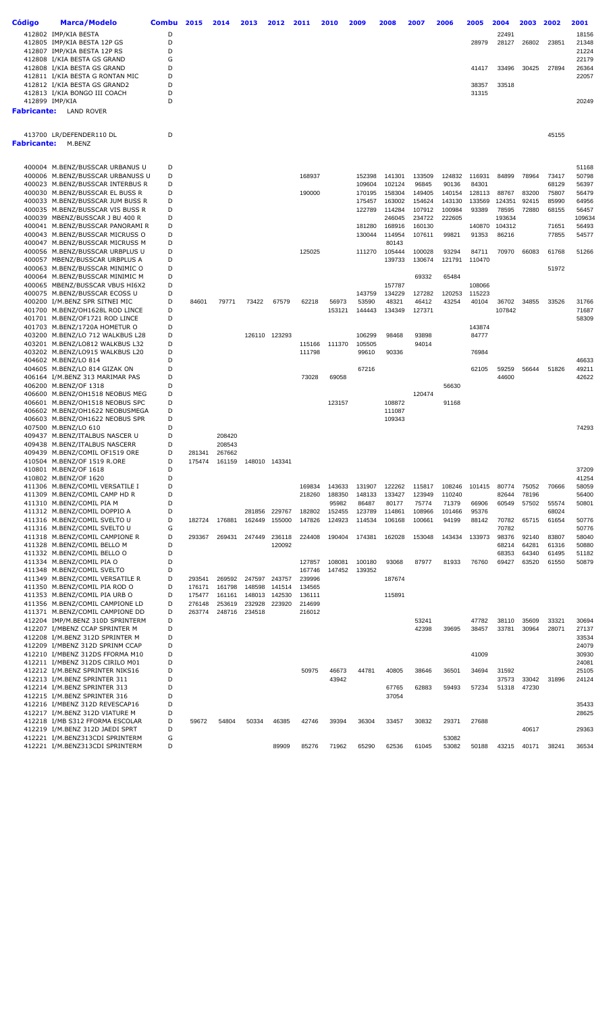| Código             | <b>Marca/Modelo</b>                                                 | <b>Combu</b> | 2015             | 2014             | 2013             | 2012             | 2011             | 2010            | 2009             | 2008             | 2007             | 2006            | 2005            | 2004             | 2003           | 2002           | 2001            |
|--------------------|---------------------------------------------------------------------|--------------|------------------|------------------|------------------|------------------|------------------|-----------------|------------------|------------------|------------------|-----------------|-----------------|------------------|----------------|----------------|-----------------|
|                    | 412802 IMP/KIA BESTA                                                | D            |                  |                  |                  |                  |                  |                 |                  |                  |                  |                 |                 | 22491            |                |                | 18156           |
|                    | 412805 IMP/KIA BESTA 12P GS                                         | D            |                  |                  |                  |                  |                  |                 |                  |                  |                  |                 | 28979           | 28127            | 26802          | 23851          | 21348           |
|                    | 412807 IMP/KIA BESTA 12P RS                                         | D            |                  |                  |                  |                  |                  |                 |                  |                  |                  |                 |                 |                  |                |                | 21224           |
|                    | 412808 I/KIA BESTA GS GRAND                                         | G            |                  |                  |                  |                  |                  |                 |                  |                  |                  |                 |                 |                  |                |                | 22179           |
|                    | 412808 I/KIA BESTA GS GRAND<br>412811 I/KIA BESTA G RONTAN MIC      | D<br>D       |                  |                  |                  |                  |                  |                 |                  |                  |                  |                 | 41417           | 33496            | 30425          | 27894          | 26364<br>22057  |
|                    | 412812 I/KIA BESTA GS GRAND2                                        | D            |                  |                  |                  |                  |                  |                 |                  |                  |                  |                 | 38357           | 33518            |                |                |                 |
|                    | 412813 I/KIA BONGO III COACH                                        | D            |                  |                  |                  |                  |                  |                 |                  |                  |                  |                 | 31315           |                  |                |                |                 |
|                    | 412899 IMP/KIA                                                      | D            |                  |                  |                  |                  |                  |                 |                  |                  |                  |                 |                 |                  |                |                | 20249           |
|                    | <b>Fabricante:</b> LAND ROVER                                       |              |                  |                  |                  |                  |                  |                 |                  |                  |                  |                 |                 |                  |                |                |                 |
|                    |                                                                     |              |                  |                  |                  |                  |                  |                 |                  |                  |                  |                 |                 |                  |                |                |                 |
|                    | 413700 LR/DEFENDER110 DL                                            | D            |                  |                  |                  |                  |                  |                 |                  |                  |                  |                 |                 |                  |                | 45155          |                 |
| <b>Fabricante:</b> | M.BENZ                                                              |              |                  |                  |                  |                  |                  |                 |                  |                  |                  |                 |                 |                  |                |                |                 |
|                    |                                                                     |              |                  |                  |                  |                  |                  |                 |                  |                  |                  |                 |                 |                  |                |                |                 |
|                    |                                                                     |              |                  |                  |                  |                  |                  |                 |                  |                  |                  |                 |                 |                  |                |                |                 |
|                    | 400004 M.BENZ/BUSSCAR URBANUS U<br>400006 M.BENZ/BUSSCAR URBANUSS U | D<br>D       |                  |                  |                  |                  | 168937           |                 | 152398           | 141301           | 133509           | 124832          | 116931          | 84899            | 78964          | 73417          | 51168<br>50798  |
|                    | 400023 M.BENZ/BUSSCAR INTERBUS R                                    | D            |                  |                  |                  |                  |                  |                 | 109604           | 102124           | 96845            | 90136           | 84301           |                  |                | 68129          | 56397           |
|                    | 400030 M.BENZ/BUSSCAR EL BUSS R                                     | D            |                  |                  |                  |                  | 190000           |                 | 170195           | 158304           | 149405           | 140154          | 128113          | 88767            | 83200          | 75807          | 56479           |
|                    | 400033 M.BENZ/BUSSCAR JUM BUSS R                                    | D            |                  |                  |                  |                  |                  |                 | 175457           | 163002           | 154624           | 143130          | 133569          | 124351           | 92415          | 85990          | 64956           |
|                    | 400035 M.BENZ/BUSSCAR VIS BUSS R                                    | D            |                  |                  |                  |                  |                  |                 | 122789           | 114284           | 107912           | 100984          | 93389           | 78595            | 72880          | 68155          | 56457           |
|                    | 400039 MBENZ/BUSSCAR J BU 400 R<br>400041 M.BENZ/BUSSCAR PANORAMIR  | D<br>D       |                  |                  |                  |                  |                  |                 | 181280           | 246045<br>168916 | 234722<br>160130 | 222605          | 140870          | 193634<br>104312 |                | 71651          | 109634<br>56493 |
|                    | 400043 M.BENZ/BUSSCAR MICRUSS O                                     | D            |                  |                  |                  |                  |                  |                 | 130044           | 114954           | 107611           | 99821           | 91353           | 86216            |                | 77855          | 54577           |
|                    | 400047 M.BENZ/BUSSCAR MICRUSS M                                     | D            |                  |                  |                  |                  |                  |                 |                  | 80143            |                  |                 |                 |                  |                |                |                 |
|                    | 400056 M.BENZ/BUSSCAR URBPLUS U                                     | D            |                  |                  |                  |                  | 125025           |                 | 111270           | 105444           | 100028           | 93294           | 84711           | 70970            | 66083          | 61768          | 51266           |
|                    | 400057 MBENZ/BUSSCAR URBPLUS A                                      | D            |                  |                  |                  |                  |                  |                 |                  | 139733           | 130674           | 121791          | 110470          |                  |                |                |                 |
|                    | 400063 M.BENZ/BUSSCAR MINIMIC O                                     | D            |                  |                  |                  |                  |                  |                 |                  |                  |                  |                 |                 |                  |                | 51972          |                 |
|                    | 400064 M.BENZ/BUSSCAR MINIMIC M<br>400065 MBENZ/BUSSCAR VBUS HI6X2  | D<br>D       |                  |                  |                  |                  |                  |                 |                  | 157787           | 69332            | 65484           | 108066          |                  |                |                |                 |
|                    | 400075 M.BENZ/BUSSCAR ECOSS U                                       | D            |                  |                  |                  |                  |                  |                 | 143759           | 134229           | 127282           | 120253          | 115223          |                  |                |                |                 |
|                    | 400200 I/M.BENZ SPR SITNEI MIC                                      | D            | 84601            | 79771            | 73422            | 67579            | 62218            | 56973           | 53590            | 48321            | 46412            | 43254           | 40104           | 36702            | 34855          | 33526          | 31766           |
|                    | 401700 M.BENZ/OH1628L ROD LINCE                                     | D            |                  |                  |                  |                  |                  | 153121          | 144443           | 134349           | 127371           |                 |                 | 107842           |                |                | 71687           |
|                    | 401701 M.BENZ/OF1721 ROD LINCE                                      | D            |                  |                  |                  |                  |                  |                 |                  |                  |                  |                 |                 |                  |                |                | 58309           |
|                    | 401703 M.BENZ/1720A HOMETUR O                                       | D<br>D       |                  |                  |                  | 126110 123293    |                  |                 |                  | 98468            |                  |                 | 143874<br>84777 |                  |                |                |                 |
|                    | 403200 M.BENZ/LO 712 WALKBUS L28<br>403201 M.BENZ/LO812 WALKBUS L32 | D            |                  |                  |                  |                  | 115166           | 111370          | 106299<br>105505 |                  | 93898<br>94014   |                 |                 |                  |                |                |                 |
|                    | 403202 M.BENZ/LO915 WALKBUS L20                                     | D            |                  |                  |                  |                  | 111798           |                 | 99610            | 90336            |                  |                 | 76984           |                  |                |                |                 |
|                    | 404602 M.BENZ/LO 814                                                | D            |                  |                  |                  |                  |                  |                 |                  |                  |                  |                 |                 |                  |                |                | 46633           |
|                    | 404605 M.BENZ/LO 814 GIZAK ON                                       | D            |                  |                  |                  |                  |                  |                 | 67216            |                  |                  |                 | 62105           | 59259            | 56644          | 51826          | 49211           |
|                    | 406164 I/M.BENZ 313 MARIMAR PAS                                     | D            |                  |                  |                  |                  | 73028            | 69058           |                  |                  |                  |                 |                 | 44600            |                |                | 42622           |
|                    | 406200 M.BENZ/OF 1318<br>406600 M.BENZ/OH1518 NEOBUS MEG            | D<br>D       |                  |                  |                  |                  |                  |                 |                  |                  | 120474           | 56630           |                 |                  |                |                |                 |
|                    | 406601 M.BENZ/OH1518 NEOBUS SPC                                     | D            |                  |                  |                  |                  |                  | 123157          |                  | 108872           |                  | 91168           |                 |                  |                |                |                 |
|                    | 406602 M.BENZ/OH1622 NEOBUSMEGA                                     | D            |                  |                  |                  |                  |                  |                 |                  | 111087           |                  |                 |                 |                  |                |                |                 |
|                    | 406603 M.BENZ/OH1622 NEOBUS SPR                                     | D            |                  |                  |                  |                  |                  |                 |                  | 109343           |                  |                 |                 |                  |                |                |                 |
|                    | 407500 M.BENZ/LO 610                                                | D            |                  |                  |                  |                  |                  |                 |                  |                  |                  |                 |                 |                  |                |                | 74293           |
|                    | 409437 M.BENZ/ITALBUS NASCER U                                      | D            |                  | 208420           |                  |                  |                  |                 |                  |                  |                  |                 |                 |                  |                |                |                 |
|                    | 409438 M.BENZ/ITALBUS NASCERR<br>409439 M.BENZ/COMIL OF1519 ORE     | D<br>D       | 281341           | 208543<br>267662 |                  |                  |                  |                 |                  |                  |                  |                 |                 |                  |                |                |                 |
|                    | 410504 M.BENZ/OF 1519 R.ORE                                         | D            | 175474           | 161159           |                  | 148010 143341    |                  |                 |                  |                  |                  |                 |                 |                  |                |                |                 |
|                    | 410801 M.BENZ/OF 1618                                               | D            |                  |                  |                  |                  |                  |                 |                  |                  |                  |                 |                 |                  |                |                | 37209           |
|                    | 410802 M.BENZ/OF 1620                                               | D            |                  |                  |                  |                  |                  |                 |                  |                  |                  |                 |                 |                  |                |                | 41254           |
|                    | 411306 M.BENZ/COMIL VERSATILE I                                     | D            |                  |                  |                  |                  | 169834           | 143633          | 131907           | 122262           | 115817           | 108246          | 101415          | 80774            | 75052          | 70666          | 58059           |
|                    | 411309 M.BENZ/COMIL CAMP HD R<br>411310 M.BENZ/COMIL PIA M          | D<br>D       |                  |                  |                  |                  | 218260           | 188350<br>95982 | 148133<br>86487  | 133427<br>80177  | 123949<br>75774  | 110240<br>71379 | 66906           | 82644<br>60549   | 78196<br>57502 | 55574          | 56400<br>50801  |
|                    | 411312 M.BENZ/COMIL DOPPIO A                                        | D            |                  |                  | 281856           | 229767           | 182802           | 152455          | 123789           | 114861           | 108966           | 101466          | 95376           |                  |                | 68024          |                 |
|                    | 411316 M.BENZ/COMIL SVELTO U                                        | D            | 182724           | 176881           | 162449           | 155000           | 147826           | 124923          | 114534           | 106168           | 100661           | 94199           | 88142           | 70782            | 65715          | 61654          | 50776           |
|                    | 411316 M.BENZ/COMIL SVELTO U                                        | G            |                  |                  |                  |                  |                  |                 |                  |                  |                  |                 |                 | 70782            |                |                | 50776           |
|                    | 411318 M.BENZ/COMIL CAMPIONE R                                      | D<br>D       | 293367           | 269431           | 247449           | 236118           | 224408           | 190404          | 174381           | 162028           | 153048           | 143434          | 133973          | 98376            | 92140          | 83807          | 58040           |
|                    | 411328 M.BENZ/COMIL BELLO M<br>411332 M.BENZ/COMIL BELLO O          | D            |                  |                  |                  | 120092           |                  |                 |                  |                  |                  |                 |                 | 68214<br>68353   | 64281<br>64340 | 61316<br>61495 | 50880<br>51182  |
|                    | 411334 M.BENZ/COMIL PIA O                                           | D            |                  |                  |                  |                  | 127857           | 108081          | 100180           | 93068            | 87977            | 81933           | 76760           | 69427            | 63520          | 61550          | 50879           |
|                    | 411348 M.BENZ/COMIL SVELTO                                          | D            |                  |                  |                  |                  | 167746           | 147452          | 139352           |                  |                  |                 |                 |                  |                |                |                 |
|                    | 411349 M.BENZ/COMIL VERSATILE R                                     | D            | 293541           | 269592           | 247597           | 243757           | 239996           |                 |                  | 187674           |                  |                 |                 |                  |                |                |                 |
|                    | 411350 M.BENZ/COMIL PIA ROD O                                       | D            | 176171           | 161798           | 148598           | 141514           | 134565           |                 |                  |                  |                  |                 |                 |                  |                |                |                 |
|                    | 411353 M.BENZ/COMIL PIA URB O                                       | D<br>D       | 175477           | 161161<br>253619 | 148013<br>232928 | 142530<br>223920 | 136111           |                 |                  | 115891           |                  |                 |                 |                  |                |                |                 |
|                    | 411356 M.BENZ/COMIL CAMPIONE LD<br>411371 M.BENZ/COMIL CAMPIONE DD  | D            | 276148<br>263774 | 248716           | 234518           |                  | 214699<br>216012 |                 |                  |                  |                  |                 |                 |                  |                |                |                 |
|                    | 412204 IMP/M.BENZ 310D SPRINTERM                                    | D            |                  |                  |                  |                  |                  |                 |                  |                  | 53241            |                 | 47782           | 38110            | 35609          | 33321          | 30694           |
|                    | 412207 I/MBENZ CCAP SPRINTER M                                      | D            |                  |                  |                  |                  |                  |                 |                  |                  | 42398            | 39695           | 38457           | 33781            | 30964          | 28071          | 27137           |
|                    | 412208 I/M.BENZ 312D SPRINTER M                                     | D            |                  |                  |                  |                  |                  |                 |                  |                  |                  |                 |                 |                  |                |                | 33534           |
|                    | 412209 I/MBENZ 312D SPRINM CCAP                                     | D            |                  |                  |                  |                  |                  |                 |                  |                  |                  |                 |                 |                  |                |                | 24079           |
|                    | 412210 I/MBENZ 312DS FFORMA M10<br>412211 I/MBENZ 312DS CIRILO M01  | D<br>D       |                  |                  |                  |                  |                  |                 |                  |                  |                  |                 | 41009           |                  |                |                | 30930<br>24081  |
|                    | 412212 I/M.BENZ SPRINTER NIKS16                                     | D            |                  |                  |                  |                  | 50975            | 46673           | 44781            | 40805            | 38646            | 36501           | 34694           | 31592            |                |                | 25105           |
|                    | 412213 I/M.BENZ SPRINTER 311                                        | D            |                  |                  |                  |                  |                  | 43942           |                  |                  |                  |                 |                 | 37573            | 33042          | 31896          | 24124           |
|                    | 412214 I/M.BENZ SPRINTER 313                                        | D            |                  |                  |                  |                  |                  |                 |                  | 67765            | 62883            | 59493           | 57234           | 51318            | 47230          |                |                 |
|                    | 412215 I/M.BENZ SPRINTER 316                                        | D            |                  |                  |                  |                  |                  |                 |                  | 37054            |                  |                 |                 |                  |                |                |                 |
|                    | 412216 I/MBENZ 312D REVESCAP16<br>412217 I/M.BENZ 312D VIATURE M    | D<br>D       |                  |                  |                  |                  |                  |                 |                  |                  |                  |                 |                 |                  |                |                | 35433<br>28625  |
|                    | 412218 I/MB S312 FFORMA ESCOLAR                                     | D            | 59672            | 54804            | 50334            | 46385            | 42746            | 39394           | 36304            | 33457            | 30832            | 29371           | 27688           |                  |                |                |                 |
|                    | 412219 I/M.BENZ 312D JAEDI SPRT                                     | D            |                  |                  |                  |                  |                  |                 |                  |                  |                  |                 |                 |                  | 40617          |                | 29363           |
|                    | 412221 I/M.BENZ313CDI SPRINTERM                                     | G            |                  |                  |                  |                  |                  |                 |                  |                  |                  | 53082           |                 |                  |                |                |                 |
|                    | 412221 I/M.BENZ313CDI SPRINTERM                                     | D            |                  |                  |                  | 89909            | 85276            | 71962           | 65290            | 62536            | 61045            | 53082           | 50188           | 43215            | 40171          | 38241          | 36534           |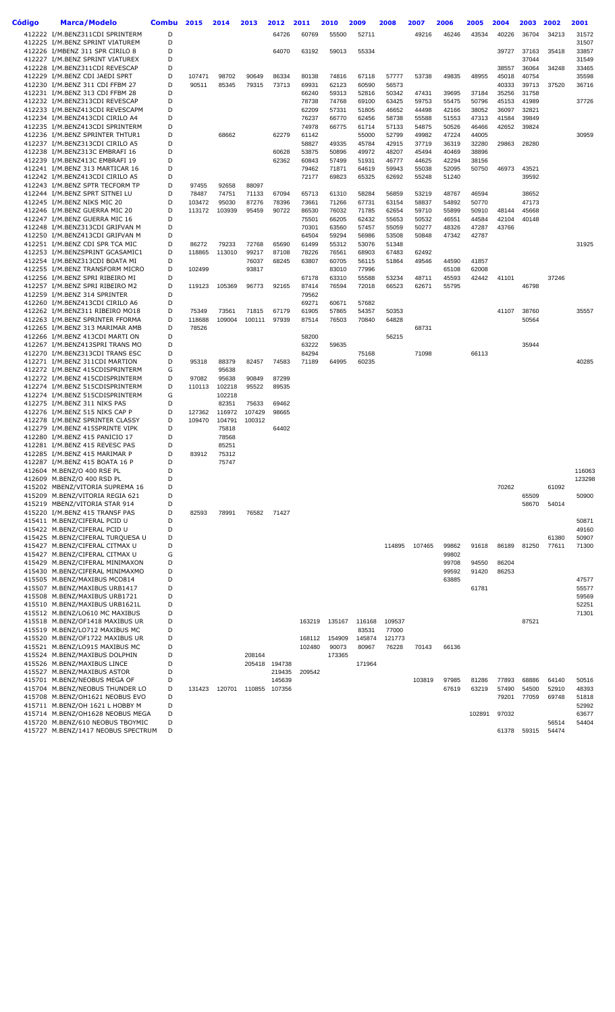| Código | Marca/Modelo                                                        | <b>Combu</b> | 2015   | 2014           | 2013   | 2012           | 2011             | 2010            | 2009            | 2008            | 2007           | 2006           | 2005           | 2004           | 2003           | 2002  | 2001           |
|--------|---------------------------------------------------------------------|--------------|--------|----------------|--------|----------------|------------------|-----------------|-----------------|-----------------|----------------|----------------|----------------|----------------|----------------|-------|----------------|
|        | 412222 I/M.BENZ311CDI SPRINTERM                                     | D            |        |                |        | 64726          | 60769            | 55500           | 52711           |                 | 49216          | 46246          | 43534          | 40226          | 36704          | 34213 | 31572          |
|        | 412225 I/M.BENZ SPRINT VIATUREM                                     | D            |        |                |        |                |                  |                 |                 |                 |                |                |                |                |                |       | 31507          |
|        | 412226 I/MBENZ 311 SPR CIRILO 8                                     | D            |        |                |        | 64070          | 63192            | 59013           | 55334           |                 |                |                |                | 39727          | 37163          | 35418 | 33857          |
|        | 412227 I/M.BENZ SPRINT VIATUREX                                     | D            |        |                |        |                |                  |                 |                 |                 |                |                |                |                | 37044          |       | 31549          |
|        | 412228 I/M.BENZ311CDI REVESCAP<br>412229 I/M.BENZ CDI JAEDI SPRT    | D<br>D       | 107471 | 98702          | 90649  | 86334          | 80138            | 74816           | 67118           | 57777           | 53738          |                | 48955          | 38557          | 36064          | 34248 | 33465<br>35598 |
|        | 412230 I/M.BENZ 311 CDI FFBM 27                                     | D            | 90511  | 85345          | 79315  | 73713          | 69931            | 62123           | 60590           | 56573           |                | 49835          |                | 45018<br>40333 | 40754<br>39713 | 37520 | 36716          |
|        | 412231 I/M.BENZ 313 CDI FFBM 28                                     | D            |        |                |        |                | 66240            | 59313           | 52816           | 50342           | 47431          | 39695          | 37184          | 35256          | 31758          |       |                |
|        | 412232 I/M.BENZ313CDI REVESCAP                                      | D            |        |                |        |                | 78738            | 74768           | 69100           | 63425           | 59753          | 55475          | 50796          | 45153          | 41989          |       | 37726          |
|        | 412233 I/M.BENZ413CDI REVESCAPM                                     | D            |        |                |        |                | 62209            | 57331           | 51805           | 46652           | 44498          | 42166          | 38052          | 36097          | 32821          |       |                |
|        | 412234 I/M.BENZ413CDI CIRILO A4                                     | D            |        |                |        |                | 76237            | 66770           | 62456           | 58738           | 55588          | 51553          | 47313          | 41584          | 39849          |       |                |
|        | 412235 I/M.BENZ413CDI SPRINTERM                                     | D            |        |                |        |                | 74978            | 66775           | 61714           | 57133           | 54875          | 50526          | 46466          | 42652          | 39824          |       |                |
|        | 412236 I/M.BENZ SPRINTER THTUR1                                     | D            |        | 68662          |        | 62279          | 61142            |                 | 55000           | 52799           | 49982          | 47224          | 44005          |                |                |       | 30959          |
|        | 412237 I/M.BENZ313CDI CIRILO A5<br>412238 I/M.BENZ313C EMBRAFI 16   | D<br>D       |        |                |        |                | 58827            | 49335           | 45784           | 42915           | 37719          | 36319          | 32280          | 29863          | 28280          |       |                |
|        | 412239 I/M.BENZ413C EMBRAFI 19                                      | D            |        |                |        | 60628<br>62362 | 53875<br>60843   | 50896<br>57499  | 49972<br>51931  | 48207<br>46777  | 45494<br>44625 | 40469<br>42294 | 38896<br>38156 |                |                |       |                |
|        | 412241 I/M.BENZ 313 MARTICAR 16                                     | D            |        |                |        |                | 79462            | 71871           | 64619           | 59943           | 55038          | 52095          | 50750          | 46973          | 43521          |       |                |
|        | 412242 I/M.BENZ413CDI CIRILO A5                                     | D            |        |                |        |                | 72177            | 69823           | 65325           | 62692           | 55248          | 51240          |                |                | 39592          |       |                |
|        | 412243 I/M.BENZ SPTR TECFORM TP                                     | D            | 97455  | 92658          | 88097  |                |                  |                 |                 |                 |                |                |                |                |                |       |                |
|        | 412244 I/M.BENZ SPRT SITNEI LU                                      | D            | 78487  | 74751          | 71133  | 67094          | 65713            | 61310           | 58284           | 56859           | 53219          | 48767          | 46594          |                | 38652          |       |                |
|        | 412245 I/M.BENZ NIKS MIC 20                                         | D            | 103472 | 95030          | 87276  | 78396          | 73661            | 71266           | 67731           | 63154           | 58837          | 54892          | 50770          |                | 47173          |       |                |
|        | 412246 I/M.BENZ GUERRA MIC 20                                       | D<br>D       | 113172 | 103939         | 95459  | 90722          | 86530<br>75501   | 76032<br>66205  | 71785<br>62432  | 62654<br>55653  | 59710<br>50532 | 55899<br>46551 | 50910<br>44584 | 48144<br>42104 | 45668<br>40148 |       |                |
|        | 412247 I/M.BENZ GUERRA MIC 16<br>412248 I/M.BENZ313CDI GRIFVAN M    | D            |        |                |        |                | 70301            | 63560           | 57457           | 55059           | 50277          | 48326          | 47287          | 43766          |                |       |                |
|        | 412250 I/M.BENZ413CDI GRIFVAN M                                     | D            |        |                |        |                | 64504            | 59294           | 56986           | 53508           | 50848          | 47342          | 42787          |                |                |       |                |
|        | 412251 I/M.BENZ CDI SPR TCA MIC                                     | D            | 86272  | 79233          | 72768  | 65690          | 61499            | 55312           | 53076           | 51348           |                |                |                |                |                |       | 31925          |
|        | 412253 I/M.BENZSPRINT GCASAMIC1                                     | D            | 118865 | 113010         | 99217  | 87108          | 78226            | 76561           | 68903           | 67483           | 62492          |                |                |                |                |       |                |
|        | 412254 I/M.BENZ313CDI BOATA MI                                      | D            |        |                | 76037  | 68245          | 63807            | 60705           | 56115           | 51864           | 49546          | 44590          | 41857          |                |                |       |                |
|        | 412255 I/M.BENZ TRANSFORM MICRO                                     | D            | 102499 |                | 93817  |                |                  | 83010           | 77996           |                 |                | 65108          | 62008          |                |                |       |                |
|        | 412256 I/M.BENZ SPRI RIBEIRO MI                                     | D            |        |                |        |                | 67178            | 63310           | 55588           | 53234           | 48711          | 45593          | 42442          | 41101          |                | 37246 |                |
|        | 412257 I/M.BENZ SPRI RIBEIRO M2                                     | D<br>D       | 119123 | 105369         | 96773  | 92165          | 87414<br>79562   | 76594           | 72018           | 66523           | 62671          | 55795          |                |                | 46798          |       |                |
|        | 412259 I/M.BENZ 314 SPRINTER<br>412260 I/M.BENZ413CDI CIRILO A6     | D            |        |                |        |                | 69271            | 60671           | 57682           |                 |                |                |                |                |                |       |                |
|        | 412262 I/M.BENZ311 RIBEIRO MO18                                     | D            | 75349  | 73561          | 71815  | 67179          | 61905            | 57865           | 54357           | 50353           |                |                |                | 41107          | 38760          |       | 35557          |
|        | 412263 I/M.BENZ SPRINTER FFORMA                                     | D            | 118688 | 109004         | 100111 | 97939          | 87514            | 76503           | 70840           | 64828           |                |                |                |                | 50564          |       |                |
|        | 412265 I/M.BENZ 313 MARIMAR AMB                                     | D            | 78526  |                |        |                |                  |                 |                 |                 | 68731          |                |                |                |                |       |                |
|        | 412266 I/M.BENZ 413CDI MARTI ON                                     | D            |        |                |        |                | 58200            |                 |                 | 56215           |                |                |                |                |                |       |                |
|        | 412267 I/M.BENZ413SPRI TRANS MO                                     | D            |        |                |        |                | 63222            | 59635           |                 |                 |                |                |                |                | 35944          |       |                |
|        | 412270 I/M.BENZ313CDI TRANS ESC                                     | D            |        |                |        |                | 84294            |                 | 75168           |                 | 71098          |                | 66113          |                |                |       |                |
|        | 412271 I/M.BENZ 311CDI MARTION<br>412272 I/M.BENZ 415CDISPRINTERM   | D<br>G       | 95318  | 88379<br>95638 | 82457  | 74583          | 71189            | 64995           | 60235           |                 |                |                |                |                |                |       | 40285          |
|        | 412272 I/M.BENZ 415CDISPRINTERM                                     | D            | 97082  | 95638          | 90849  | 87299          |                  |                 |                 |                 |                |                |                |                |                |       |                |
|        | 412274 I/M.BENZ 515CDISPRINTERM                                     | D            | 110113 | 102218         | 95522  | 89535          |                  |                 |                 |                 |                |                |                |                |                |       |                |
|        | 412274 I/M.BENZ 515CDISPRINTERM                                     | G            |        | 102218         |        |                |                  |                 |                 |                 |                |                |                |                |                |       |                |
|        | 412275 I/M.BENZ 311 NIKS PAS                                        | D            |        | 82351          | 75633  | 69462          |                  |                 |                 |                 |                |                |                |                |                |       |                |
|        | 412276 I/M.BENZ 515 NIKS CAP P                                      | D            | 127362 | 116972         | 107429 | 98665          |                  |                 |                 |                 |                |                |                |                |                |       |                |
|        | 412278 I/M.BENZ SPRINTER CLASSY                                     | D            | 109470 | 104791         | 100312 |                |                  |                 |                 |                 |                |                |                |                |                |       |                |
|        | 412279 I/M.BENZ 415SPRINTE VIPK<br>412280 I/M.BENZ 415 PANICIO 17   | D<br>D       |        | 75818<br>78568 |        | 64402          |                  |                 |                 |                 |                |                |                |                |                |       |                |
|        | 412281 I/M.BENZ 415 REVESC PAS                                      | D            |        | 85251          |        |                |                  |                 |                 |                 |                |                |                |                |                |       |                |
|        | 412285 I/M.BENZ 415 MARIMAR P                                       | D            | 83912  | 75312          |        |                |                  |                 |                 |                 |                |                |                |                |                |       |                |
|        | 412287 I/M.BENZ 415 BOATA 16 P                                      | D            |        | 75747          |        |                |                  |                 |                 |                 |                |                |                |                |                |       |                |
|        | 412604 M.BENZ/O 400 RSE PL                                          | D            |        |                |        |                |                  |                 |                 |                 |                |                |                |                |                |       | 116063         |
|        | 412609 M.BENZ/O 400 RSD PL                                          | D            |        |                |        |                |                  |                 |                 |                 |                |                |                |                |                |       | 123298         |
|        | 415202 MBENZ/VITORIA SUPREMA 16                                     | D<br>D       |        |                |        |                |                  |                 |                 |                 |                |                |                | 70262          | 65509          | 61092 |                |
|        | 415209 M.BENZ/VITORIA REGIA 621<br>415219 MBENZ/VITORIA STAR 914    | D            |        |                |        |                |                  |                 |                 |                 |                |                |                |                | 58670          | 54014 | 50900          |
|        | 415220 I/M.BENZ 415 TRANSF PAS                                      | D            | 82593  | 78991          | 76582  | 71427          |                  |                 |                 |                 |                |                |                |                |                |       |                |
|        | 415411 M.BENZ/CIFERAL PCID U                                        | D            |        |                |        |                |                  |                 |                 |                 |                |                |                |                |                |       | 50871          |
|        | 415422 M.BENZ/CIFERAL PCID U                                        | D            |        |                |        |                |                  |                 |                 |                 |                |                |                |                |                |       | 49160          |
|        | 415425 M.BENZ/CIFERAL TURQUESA U                                    | D            |        |                |        |                |                  |                 |                 |                 |                |                |                |                |                | 61380 | 50907          |
|        | 415427 M.BENZ/CIFERAL CITMAX U                                      | D            |        |                |        |                |                  |                 |                 | 114895          | 107465         | 99862          | 91618          | 86189          | 81250          | 77611 | 71300          |
|        | 415427 M.BENZ/CIFERAL CITMAX U                                      | G            |        |                |        |                |                  |                 |                 |                 |                | 99802          |                |                |                |       |                |
|        | 415429 M.BENZ/CIFERAL MINIMAXON<br>415430 M.BENZ/CIFERAL MINIMAXMO  | D<br>D       |        |                |        |                |                  |                 |                 |                 |                | 99708<br>99592 | 94550<br>91420 | 86204<br>86253 |                |       |                |
|        | 415505 M.BENZ/MAXIBUS MCO814                                        | D            |        |                |        |                |                  |                 |                 |                 |                | 63885          |                |                |                |       | 47577          |
|        | 415507 M.BENZ/MAXIBUS URB1417                                       | D            |        |                |        |                |                  |                 |                 |                 |                |                | 61781          |                |                |       | 55577          |
|        | 415508 M.BENZ/MAXIBUS URB1721                                       | D            |        |                |        |                |                  |                 |                 |                 |                |                |                |                |                |       | 59569          |
|        | 415510 M.BENZ/MAXIBUS URB1621L                                      | D            |        |                |        |                |                  |                 |                 |                 |                |                |                |                |                |       | 52251          |
|        | 415512 M.BENZ/LO610 MC MAXIBUS                                      | D            |        |                |        |                |                  |                 |                 |                 |                |                |                |                |                |       | 71301          |
|        | 415518 M.BENZ/OF1418 MAXIBUS UR                                     | D            |        |                |        |                | 163219           | 135167          | 116168          | 109537          |                |                |                |                | 87521          |       |                |
|        | 415519 M.BENZ/LO712 MAXIBUS MC                                      | D            |        |                |        |                |                  |                 | 83531           | 77000           |                |                |                |                |                |       |                |
|        | 415520 M.BENZ/OF1722 MAXIBUS UR<br>415521 M.BENZ/LO915 MAXIBUS MC   | D<br>D       |        |                |        |                | 168112<br>102480 | 154909<br>90073 | 145874<br>80967 | 121773<br>76228 | 70143          | 66136          |                |                |                |       |                |
|        | 415524 M.BENZ/MAXIBUS DOLPHIN                                       | D            |        |                | 208164 |                |                  | 173365          |                 |                 |                |                |                |                |                |       |                |
|        | 415526 M.BENZ/MAXIBUS LINCE                                         | D            |        |                |        | 205418 194738  |                  |                 | 171964          |                 |                |                |                |                |                |       |                |
|        | 415527 M.BENZ/MAXIBUS ASTOR                                         | D            |        |                |        | 219435         | 209542           |                 |                 |                 |                |                |                |                |                |       |                |
|        | 415701 M.BENZ/NEOBUS MEGA OF                                        | D            |        |                |        | 145639         |                  |                 |                 |                 | 103819         | 97985          | 81286          | 77893          | 68886          | 64140 | 50516          |
|        | 415704 M.BENZ/NEOBUS THUNDER LO                                     | D            | 131423 | 120701         |        | 110855 107356  |                  |                 |                 |                 |                | 67619          | 63219          | 57490          | 54500          | 52910 | 48393          |
|        | 415708 M.BENZ/OH1621 NEOBUS EVO                                     | D            |        |                |        |                |                  |                 |                 |                 |                |                |                | 79201          | 77059          | 69748 | 51818          |
|        | 415711 M.BENZ/OH 1621 L HOBBY M<br>415714 M.BENZ/OH1628 NEOBUS MEGA | D<br>D       |        |                |        |                |                  |                 |                 |                 |                |                | 102891         | 97032          |                |       | 52992<br>63677 |
|        | 415720 M.BENZ/610 NEOBUS TBOYMIC                                    | D            |        |                |        |                |                  |                 |                 |                 |                |                |                |                |                | 56514 | 54404          |
|        | 415727 M.BENZ/1417 NEOBUS SPECTRUM                                  | D            |        |                |        |                |                  |                 |                 |                 |                |                |                | 61378          | 59315          | 54474 |                |
|        |                                                                     |              |        |                |        |                |                  |                 |                 |                 |                |                |                |                |                |       |                |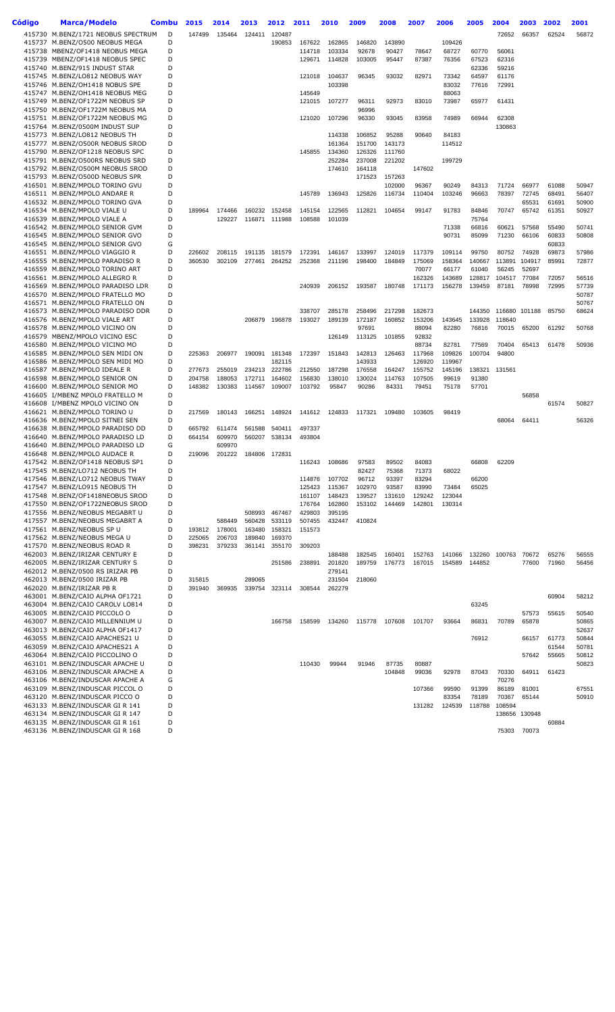| Código | <b>Marca/Modelo</b>                                                 | Combu            | 2015             | 2014             | 2013             | 2012             | 2011             | 2010             | 2009             | 2008             | 2007             | 2006            | 2005            | 2004           | 2003           | 2002           | 2001           |
|--------|---------------------------------------------------------------------|------------------|------------------|------------------|------------------|------------------|------------------|------------------|------------------|------------------|------------------|-----------------|-----------------|----------------|----------------|----------------|----------------|
|        | 415730 M.BENZ/1721 NEOBUS SPECTRUM                                  | D                | 147499           | 135464           | 124411           | 120487           |                  |                  |                  |                  |                  |                 |                 | 72652          | 66357          | 62524          | 56872          |
|        | 415737 M.BENZ/O500 NEOBUS MEGA<br>415738 MBENZ/OF1418 NEOBUS MEGA   | D<br>D           |                  |                  |                  | 190853           | 167622           | 162865<br>103334 | 146820<br>92678  | 143890<br>90427  |                  | 109426<br>68727 |                 |                |                |                |                |
|        | 415739 MBENZ/OF1418 NEOBUS SPEC                                     | D                |                  |                  |                  |                  | 114718<br>129671 | 114828           | 103005           | 95447            | 78647<br>87387   | 76356           | 60770<br>67523  | 56061<br>62316 |                |                |                |
|        | 415740 M.BENZ/915 INDUST STAR                                       | D                |                  |                  |                  |                  |                  |                  |                  |                  |                  |                 | 62336           | 59216          |                |                |                |
|        | 415745 M.BENZ/LO812 NEOBUS WAY                                      | D                |                  |                  |                  |                  | 121018           | 104637           | 96345            | 93032            | 82971            | 73342           | 64597           | 61176          |                |                |                |
|        | 415746 M.BENZ/OH1418 NOBUS SPE<br>415747 M.BENZ/OH1418 NEOBUS MEG   | D<br>D           |                  |                  |                  |                  | 145649           | 103398           |                  |                  |                  | 83032<br>88063  | 77616           | 72991          |                |                |                |
|        | 415749 M.BENZ/OF1722M NEOBUS SP                                     | D                |                  |                  |                  |                  | 121015           | 107277           | 96311            | 92973            | 83010            | 73987           | 65977           | 61431          |                |                |                |
|        | 415750 M.BENZ/OF1722M NEOBUS MA                                     | D                |                  |                  |                  |                  |                  |                  | 96996            |                  |                  |                 |                 |                |                |                |                |
|        | 415751 M.BENZ/OF1722M NEOBUS MG                                     | D                |                  |                  |                  |                  | 121020           | 107296           | 96330            | 93045            | 83958            | 74989           | 66944           | 62308          |                |                |                |
|        | 415764 M.BENZ/0500M INDUST SUP<br>415773 M.BENZ/LO812 NEOBUS TH     | D<br>$\mathsf D$ |                  |                  |                  |                  |                  | 114338           | 106852           | 95288            | 90640            | 84183           |                 | 130863         |                |                |                |
|        | 415777 M.BENZ/O500R NEOBUS SROD                                     | D                |                  |                  |                  |                  |                  | 161364           | 151700           | 143173           |                  | 114512          |                 |                |                |                |                |
|        | 415790 M.BENZ/OF1218 NEOBUS SPC                                     | D                |                  |                  |                  |                  | 145855           | 134360           | 126326           | 111760           |                  |                 |                 |                |                |                |                |
|        | 415791 M.BENZ/O500RS NEOBUS SRD                                     | D                |                  |                  |                  |                  |                  | 252284           | 237008           | 221202           |                  | 199729          |                 |                |                |                |                |
|        | 415792 M.BENZ/O500M NEOBUS SROD<br>415793 M.BENZ/O500D NEOBUS SPR   | D<br>D           |                  |                  |                  |                  |                  | 174610           | 164118<br>171523 | 157263           | 147602           |                 |                 |                |                |                |                |
|        | 416501 M.BENZ/MPOLO TORINO GVU                                      | D                |                  |                  |                  |                  |                  |                  |                  | 102000           | 96367            | 90249           | 84313           | 71724          | 66977          | 61088          | 50947          |
|        | 416511 M.BENZ/MPOLO ANDARE R                                        | D                |                  |                  |                  |                  | 145789           | 136943           | 125826           | 116734           | 110404           | 103246          | 96663           | 78397          | 72745          | 68491          | 56407          |
|        | 416532 M.BENZ/MPOLO TORINO GVA<br>416534 M.BENZ/MPOLO VIALE U       | D<br>D           | 189964           | 174466           | 160232           | 152458           | 145154           | 122565           | 112821           | 104654           | 99147            | 91783           | 84846           | 70747          | 65531<br>65742 | 61691<br>61351 | 50900<br>50927 |
|        | 416539 M.BENZ/MPOLO VIALE A                                         | D                |                  | 129227           | 116871           | 111988           | 108588           | 101039           |                  |                  |                  |                 | 75764           |                |                |                |                |
|        | 416542 M.BENZ/MPOLO SENIOR GVM                                      | D                |                  |                  |                  |                  |                  |                  |                  |                  |                  | 71338           | 66816           | 60621          | 57568          | 55490          | 50741          |
|        | 416545 M.BENZ/MPOLO SENIOR GVO                                      | D                |                  |                  |                  |                  |                  |                  |                  |                  |                  | 90731           | 85099           | 71230          | 66106          | 60833          | 50808          |
|        | 416545 M.BENZ/MPOLO SENIOR GVO<br>416551 M.BENZ/MPOLO VIAGGIO R     | G<br>D           | 226602           | 208115           | 191135           | 181579           | 172391           | 146167           | 133997           | 124019           | 117379           | 109114          | 99750           | 80752          | 74928          | 60833<br>69873 | 57986          |
|        | 416555 M.BENZ/MPOLO PARADISO R                                      | D                | 360530           | 302109           | 277461           | 264252           | 252368           | 211196           | 198400           | 184849           | 175069           | 158364          | 140667          | 113891         | 104917         | 85991          | 72877          |
|        | 416559 M.BENZ/MPOLO TORINO ART                                      | D                |                  |                  |                  |                  |                  |                  |                  |                  | 70077            | 66177           | 61040           | 56245          | 52697          |                |                |
|        | 416561 M.BENZ/MPOLO ALLEGRO R                                       | D                |                  |                  |                  |                  |                  |                  |                  |                  | 162326           | 143689          | 128817          | 104517         | 77084          | 72057          | 56516          |
|        | 416569 M.BENZ/MPOLO PARADISO LDR<br>416570 M.BENZ/MPOLO FRATELLO MO | D<br>D           |                  |                  |                  |                  | 240939           | 206152           | 193587           | 180748           | 171173           | 156278          | 139459          | 87181          | 78998          | 72995          | 57739<br>50787 |
|        | 416571 M.BENZ/MPOLO FRATELLO ON                                     | D                |                  |                  |                  |                  |                  |                  |                  |                  |                  |                 |                 |                |                |                | 50767          |
|        | 416573 M.BENZ/MPOLO PARADISO DDR                                    | D                |                  |                  |                  |                  | 338707           | 285178           | 258496           | 217298           | 182673           |                 | 144350          |                | 116680 101188  | 85750          | 68624          |
|        | 416576 M.BENZ/MPOLO VIALE ART                                       | D                |                  |                  | 206879           | 196878           | 193027           | 189139           | 172187           | 160852           | 153206           | 143645          | 133928          | 118640         |                |                |                |
|        | 416578 M.BENZ/MPOLO VICINO ON<br>416579 MBENZ/MPOLO VICINO ESC      | D<br>D           |                  |                  |                  |                  |                  | 126149           | 97691<br>113125  | 101855           | 88094<br>92832   | 82280           | 76816           | 70015          | 65200          | 61292          | 50768          |
|        | 416580 M.BENZ/MPOLO VICINO MO                                       | D                |                  |                  |                  |                  |                  |                  |                  |                  | 88734            | 82781           | 77569           | 70404          | 65413          | 61478          | 50936          |
|        | 416585 M.BENZ/MPOLO SEN MIDI ON                                     | D                | 225363           | 206977           | 190091           | 181348           | 172397           | 151843           | 142813           | 126463           | 117968           | 109826          | 100704          | 94800          |                |                |                |
|        | 416586 M.BENZ/MPOLO SEN MIDI MO                                     | D<br>D           |                  |                  |                  | 182115<br>222786 |                  |                  | 143933           |                  | 126920           | 119967          |                 |                |                |                |                |
|        | 416587 M.BENZ/MPOLO IDEALE R<br>416598 M.BENZ/MPOLO SENIOR ON       | D                | 277673<br>204758 | 255019<br>188053 | 234213<br>172711 | 164602           | 212550<br>156830 | 187298<br>138010 | 176558<br>130024 | 164247<br>114763 | 155752<br>107505 | 145196<br>99619 | 138321<br>91380 | 131561         |                |                |                |
|        | 416600 M.BENZ/MPOLO SENIOR MO                                       | D                | 148382           | 130383           | 114567           | 109007           | 103792           | 95847            | 90286            | 84331            | 79451            | 75178           | 57701           |                |                |                |                |
|        | 416605 I/MBENZ MPOLO FRATELLO M                                     | D                |                  |                  |                  |                  |                  |                  |                  |                  |                  |                 |                 |                | 56858          |                |                |
|        | 416608 I/MBENZ MPOLO VICINO ON<br>416621 M.BENZ/MPOLO TORINO U      | D<br>D           | 217569           | 180143           | 166251           | 148924           | 141612           | 124833           | 117321           | 109480           | 103605           | 98419           |                 |                |                | 61574          | 50827          |
|        | 416636 M.BENZ/MPOLO SITNEI SEN                                      | D                |                  |                  |                  |                  |                  |                  |                  |                  |                  |                 |                 | 68064          | 64411          |                | 56326          |
|        | 416638 M.BENZ/MPOLO PARADISO DD                                     | D                | 665792           | 611474           | 561588           | 540411           | 497337           |                  |                  |                  |                  |                 |                 |                |                |                |                |
|        | 416640 M.BENZ/MPOLO PARADISO LD                                     | D                | 664154           | 609970           | 560207           | 538134           | 493804           |                  |                  |                  |                  |                 |                 |                |                |                |                |
|        | 416640 M.BENZ/MPOLO PARADISO LD<br>416648 M.BENZ/MPOLO AUDACE R     | G<br>D           | 219096           | 609970<br>201222 |                  | 184806 172831    |                  |                  |                  |                  |                  |                 |                 |                |                |                |                |
|        | 417542 M.BENZ/OF1418 NEOBUS SP1                                     | D                |                  |                  |                  |                  | 116243           | 108686           | 97583            | 89502            | 84083            |                 | 66808           | 62209          |                |                |                |
|        | 417545 M.BENZ/LO712 NEOBUS TH                                       | D                |                  |                  |                  |                  |                  |                  | 82427            | 75368            | 71373            | 68022           |                 |                |                |                |                |
|        | 417546 M.BENZ/LO712 NEOBUS TWAY                                     | D                |                  |                  |                  |                  | 114876           | 107702           | 96712            | 93397            | 83294            |                 | 66200           |                |                |                |                |
|        | 417547 M.BENZ/LO915 NEOBUS TH<br>417548 M.BENZ/OF1418NEOBUS SROD    | D<br>D           |                  |                  |                  |                  | 125423<br>161107 | 115367<br>148423 | 102970<br>139527 | 93587<br>131610  | 83990<br>129242  | 73484<br>123044 | 65025           |                |                |                |                |
|        | 417550 M.BENZ/OF1722NEOBUS SROD                                     | D                |                  |                  |                  |                  | 176764           | 162860           | 153102           | 144469           | 142801           | 130314          |                 |                |                |                |                |
|        | 417556 M.BENZ/NEOBUS MEGABRT U                                      | D                |                  |                  | 508993           | 467467           | 429803           | 395195           |                  |                  |                  |                 |                 |                |                |                |                |
|        | 417557 M.BENZ/NEOBUS MEGABRT A                                      | D                |                  | 588449           | 560428           | 533119           | 507455           | 432447           | 410824           |                  |                  |                 |                 |                |                |                |                |
|        | 417561 M.BENZ/NEOBUS SP U<br>417562 M.BENZ/NEOBUS MEGA U            | D<br>D           | 193812<br>225065 | 178001<br>206703 | 163480<br>189840 | 158321<br>169370 | 151573           |                  |                  |                  |                  |                 |                 |                |                |                |                |
|        | 417570 M.BENZ/NEOBUS ROAD R                                         | D                | 398231           | 379233           | 361141           | 355170           | 309203           |                  |                  |                  |                  |                 |                 |                |                |                |                |
|        | 462003 M.BENZ/IRIZAR CENTURY E                                      | D                |                  |                  |                  |                  |                  | 188488           | 182545           | 160401           | 152763           | 141066          | 132260          | 100763         | 70672          | 65276          | 56555          |
|        | 462005 M.BENZ/IRIZAR CENTURY S                                      | D<br>D           |                  |                  |                  | 251586           | 238891           | 201820           | 189759           | 176773           | 167015           | 154589          | 144852          |                | 77600          | 71960          | 56456          |
|        | 462012 M.BENZ/0500 RS IRIZAR PB<br>462013 M.BENZ/0500 IRIZAR PB     | D                | 315815           |                  | 289065           |                  |                  | 279141<br>231504 | 218060           |                  |                  |                 |                 |                |                |                |                |
|        | 462020 M.BENZ/IRIZAR PB R                                           | D                | 391940           | 369935           | 339754           | 323114           | 308544           | 262279           |                  |                  |                  |                 |                 |                |                |                |                |
|        | 463001 M.BENZ/CAIO ALPHA OF1721                                     | D                |                  |                  |                  |                  |                  |                  |                  |                  |                  |                 |                 |                |                | 60904          | 58212          |
|        | 463004 M.BENZ/CAIO CAROLV LO814<br>463005 M.BENZ/CAIO PICCOLO O     | D<br>D           |                  |                  |                  |                  |                  |                  |                  |                  |                  |                 | 63245           |                | 57573          | 55615          | 50540          |
|        | 463007 M.BENZ/CAIO MILLENNIUM U                                     | D                |                  |                  |                  | 166758           | 158599           | 134260           | 115778           | 107608           | 101707           | 93664           | 86831           | 70789          | 65878          |                | 50865          |
|        | 463013 M.BENZ/CAIO ALPHA OF1417                                     | D                |                  |                  |                  |                  |                  |                  |                  |                  |                  |                 |                 |                |                |                | 52637          |
|        | 463055 M.BENZ/CAIO APACHES21 U                                      | D                |                  |                  |                  |                  |                  |                  |                  |                  |                  |                 | 76912           |                | 66157          | 61773          | 50844          |
|        | 463059 M.BENZ/CAIO APACHES21 A<br>463064 M.BENZ/CAIO PICCOLINO O    | D<br>D           |                  |                  |                  |                  |                  |                  |                  |                  |                  |                 |                 |                | 57642          | 61544<br>55665 | 50781<br>50812 |
|        | 463101 M.BENZ/INDUSCAR APACHE U                                     | D                |                  |                  |                  |                  | 110430           | 99944            | 91946            | 87735            | 80887            |                 |                 |                |                |                | 50823          |
|        | 463106 M.BENZ/INDUSCAR APACHE A                                     | D                |                  |                  |                  |                  |                  |                  |                  | 104848           | 99036            | 92978           | 87043           | 70330          | 64911          | 61423          |                |
|        | 463106 M.BENZ/INDUSCAR APACHE A                                     | G                |                  |                  |                  |                  |                  |                  |                  |                  |                  |                 |                 | 70276          |                |                |                |
|        | 463109 M.BENZ/INDUSCAR PICCOL O<br>463120 M.BENZ/INDUSCAR PICCO O   | D<br>D           |                  |                  |                  |                  |                  |                  |                  |                  | 107366           | 99590<br>83354  | 91399<br>78189  | 86189<br>70367 | 81001<br>65144 |                | 67551<br>50910 |
|        | 463133 M.BENZ/INDUSCAR GIR 141                                      | D                |                  |                  |                  |                  |                  |                  |                  |                  | 131282           | 124539          | 118788          | 108594         |                |                |                |
|        | 463134 M.BENZ/INDUSCAR GIR 147                                      | D                |                  |                  |                  |                  |                  |                  |                  |                  |                  |                 |                 |                | 138656 130948  |                |                |
|        | 463135 M.BENZ/INDUSCAR GIR 161<br>463136 M.BENZ/INDUSCAR GIR 168    | D<br>D           |                  |                  |                  |                  |                  |                  |                  |                  |                  |                 |                 | 75303          | 70073          | 60884          |                |
|        |                                                                     |                  |                  |                  |                  |                  |                  |                  |                  |                  |                  |                 |                 |                |                |                |                |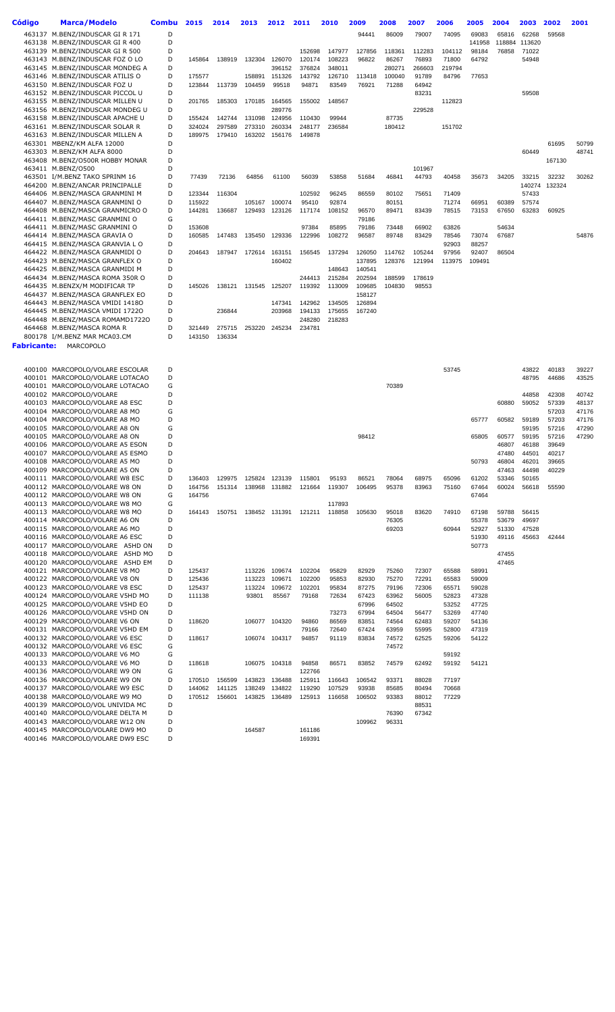| Código      | <b>Marca/Modelo</b>                                                | <b>Combu</b> | 2015             | 2014             | 2013             | 2012             | 2011             | 2010             | 2009             | 2008             | 2007             | 2006            | 2005            | 2004           | 2003            | 2002           | 2001           |
|-------------|--------------------------------------------------------------------|--------------|------------------|------------------|------------------|------------------|------------------|------------------|------------------|------------------|------------------|-----------------|-----------------|----------------|-----------------|----------------|----------------|
|             | 463137 M.BENZ/INDUSCAR GIR 171                                     | D            |                  |                  |                  |                  |                  |                  | 94441            | 86009            | 79007            | 74095           | 69083           | 65816          | 62268           | 59568          |                |
|             | 463138 M.BENZ/INDUSCAR GIR 400                                     | D            |                  |                  |                  |                  |                  |                  |                  |                  |                  |                 | 141958          | 118884         | 113620          |                |                |
|             | 463139 M.BENZ/INDUSCAR GIR 500<br>463143 M.BENZ/INDUSCAR FOZ O LO  | D<br>D       | 145864           | 138919           | 132304           | 126070           | 152698<br>120174 | 147977<br>108223 | 127856<br>96822  | 118361<br>86267  | 112283<br>76893  | 104112<br>71800 | 98184<br>64792  | 76858          | 71022<br>54948  |                |                |
|             | 463145 M.BENZ/INDUSCAR MONDEG A                                    | D            |                  |                  |                  | 396152           | 376824           | 348011           |                  | 280271           | 266603           | 219794          |                 |                |                 |                |                |
|             | 463146 M.BENZ/INDUSCAR ATILIS O                                    | D            | 175577           |                  | 158891           | 151326           | 143792           | 126710           | 113418           | 100040           | 91789            | 84796           | 77653           |                |                 |                |                |
|             | 463150 M.BENZ/INDUSCAR FOZ U<br>463152 M.BENZ/INDUSCAR PICCOL U    | D<br>D       | 123844           | 113739           | 104459           | 99518            | 94871            | 83549            | 76921            | 71288            | 64942<br>83231   |                 |                 |                | 59508           |                |                |
|             | 463155 M.BENZ/INDUSCAR MILLEN U                                    | D            | 201765           | 185303           | 170185           | 164565           | 155002           | 148567           |                  |                  |                  | 112823          |                 |                |                 |                |                |
|             | 463156 M.BENZ/INDUSCAR MONDEG U                                    | D            |                  |                  |                  | 289776           |                  |                  |                  |                  | 229528           |                 |                 |                |                 |                |                |
|             | 463158 M.BENZ/INDUSCAR APACHE U<br>463161 M.BENZ/INDUSCAR SOLAR R  | D<br>D       | 155424<br>324024 | 142744<br>297589 | 131098<br>273310 | 124956<br>260334 | 110430<br>248177 | 99944<br>236584  |                  | 87735<br>180412  |                  | 151702          |                 |                |                 |                |                |
|             | 463163 M.BENZ/INDUSCAR MILLEN A                                    | D            | 189975           | 179410           | 163202           | 156176           | 149878           |                  |                  |                  |                  |                 |                 |                |                 |                |                |
|             | 463301 MBENZ/KM ALFA 12000                                         | D            |                  |                  |                  |                  |                  |                  |                  |                  |                  |                 |                 |                |                 | 61695          | 50799          |
|             | 463303 M.BENZ/KM ALFA 8000<br>463408 M.BENZ/O500R HOBBY MONAR      | D<br>D       |                  |                  |                  |                  |                  |                  |                  |                  |                  |                 |                 |                | 60449           | 167130         | 48741          |
|             | 463411 M.BENZ/0500                                                 | D            |                  |                  |                  |                  |                  |                  |                  |                  | 101967           |                 |                 |                |                 |                |                |
|             | 463501 I/M.BENZ TAKO SPRINM 16                                     | D            | 77439            | 72136            | 64856            | 61100            | 56039            | 53858            | 51684            | 46841            | 44793            | 40458           | 35673           | 34205          | 33215           | 32232          | 30262          |
|             | 464200 M.BENZ/ANCAR PRINCIPALLE<br>464406 M.BENZ/MASCA GRANMINI M  | D<br>D       | 123344           | 116304           |                  |                  | 102592           | 96245            | 86559            | 80102            | 75651            | 71409           |                 |                | 140274<br>57433 | 132324         |                |
|             | 464407 M.BENZ/MASCA GRANMINI O                                     | D            | 115922           |                  | 105167           | 100074           | 95410            | 92874            |                  | 80151            |                  | 71274           | 66951           | 60389          | 57574           |                |                |
|             | 464408 M.BENZ/MASCA GRANMICRO O                                    | D            | 144281           | 136687           | 129493           | 123126           | 117174           | 108152           | 96570            | 89471            | 83439            | 78515           | 73153           | 67650          | 63283           | 60925          |                |
|             | 464411 M.BENZ/MASC GRANMINI O<br>464411 M.BENZ/MASC GRANMINI O     | G<br>D       | 153608           |                  |                  |                  | 97384            | 85895            | 79186<br>79186   | 73448            | 66902            | 63826           |                 | 54634          |                 |                |                |
|             | 464414 M.BENZ/MASCA GRAVIA O                                       | D            | 160585           | 147483           | 135450           | 129336           | 122996           | 108272           | 96587            | 89748            | 83429            | 78546           | 73074           | 67687          |                 |                | 54876          |
|             | 464415 M.BENZ/MASCA GRANVIA L O                                    | D            |                  |                  |                  |                  |                  |                  |                  |                  |                  | 92903           | 88257           |                |                 |                |                |
|             | 464422 M.BENZ/MASCA GRANMIDI O<br>464423 M.BENZ/MASCA GRANFLEX O   | D<br>D       | 204643           | 187947           | 172614           | 163151<br>160402 | 156545           | 137294           | 126050<br>137895 | 114762<br>128376 | 105244<br>121994 | 97956<br>113975 | 92407<br>109491 | 86504          |                 |                |                |
|             | 464425 M.BENZ/MASCA GRANMIDI M                                     | D            |                  |                  |                  |                  |                  | 148643           | 140541           |                  |                  |                 |                 |                |                 |                |                |
|             | 464434 M.BENZ/MASCA ROMA 350R O                                    | D            |                  |                  |                  |                  | 244413           | 215284           | 202594           | 188599           | 178619           |                 |                 |                |                 |                |                |
|             | 464435 M.BENZX/M MODIFICAR TP                                      | D            | 145026           | 138121           | 131545           | 125207           | 119392           | 113009           | 109685           | 104830           | 98553            |                 |                 |                |                 |                |                |
|             | 464437 M.BENZ/MASCA GRANFLEX EO<br>464443 M.BENZ/MASCA VMIDI 14180 | D<br>D       |                  |                  |                  | 147341           | 142962           | 134505           | 158127<br>126894 |                  |                  |                 |                 |                |                 |                |                |
|             | 464445 M.BENZ/MASCA VMIDI 17220                                    | D            |                  | 236844           |                  | 203968           | 194133           | 175655           | 167240           |                  |                  |                 |                 |                |                 |                |                |
|             | 464448 M.BENZ/MASCA ROMAMD17220                                    | D            |                  |                  |                  |                  | 248280           | 218283           |                  |                  |                  |                 |                 |                |                 |                |                |
|             | 464468 M.BENZ/MASCA ROMA R<br>800178 I/M.BENZ MAR MCA03.CM         | D<br>D       | 321449<br>143150 | 275715<br>136334 | 253220           | 245234           | 234781           |                  |                  |                  |                  |                 |                 |                |                 |                |                |
| Fabricante: | MARCOPOLO                                                          |              |                  |                  |                  |                  |                  |                  |                  |                  |                  |                 |                 |                |                 |                |                |
|             |                                                                    |              |                  |                  |                  |                  |                  |                  |                  |                  |                  |                 |                 |                |                 |                |                |
|             | 400100 MARCOPOLO/VOLARE ESCOLAR                                    | D            |                  |                  |                  |                  |                  |                  |                  |                  |                  | 53745           |                 |                | 43822           | 40183          | 39227          |
|             | 400101 MARCOPOLO/VOLARE LOTACAO                                    | D            |                  |                  |                  |                  |                  |                  |                  |                  |                  |                 |                 |                | 48795           | 44686          | 43525          |
|             | 400101 MARCOPOLO/VOLARE LOTACAO<br>400102 MARCOPOLO/VOLARE         | G<br>D       |                  |                  |                  |                  |                  |                  |                  | 70389            |                  |                 |                 |                | 44858           | 42308          | 40742          |
|             | 400103 MARCOPOLO/VOLARE A8 ESC                                     | D            |                  |                  |                  |                  |                  |                  |                  |                  |                  |                 |                 | 60880          | 59052           | 57339          | 48137          |
|             | 400104 MARCOPOLO/VOLARE A8 MO                                      | G            |                  |                  |                  |                  |                  |                  |                  |                  |                  |                 |                 |                |                 | 57203          | 47176          |
|             | 400104 MARCOPOLO/VOLARE A8 MO<br>400105 MARCOPOLO/VOLARE A8 ON     | D<br>G       |                  |                  |                  |                  |                  |                  |                  |                  |                  |                 | 65777           | 60582          | 59189<br>59195  | 57203<br>57216 | 47176<br>47290 |
|             | 400105 MARCOPOLO/VOLARE A8 ON                                      | D            |                  |                  |                  |                  |                  |                  | 98412            |                  |                  |                 | 65805           | 60577          | 59195           | 57216          | 47290          |
|             | 400106 MARCOPOLO/VOLARE A5 ESON                                    | D            |                  |                  |                  |                  |                  |                  |                  |                  |                  |                 |                 | 46807          | 46188           | 39649          |                |
|             | 400107 MARCOPOLO/VOLARE A5 ESMO<br>400108 MARCOPOLO/VOLARE A5 MO   | D<br>D       |                  |                  |                  |                  |                  |                  |                  |                  |                  |                 | 50793           | 47480<br>46804 | 44501<br>46201  | 40217<br>39665 |                |
|             | 400109 MARCOPOLO/VOLARE A5 ON                                      | D            |                  |                  |                  |                  |                  |                  |                  |                  |                  |                 |                 | 47463          | 44498           | 40229          |                |
|             | 400111 MARCOPOLO/VOLARE W8 ESC                                     | D            | 136403           | 129975           | 125824           | 123139           | 115801           | 95193            | 86521            | 78064            | 68975            | 65096           | 61202           | 53346          | 50165           |                |                |
|             | 400112 MARCOPOLO/VOLARE W8 ON<br>400112 MARCOPOLO/VOLARE W8 ON     | D<br>G       | 164756<br>164756 | 151314           | 138968           | 131882           | 121664           | 119307           | 106495           | 95378            | 83963            | 75160           | 67464<br>67464  | 60024          | 56618           | 55590          |                |
|             | 400113 MARCOPOLO/VOLARE W8 MO                                      | G            |                  |                  |                  |                  |                  | 117893           |                  |                  |                  |                 |                 |                |                 |                |                |
|             | 400113 MARCOPOLO/VOLARE W8 MO                                      | D            | 164143           | 150751           |                  | 138452 131391    | 121211           | 118858           | 105630           | 95018            | 83620            | 74910           | 67198           | 59788          | 56415           |                |                |
|             | 400114 MARCOPOLO/VOLARE A6 ON<br>400115 MARCOPOLO/VOLARE A6 MO     | D<br>D       |                  |                  |                  |                  |                  |                  |                  | 76305<br>69203   |                  | 60944           | 55378<br>52927  | 53679<br>51330 | 49697<br>47528  |                |                |
|             | 400116 MARCOPOLO/VOLARE A6 ESC                                     | D            |                  |                  |                  |                  |                  |                  |                  |                  |                  |                 | 51930           | 49116          | 45663           | 42444          |                |
|             | 400117 MARCOPOLO/VOLARE A5HD ON                                    | D            |                  |                  |                  |                  |                  |                  |                  |                  |                  |                 | 50773           |                |                 |                |                |
|             | 400118 MARCOPOLO/VOLARE A5HD MO<br>400120 MARCOPOLO/VOLARE A5HD EM | D<br>D       |                  |                  |                  |                  |                  |                  |                  |                  |                  |                 |                 | 47455<br>47465 |                 |                |                |
|             | 400121 MARCOPOLO/VOLARE V8 MO                                      | D            | 125437           |                  | 113226           | 109674           | 102204           | 95829            | 82929            | 75260            | 72307            | 65588           | 58991           |                |                 |                |                |
|             | 400122 MARCOPOLO/VOLARE V8 ON                                      | D            | 125436           |                  | 113223           | 109671           | 102200           | 95853            | 82930            | 75270            | 72291            | 65583           | 59009           |                |                 |                |                |
|             | 400123 MARCOPOLO/VOLARE V8 ESC                                     | D<br>D       | 125437           |                  | 113224           | 109672           | 102201           | 95834            | 87275            | 79196            | 72306            | 65571           | 59028           |                |                 |                |                |
|             | 400124 MARCOPOLO/VOLARE V5HD MO<br>400125 MARCOPOLO/VOLARE V5HD EO | D            | 111138           |                  | 93801            | 85567            | 79168            | 72634            | 67423<br>67996   | 63962<br>64502   | 56005            | 52823<br>53252  | 47328<br>47725  |                |                 |                |                |
|             | 400126 MARCOPOLO/VOLARE V5HD ON                                    | D            |                  |                  |                  |                  |                  | 73273            | 67994            | 64504            | 56477            | 53269           | 47740           |                |                 |                |                |
|             | 400129 MARCOPOLO/VOLARE V6 ON                                      | D            | 118620           |                  |                  | 106077 104320    | 94860            | 86569            | 83851            | 74564            | 62483            | 59207           | 54136           |                |                 |                |                |
|             | 400131 MARCOPOLO/VOLARE V5HD EM<br>400132 MARCOPOLO/VOLARE V6 ESC  | D<br>D       | 118617           |                  |                  | 106074 104317    | 79166<br>94857   | 72640<br>91119   | 67424<br>83834   | 63959<br>74572   | 55995<br>62525   | 52800<br>59206  | 47319<br>54122  |                |                 |                |                |
|             | 400132 MARCOPOLO/VOLARE V6 ESC                                     | G            |                  |                  |                  |                  |                  |                  |                  | 74572            |                  |                 |                 |                |                 |                |                |
|             | 400133 MARCOPOLO/VOLARE V6 MO                                      | G            |                  |                  |                  |                  |                  |                  |                  |                  |                  | 59192           |                 |                |                 |                |                |
|             | 400133 MARCOPOLO/VOLARE V6 MO<br>400136 MARCOPOLO/VOLARE W9 ON     | D<br>G       | 118618           |                  | 106075           | 104318           | 94858<br>122766  | 86571            | 83852            | 74579            | 62492            | 59192           | 54121           |                |                 |                |                |
|             | 400136 MARCOPOLO/VOLARE W9 ON                                      | D            | 170510           | 156599           | 143823           | 136488           | 125911           | 116643           | 106542           | 93371            | 88028            | 77197           |                 |                |                 |                |                |
|             | 400137 MARCOPOLO/VOLARE W9 ESC                                     | D            | 144062           | 141125           | 138249           | 134822           | 119290           | 107529           | 93938            | 85685            | 80494            | 70668           |                 |                |                 |                |                |
|             | 400138 MARCOPOLO/VOLARE W9 MO<br>400139 MARCOPOLO/VOL UNIVIDA MC   | D<br>D       | 170512           | 156601           | 143825           | 136489           | 125913           | 116658           | 106502           | 93383            | 88012<br>88531   | 77229           |                 |                |                 |                |                |
|             | 400140 MARCOPOLO/VOLARE DELTA M                                    | D            |                  |                  |                  |                  |                  |                  |                  | 76390            | 67342            |                 |                 |                |                 |                |                |
|             | 400143 MARCOPOLO/VOLARE W12 ON                                     | D            |                  |                  |                  |                  |                  |                  | 109962           | 96331            |                  |                 |                 |                |                 |                |                |
|             | 400145 MARCOPOLO/VOLARE DW9 MO<br>400146 MARCOPOLO/VOLARE DW9 ESC  | D<br>D       |                  |                  | 164587           |                  | 161186<br>169391 |                  |                  |                  |                  |                 |                 |                |                 |                |                |
|             |                                                                    |              |                  |                  |                  |                  |                  |                  |                  |                  |                  |                 |                 |                |                 |                |                |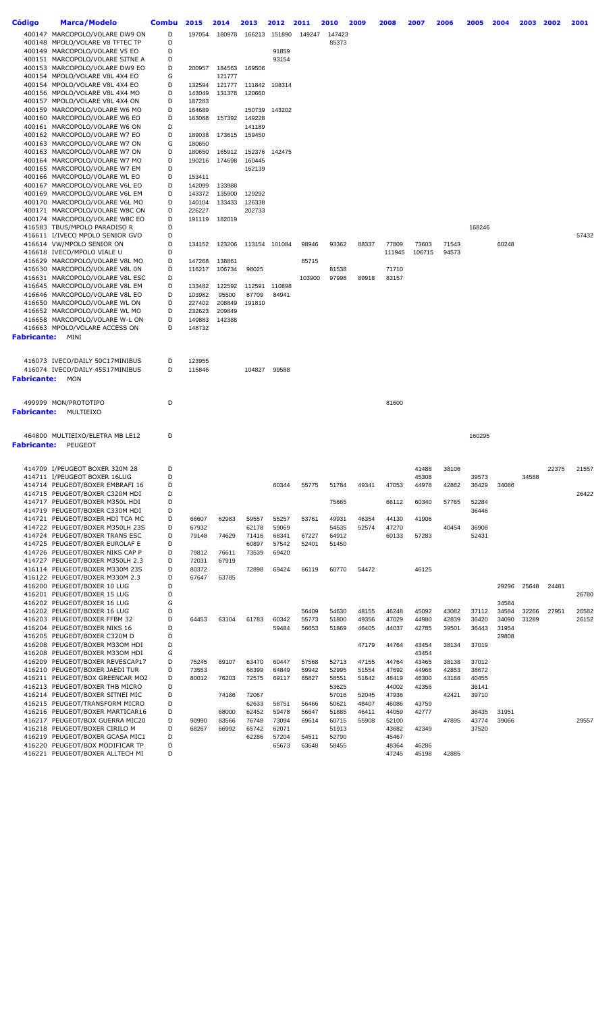| Código             | <b>Marca/Modelo</b>                                               | <b>Combu</b> | 2015           | 2014   | 2013             | 2012           | 2011           | 2010           | 2009           | 2008           | 2007           | 2006           | 2005           | 2004  | 2003  | 2002  | 2001  |
|--------------------|-------------------------------------------------------------------|--------------|----------------|--------|------------------|----------------|----------------|----------------|----------------|----------------|----------------|----------------|----------------|-------|-------|-------|-------|
|                    | 400147 MARCOPOLO/VOLARE DW9 ON                                    | D            | 197054         | 180978 | 166213           | 151890         | 149247         | 147423         |                |                |                |                |                |       |       |       |       |
|                    | 400148 MPOLO/VOLARE V8 TFTEC TP                                   | D            |                |        |                  |                |                | 85373          |                |                |                |                |                |       |       |       |       |
|                    | 400149 MARCOPOLO/VOLARE V5 EO                                     | D            |                |        |                  | 91859          |                |                |                |                |                |                |                |       |       |       |       |
|                    | 400151 MARCOPOLO/VOLARE SITNE A                                   | D            |                |        |                  | 93154          |                |                |                |                |                |                |                |       |       |       |       |
|                    | 400153 MARCOPOLO/VOLARE DW9 EO                                    | D            | 200957         | 184563 | 169506           |                |                |                |                |                |                |                |                |       |       |       |       |
|                    | 400154 MPOLO/VOLARE V8L 4X4 EO                                    | G            |                | 121777 |                  |                |                |                |                |                |                |                |                |       |       |       |       |
|                    | 400154 MPOLO/VOLARE V8L 4X4 EO                                    | D            | 132594         | 121777 | 111842           | 108314         |                |                |                |                |                |                |                |       |       |       |       |
|                    | 400156 MPOLO/VOLARE V8L 4X4 MO                                    | D            | 143049         | 131378 | 120660           |                |                |                |                |                |                |                |                |       |       |       |       |
|                    | 400157 MPOLO/VOLARE V8L 4X4 ON                                    | D            | 187283         |        |                  |                |                |                |                |                |                |                |                |       |       |       |       |
|                    | 400159 MARCOPOLO/VOLARE W6 MO<br>400160 MARCOPOLO/VOLARE W6 EO    | D            | 164689         |        | 150739           | 143202         |                |                |                |                |                |                |                |       |       |       |       |
|                    | 400161 MARCOPOLO/VOLARE W6 ON                                     | D<br>D       | 163088         | 157392 | 149228<br>141189 |                |                |                |                |                |                |                |                |       |       |       |       |
|                    | 400162 MARCOPOLO/VOLARE W7 EO                                     | D            | 189038         | 173615 | 159450           |                |                |                |                |                |                |                |                |       |       |       |       |
|                    | 400163 MARCOPOLO/VOLARE W7 ON                                     | G            | 180650         |        |                  |                |                |                |                |                |                |                |                |       |       |       |       |
|                    | 400163 MARCOPOLO/VOLARE W7 ON                                     | D            | 180650         | 165912 | 152376           | 142475         |                |                |                |                |                |                |                |       |       |       |       |
|                    | 400164 MARCOPOLO/VOLARE W7 MO                                     | D            | 190216         | 174698 | 160445           |                |                |                |                |                |                |                |                |       |       |       |       |
|                    | 400165 MARCOPOLO/VOLARE W7 EM                                     | D            |                |        | 162139           |                |                |                |                |                |                |                |                |       |       |       |       |
|                    | 400166 MARCOPOLO/VOLARE WL EO                                     | D            | 153411         |        |                  |                |                |                |                |                |                |                |                |       |       |       |       |
|                    | 400167 MARCOPOLO/VOLARE V6L EO                                    | D            | 142099         | 133988 |                  |                |                |                |                |                |                |                |                |       |       |       |       |
|                    | 400169 MARCOPOLO/VOLARE V6L EM                                    | D            | 143372         | 135900 | 129292           |                |                |                |                |                |                |                |                |       |       |       |       |
|                    | 400170 MARCOPOLO/VOLARE V6L MO                                    | D            | 140104         | 133433 | 126338           |                |                |                |                |                |                |                |                |       |       |       |       |
|                    | 400171 MARCOPOLO/VOLARE W8C ON                                    | D<br>D       | 226227         |        | 202733           |                |                |                |                |                |                |                |                |       |       |       |       |
|                    | 400174 MARCOPOLO/VOLARE W8C EO<br>416583 TBUS/MPOLO PARADISO R    | D            | 191119         | 182019 |                  |                |                |                |                |                |                |                | 168246         |       |       |       |       |
|                    | 416611 I/IVECO MPOLO SENIOR GVO                                   | D            |                |        |                  |                |                |                |                |                |                |                |                |       |       |       | 57432 |
|                    | 416614 VW/MPOLO SENIOR ON                                         | D            | 134152         | 123206 |                  | 113154 101084  | 98946          | 93362          | 88337          | 77809          | 73603          | 71543          |                | 60248 |       |       |       |
|                    | 416618 IVECO/MPOLO VIALE U                                        | D            |                |        |                  |                |                |                |                | 111945         | 106715         | 94573          |                |       |       |       |       |
|                    | 416629 MARCOPOLO/VOLARE V8L MO                                    | D            | 147268         | 138861 |                  |                | 85715          |                |                |                |                |                |                |       |       |       |       |
|                    | 416630 MARCOPOLO/VOLARE V8L 0N                                    | D            | 116217         | 106734 | 98025            |                |                | 81538          |                | 71710          |                |                |                |       |       |       |       |
|                    | 416631 MARCOPOLO/VOLARE V8L ESC                                   | D            |                |        |                  |                | 103900         | 97998          | 89918          | 83157          |                |                |                |       |       |       |       |
|                    | 416645 MARCOPOLO/VOLARE V8L EM                                    | D            | 133482         | 122592 | 112591           | 110898         |                |                |                |                |                |                |                |       |       |       |       |
|                    | 416646 MARCOPOLO/VOLARE V8L EO                                    | D            | 103982         | 95500  | 87709            | 84941          |                |                |                |                |                |                |                |       |       |       |       |
|                    | 416650 MARCOPOLO/VOLARE WL ON                                     | D            | 227402         | 208849 | 191810           |                |                |                |                |                |                |                |                |       |       |       |       |
|                    | 416652 MARCOPOLO/VOLARE WL MO                                     | D            | 232623         | 209849 |                  |                |                |                |                |                |                |                |                |       |       |       |       |
|                    | 416658 MARCOPOLO/VOLARE W-L ON                                    | D            | 149883         | 142388 |                  |                |                |                |                |                |                |                |                |       |       |       |       |
|                    | 416663 MPOLO/VOLARE ACCESS ON                                     | D            | 148732         |        |                  |                |                |                |                |                |                |                |                |       |       |       |       |
| <b>Fabricante:</b> | MINI                                                              |              |                |        |                  |                |                |                |                |                |                |                |                |       |       |       |       |
|                    |                                                                   |              |                |        |                  |                |                |                |                |                |                |                |                |       |       |       |       |
|                    | 416073 IVECO/DAILY 50C17MINIBUS                                   | D            | 123955         |        |                  |                |                |                |                |                |                |                |                |       |       |       |       |
|                    | 416074 IVECO/DAILY 45S17MINIBUS                                   | D            | 115846         |        | 104827           | 99588          |                |                |                |                |                |                |                |       |       |       |       |
| <b>Fabricante:</b> | <b>MON</b>                                                        |              |                |        |                  |                |                |                |                |                |                |                |                |       |       |       |       |
|                    |                                                                   |              |                |        |                  |                |                |                |                |                |                |                |                |       |       |       |       |
|                    | 499999 MON/PROTOTIPO                                              | D            |                |        |                  |                |                |                |                |                |                |                |                |       |       |       |       |
|                    |                                                                   |              |                |        |                  |                |                |                |                | 81600          |                |                |                |       |       |       |       |
| Fabricante:        | MULTIEIXO                                                         |              |                |        |                  |                |                |                |                |                |                |                |                |       |       |       |       |
|                    |                                                                   |              |                |        |                  |                |                |                |                |                |                |                |                |       |       |       |       |
|                    | 464800 MULTIEIXO/ELETRA MB LE12                                   | D            |                |        |                  |                |                |                |                |                |                |                | 160295         |       |       |       |       |
| <b>Fabricante:</b> | PEUGEOT                                                           |              |                |        |                  |                |                |                |                |                |                |                |                |       |       |       |       |
|                    |                                                                   |              |                |        |                  |                |                |                |                |                |                |                |                |       |       |       |       |
|                    | 414709 I/PEUGEOT BOXER 320M 28                                    | D            |                |        |                  |                |                |                |                |                | 41488          | 38106          |                |       |       | 22375 | 21557 |
|                    | 414711 I/PEUGEOT BOXER 16LUG                                      | D            |                |        |                  |                |                |                |                |                | 45308          |                | 39573          |       | 34588 |       |       |
|                    | 414714 PEUGEOT/BOXER EMBRAFI 16                                   | D            |                |        |                  | 60344          | 55775          | 51784          | 49341          | 47053          | 44978          | 42862          | 36429          | 34086 |       |       |       |
|                    | 414715 PEUGEOT/BOXER C320M HDI                                    | D            |                |        |                  |                |                |                |                |                |                |                |                |       |       |       | 26422 |
|                    | 414717 PEUGEOT/BOXER M350L HDI                                    | D            |                |        |                  |                |                | 75665          |                | 66112          | 60340          | 57765          | 52284          |       |       |       |       |
|                    | 414719 PEUGEOT/BOXER C330M HDI                                    | D            |                |        |                  |                |                |                |                |                |                |                | 36446          |       |       |       |       |
|                    | 414721 PEUGEOT/BOXER HDI TCA MC                                   | D            | 66607          | 62983  | 59557            | 55257          | 53761          | 49931          | 46354          | 44130          | 41906          |                |                |       |       |       |       |
|                    | 414722 PEUGEOT/BOXER M350LH 23S                                   | D            | 67932          |        | 62178            | 59069          |                | 54535          | 52574          | 47270          |                | 40454          | 36908          |       |       |       |       |
|                    | 414724 PEUGEOT/BOXER TRANS ESC                                    | D            | 79148          | 74629  | 71416            | 68341          | 67227          | 64912          |                | 60133          | 57283          |                | 52431          |       |       |       |       |
|                    | 414725 PEUGEOT/BOXER EUROLAF E                                    | D            |                |        | 60897            | 57542          | 52401          | 51450          |                |                |                |                |                |       |       |       |       |
|                    | 414726 PEUGEOT/BOXER NIKS CAP P                                   | D            | 79812          | 76611  | 73539            | 69420          |                |                |                |                |                |                |                |       |       |       |       |
|                    | 414727 PEUGEOT/BOXER M350LH 2.3<br>416114 PEUGEOT/BOXER M330M 23S | D<br>D       | 72031<br>80372 | 67919  | 72898            | 69424          | 66119          | 60770          | 54472          |                | 46125          |                |                |       |       |       |       |
|                    | 416122 PEUGEOT/BOXER M330M 2.3                                    | D            | 67647          | 63785  |                  |                |                |                |                |                |                |                |                |       |       |       |       |
|                    | 416200 PEUGEOT/BOXER 10 LUG                                       | D            |                |        |                  |                |                |                |                |                |                |                |                | 29296 | 25648 | 24481 |       |
|                    | 416201 PEUGEOT/BOXER 15 LUG                                       | D            |                |        |                  |                |                |                |                |                |                |                |                |       |       |       | 26780 |
|                    | 416202 PEUGEOT/BOXER 16 LUG                                       | G            |                |        |                  |                |                |                |                |                |                |                |                | 34584 |       |       |       |
|                    | 416202 PEUGEOT/BOXER 16 LUG                                       | D            |                |        |                  |                | 56409          | 54630          | 48155          | 46248          | 45092          | 43082          | 37112          | 34584 | 32266 | 27951 | 26582 |
|                    | 416203 PEUGEOT/BOXER FFBM 32                                      | D            | 64453          | 63104  | 61783            | 60342          | 55773          | 51800          | 49356          | 47029          | 44980          | 42839          | 36420          | 34090 | 31289 |       | 26152 |
|                    | 416204 PEUGEOT/BOXER NIKS 16                                      | D            |                |        |                  | 59484          | 56653          | 51869          | 46405          | 44037          | 42785          | 39501          | 36443          | 31954 |       |       |       |
|                    | 416205 PEUGEOT/BOXER C320M D                                      | D            |                |        |                  |                |                |                |                |                |                |                |                | 29808 |       |       |       |
|                    | 416208 PEUGEOT/BOXER M330M HDI                                    | D            |                |        |                  |                |                |                | 47179          | 44764          | 43454          | 38134          | 37019          |       |       |       |       |
|                    | 416208 PEUGEOT/BOXER M330M HDI                                    | G            |                |        |                  |                |                |                |                |                | 43454          |                |                |       |       |       |       |
|                    | 416209 PEUGEOT/BOXER REVESCAP17<br>416210 PEUGEOT/BOXER JAEDI TUR | D<br>D       | 75245<br>73553 | 69107  | 63470<br>66399   | 60447<br>64849 | 57568<br>59942 | 52713<br>52995 | 47155<br>51554 | 44764<br>47692 | 43465<br>44966 | 38138<br>42853 | 37012<br>38672 |       |       |       |       |
|                    | 416211 PEUGEOT/BOX GREENCAR MO2                                   | D            | 80012          | 76203  | 72575            | 69117          | 65827          | 58551          | 51642          | 48419          | 46300          | 43168          | 40455          |       |       |       |       |
|                    | 416213 PEUGEOT/BOXER THB MICRO                                    | D            |                |        |                  |                |                | 53625          |                | 44002          | 42356          |                | 36141          |       |       |       |       |
|                    | 416214 PEUGEOT/BOXER SITNEI MIC                                   | D            |                | 74186  | 72067            |                |                | 57016          | 52045          | 47936          |                | 42421          | 39710          |       |       |       |       |
|                    | 416215 PEUGEOT/TRANSFORM MICRO                                    | D            |                |        | 62633            | 58751          | 56466          | 50621          | 48407          | 46086          | 43759          |                |                |       |       |       |       |
|                    | 416216 PEUGEOT/BOXER MARTICAR16                                   | D            |                | 68000  | 62452            | 59478          | 56647          | 51885          | 46411          | 44059          | 42777          |                | 36435          | 31951 |       |       |       |
|                    | 416217 PEUGEOT/BOX GUERRA MIC20                                   | D            | 90990          | 83566  | 76748            | 73094          | 69614          | 60715          | 55908          | 52100          |                | 47895          | 43774          | 39066 |       |       | 29557 |
|                    | 416218 PEUGEOT/BOXER CIRILO M                                     | D            | 68267          | 66992  | 65742            | 62071          |                | 51913          |                | 43682          | 42349          |                | 37520          |       |       |       |       |
|                    | 416219 PEUGEOT/BOXER GCASA MIC1                                   | D            |                |        | 62286            | 57204          | 54511          | 52790          |                | 45467          |                |                |                |       |       |       |       |
|                    | 416220 PEUGEOT/BOX MODIFICAR TP                                   | D            |                |        |                  | 65673          | 63648          | 58455          |                | 48364          | 46286          |                |                |       |       |       |       |
|                    | 416221 PEUGEOT/BOXER ALLTECH MI                                   | D            |                |        |                  |                |                |                |                | 47245          | 45198          | 42885          |                |       |       |       |       |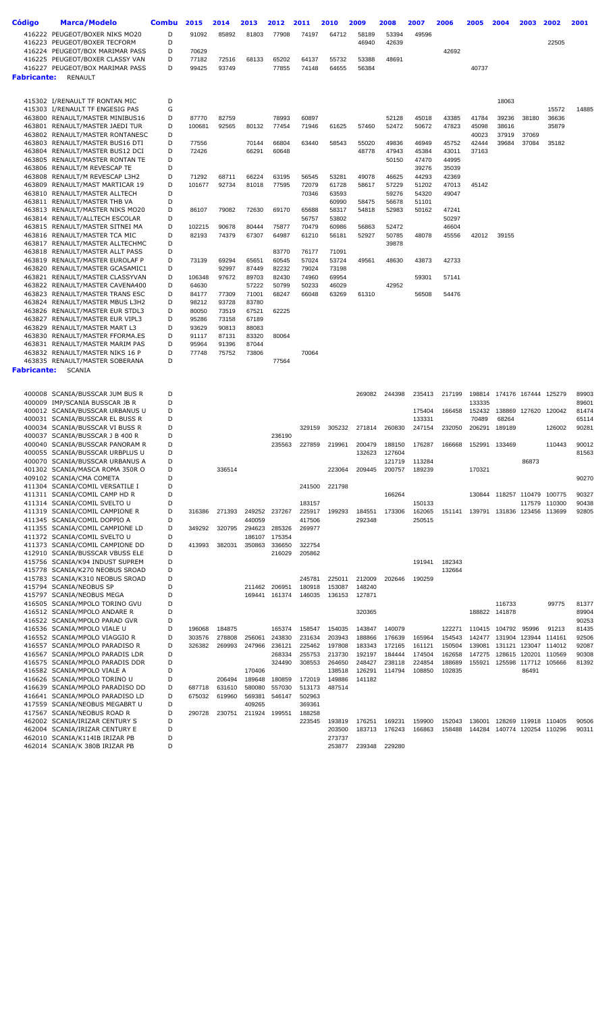| <b>Código</b>      | <b>Marca/Modelo</b>                                                | Combu  | 2015           | 2014   | 2013           | 2012             | 2011             | 2010             | 2009             | 2008             | 2007             | 2006             | 2005             | 2004            | 2003          | 2002                                  | 2001           |
|--------------------|--------------------------------------------------------------------|--------|----------------|--------|----------------|------------------|------------------|------------------|------------------|------------------|------------------|------------------|------------------|-----------------|---------------|---------------------------------------|----------------|
|                    |                                                                    |        |                |        |                |                  |                  |                  |                  |                  |                  |                  |                  |                 |               |                                       |                |
|                    | 416222 PEUGEOT/BOXER NIKS MO20<br>416223 PEUGEOT/BOXER TECFORM     | D<br>D | 91092          | 85892  | 81803          | 77908            | 74197            | 64712            | 58189<br>46940   | 53394<br>42639   | 49596            |                  |                  |                 |               | 22505                                 |                |
|                    | 416224 PEUGEOT/BOX MARIMAR PASS                                    | D      | 70629          |        |                |                  |                  |                  |                  |                  |                  | 42692            |                  |                 |               |                                       |                |
|                    | 416225 PEUGEOT/BOXER CLASSY VAN                                    | D      | 77182          | 72516  | 68133          | 65202            | 64137            | 55732            | 53388            | 48691            |                  |                  |                  |                 |               |                                       |                |
|                    | 416227 PEUGEOT/BOX MARIMAR PASS                                    | D      | 99425          | 93749  |                | 77855            | 74148            | 64655            | 56384            |                  |                  |                  | 40737            |                 |               |                                       |                |
| <b>Fabricante:</b> | <b>RENAULT</b>                                                     |        |                |        |                |                  |                  |                  |                  |                  |                  |                  |                  |                 |               |                                       |                |
|                    |                                                                    |        |                |        |                |                  |                  |                  |                  |                  |                  |                  |                  |                 |               |                                       |                |
|                    |                                                                    |        |                |        |                |                  |                  |                  |                  |                  |                  |                  |                  |                 |               |                                       |                |
|                    | 415302 I/RENAULT TF RONTAN MIC                                     | D<br>G |                |        |                |                  |                  |                  |                  |                  |                  |                  |                  | 18063           |               | 15572                                 | 14885          |
|                    | 415303 I/RENAULT TF ENGESIG PAS<br>463800 RENAULT/MASTER MINIBUS16 | D      | 87770          | 82759  |                | 78993            | 60897            |                  |                  | 52128            | 45018            | 43385            | 41784            | 39236           | 38180         | 36636                                 |                |
|                    | 463801 RENAULT/MASTER JAEDI TUR                                    | D      | 100681         | 92565  | 80132          | 77454            | 71946            | 61625            | 57460            | 52472            | 50672            | 47823            | 45098            | 38616           |               | 35879                                 |                |
|                    | 463802 RENAULT/MASTER RONTANESC                                    | D      |                |        |                |                  |                  |                  |                  |                  |                  |                  | 40023            | 37919           | 37069         |                                       |                |
|                    | 463803 RENAULT/MASTER BUS16 DTI                                    | D      | 77556          |        | 70144          | 66804            | 63440            | 58543            | 55020            | 49836            | 46949            | 45752            | 42444            | 39684           | 37084         | 35182                                 |                |
|                    | 463804 RENAULT/MASTER BUS12 DCI                                    | D      | 72426          |        | 66291          | 60648            |                  |                  | 48778            | 47943            | 45384            | 43011            | 37163            |                 |               |                                       |                |
|                    | 463805 RENAULT/MASTER RONTAN TE                                    | D      |                |        |                |                  |                  |                  |                  | 50150            | 47470            | 44995            |                  |                 |               |                                       |                |
|                    | 463806 RENAULT/M REVESCAP TE                                       | D      |                |        |                |                  |                  |                  |                  |                  | 39276            | 35039            |                  |                 |               |                                       |                |
|                    | 463808 RENAULT/M REVESCAP L3H2                                     | D      | 71292          | 68711  | 66224          | 63195            | 56545            | 53281            | 49078            | 46625            | 44293            | 42369            |                  |                 |               |                                       |                |
|                    | 463809 RENAULT/MAST MARTICAR 19                                    | D      | 101677         | 92734  | 81018          | 77595            | 72079            | 61728            | 58617            | 57229            | 51202            | 47013            | 45142            |                 |               |                                       |                |
|                    | 463810 RENAULT/MASTER ALLTECH<br>463811 RENAULT/MASTER THB VA      | D<br>D |                |        |                |                  | 70346            | 63593            |                  | 59276            | 54320<br>51101   | 49047            |                  |                 |               |                                       |                |
|                    | 463813 RENAULT/MASTER NIKS MO20                                    | D      | 86107          | 79082  | 72630          | 69170            | 65688            | 60990<br>58317   | 58475<br>54818   | 56678<br>52983   | 50162            | 47241            |                  |                 |               |                                       |                |
|                    | 463814 RENAULT/ALLTECH ESCOLAR                                     | D      |                |        |                |                  | 56757            | 53802            |                  |                  |                  | 50297            |                  |                 |               |                                       |                |
|                    | 463815 RENAULT/MASTER SITNEI MA                                    | D      | 102215         | 90678  | 80444          | 75877            | 70479            | 60986            | 56863            | 52472            |                  | 46604            |                  |                 |               |                                       |                |
|                    | 463816 RENAULT/MASTER TCA MIC                                      | D      | 82193          | 74379  | 67307          | 64987            | 61210            | 56181            | 52927            | 50785            | 48078            | 45556            | 42012            | 39155           |               |                                       |                |
|                    | 463817 RENAULT/MASTER ALLTECHMC                                    | D      |                |        |                |                  |                  |                  |                  | 39878            |                  |                  |                  |                 |               |                                       |                |
|                    | 463818 RENAULT/MASTER ALLT PASS                                    | D      |                |        |                | 83770            | 76177            | 71091            |                  |                  |                  |                  |                  |                 |               |                                       |                |
|                    | 463819 RENAULT/MASTER EUROLAF P                                    | D      | 73139          | 69294  | 65651          | 60545            | 57024            | 53724            | 49561            | 48630            | 43873            | 42733            |                  |                 |               |                                       |                |
|                    | 463820 RENAULT/MASTER GCASAMIC1                                    | D      |                | 92997  | 87449          | 82232            | 79024            | 73198            |                  |                  |                  |                  |                  |                 |               |                                       |                |
|                    | 463821 RENAULT/MASTER CLASSYVAN                                    | D      | 106348         | 97672  | 89703          | 82430            | 74960            | 69954            |                  |                  | 59301            | 57141            |                  |                 |               |                                       |                |
|                    | 463822 RENAULT/MASTER CAVENA400<br>463823 RENAULT/MASTER TRANS ESC | D<br>D | 64630<br>84177 | 77309  | 57222<br>71001 | 50799<br>68247   | 50233<br>66048   | 46029<br>63269   | 61310            | 42952            | 56508            | 54476            |                  |                 |               |                                       |                |
|                    | 463824 RENAULT/MASTER MBUS L3H2                                    | D      | 98212          | 93728  | 83780          |                  |                  |                  |                  |                  |                  |                  |                  |                 |               |                                       |                |
|                    | 463826 RENAULT/MASTER EUR STDL3                                    | D      | 80050          | 73519  | 67521          | 62225            |                  |                  |                  |                  |                  |                  |                  |                 |               |                                       |                |
|                    | 463827 RENAULT/MASTER EUR VIPL3                                    | D      | 95286          | 73158  | 67189          |                  |                  |                  |                  |                  |                  |                  |                  |                 |               |                                       |                |
|                    | 463829 RENAULT/MASTER MART L3                                      | D      | 93629          | 90813  | 88083          |                  |                  |                  |                  |                  |                  |                  |                  |                 |               |                                       |                |
|                    | 463830 RENAULT/MASTER FFORMA.ES                                    | D      | 91117          | 87131  | 83320          | 80064            |                  |                  |                  |                  |                  |                  |                  |                 |               |                                       |                |
|                    | 463831 RENAULT/MASTER MARIM PAS                                    | D      | 95964          | 91396  | 87044          |                  |                  |                  |                  |                  |                  |                  |                  |                 |               |                                       |                |
|                    | 463832 RENAULT/MASTER NIKS 16 P                                    | D<br>D | 77748          | 75752  | 73806          |                  | 70064            |                  |                  |                  |                  |                  |                  |                 |               |                                       |                |
|                    | 463835 RENAULT/MASTER SOBERANA                                     |        |                |        |                | 77564            |                  |                  |                  |                  |                  |                  |                  |                 |               |                                       |                |
| <b>Fabricante:</b> | <b>SCANIA</b>                                                      |        |                |        |                |                  |                  |                  |                  |                  |                  |                  |                  |                 |               |                                       |                |
|                    |                                                                    |        |                |        |                |                  |                  |                  |                  |                  |                  |                  |                  |                 |               |                                       |                |
|                    | 400008 SCANIA/BUSSCAR JUM BUS R                                    | D      |                |        |                |                  |                  |                  | 269082           | 244398           | 235413           | 217199           | 198814           |                 | 174176 167444 | 125279                                | 89903          |
|                    | 400009 IMP/SCANIA BUSSCAR JB R                                     | D      |                |        |                |                  |                  |                  |                  |                  |                  |                  | 133335           |                 |               |                                       | 89601          |
|                    | 400012 SCANIA/BUSSCAR URBANUS U                                    | D      |                |        |                |                  |                  |                  |                  |                  | 175404           | 166458           | 152432           | 138869          | 127620        | 120042                                | 81474          |
|                    | 400031 SCANIA/BUSSCAR EL BUSS R<br>400034 SCANIA/BUSSCAR VI BUSS R | D<br>D |                |        |                |                  | 329159           | 305232           | 271814           | 260830           | 133331<br>247154 | 232050           | 70489<br>206291  | 68264<br>189189 |               | 126002                                | 65114<br>90281 |
|                    | 400037 SCANIA/BUSSCAR J B 400 R                                    | D      |                |        |                | 236190           |                  |                  |                  |                  |                  |                  |                  |                 |               |                                       |                |
|                    | 400040 SCANIA/BUSSCAR PANORAM R                                    | D      |                |        |                | 235563           | 227859           | 219961           | 200479           | 188150           | 176287           | 166668           | 152991           | 133469          |               | 110443                                | 90012          |
|                    | 400055 SCANIA/BUSSCAR URBPLUS U                                    | D      |                |        |                |                  |                  |                  | 132623           | 127604           |                  |                  |                  |                 |               |                                       | 81563          |
|                    | 400070 SCANIA/BUSSCAR URBANUS A                                    | D      |                |        |                |                  |                  |                  |                  | 121719           | 113284           |                  |                  |                 | 86873         |                                       |                |
|                    | 401302 SCANIA/MASCA ROMA 350R O                                    | D      |                | 336514 |                |                  |                  | 223064           | 209445           | 200757           | 189239           |                  | 170321           |                 |               |                                       |                |
|                    | 409102 SCANIA/CMA COMETA                                           | D      |                |        |                |                  |                  |                  |                  |                  |                  |                  |                  |                 |               |                                       | 90270          |
|                    | 411304 SCANIA/COMIL VERSATILE I                                    | D      |                |        |                |                  | 241500           | 221798           |                  |                  |                  |                  |                  |                 |               |                                       |                |
|                    | 411311 SCANIA/COMIL CAMP HD R<br>411314 SCANIA/COMIL SVELTO U      | D<br>D |                |        |                |                  | 183157           |                  |                  | 166264           | 150133           |                  | 130844           |                 |               | 118257 110479 100775<br>117579 110300 | 90327<br>90438 |
|                    | 411319 SCANIA/COMIL CAMPIONE R                                     | D      | 316386         | 271393 |                | 249252 237267    | 225917           | 199293           | 184551           | 173306           | 162065           | 151141           | 139791           |                 |               | 131836 123456 113699                  | 92805          |
|                    | 411345 SCANIA/COMIL DOPPIO A                                       | D      |                |        | 440059         |                  | 417506           |                  | 292348           |                  | 250515           |                  |                  |                 |               |                                       |                |
|                    | 411355 SCANIA/COMIL CAMPIONE LD                                    | D      | 349292         | 320795 | 294623         | 285326           | 269977           |                  |                  |                  |                  |                  |                  |                 |               |                                       |                |
|                    | 411372 SCANIA/COMIL SVELTO U                                       | D      |                |        | 186107         | 175354           |                  |                  |                  |                  |                  |                  |                  |                 |               |                                       |                |
|                    | 411373 SCANIA/COMIL CAMPIONE DD                                    | D      | 413993         | 382031 | 350863         | 336650           | 322754           |                  |                  |                  |                  |                  |                  |                 |               |                                       |                |
|                    | 412910 SCANIA/BUSSCAR VBUSS ELE                                    | D      |                |        |                | 216029           | 205862           |                  |                  |                  |                  |                  |                  |                 |               |                                       |                |
|                    | 415756 SCANIA/K94 INDUST SUPREM                                    | D      |                |        |                |                  |                  |                  |                  |                  | 191941           | 182343           |                  |                 |               |                                       |                |
|                    | 415778 SCANIA/K270 NEOBUS SROAD                                    | D<br>D |                |        |                |                  |                  |                  |                  |                  |                  | 132664           |                  |                 |               |                                       |                |
|                    | 415783 SCANIA/K310 NEOBUS SROAD<br>415794 SCANIA/NEOBUS SP         | D      |                |        | 211462         | 206951           | 245781<br>180918 | 225011<br>153087 | 212009<br>148240 | 202646           | 190259           |                  |                  |                 |               |                                       |                |
|                    | 415797 SCANIA/NEOBUS MEGA                                          | D      |                |        | 169441         | 161374           | 146035           | 136153           | 127871           |                  |                  |                  |                  |                 |               |                                       |                |
|                    | 416505 SCANIA/MPOLO TORINO GVU                                     | D      |                |        |                |                  |                  |                  |                  |                  |                  |                  |                  | 116733          |               | 99775                                 | 81377          |
|                    | 416512 SCANIA/MPOLO ANDARE R                                       | D      |                |        |                |                  |                  |                  | 320365           |                  |                  |                  |                  | 188822 141878   |               |                                       | 89904          |
|                    | 416522 SCANIA/MPOLO PARAD GVR                                      | D      |                |        |                |                  |                  |                  |                  |                  |                  |                  |                  |                 |               |                                       | 90253          |
|                    | 416536 SCANIA/MPOLO VIALE U                                        | D      | 196068         | 184875 |                | 165374           | 158547           | 154035           | 143847           | 140079           |                  | 122271           | 110415           | 104792          | 95996         | 91213                                 | 81435          |
|                    | 416552 SCANIA/MPOLO VIAGGIO R                                      | D      | 303576         | 278808 | 256061         | 243830           | 231634           | 203943           | 188866           | 176639           | 165964           | 154543           | 142477           | 131904          |               | 123944 114161                         | 92506          |
|                    | 416557 SCANIA/MPOLO PARADISO R                                     | D      | 326382         | 269993 | 247966         | 236121           | 225462           | 197808           | 183343           | 172165           | 161121           | 150504           | 139081           | 131121          |               | 123047 114012                         | 92087          |
|                    | 416567 SCANIA/MPOLO PARADIS LDR<br>416575 SCANIA/MPOLO PARADIS DDR | D<br>D |                |        |                | 268334<br>324490 | 255753<br>308553 | 213730<br>264650 | 192197<br>248427 | 184444<br>238118 | 174504<br>224854 | 162658<br>188689 | 147275<br>155921 | 125598          | 117712        | 128615 120201 110569<br>105666        | 90308<br>81392 |
|                    | 416582 SCANIA/MPOLO VIALE A                                        | D      |                |        | 170406         |                  |                  | 138518           | 126291           | 114794           | 108850           | 102835           |                  |                 | 86491         |                                       |                |
|                    | 416626 SCANIA/MPOLO TORINO U                                       | D      |                | 206494 | 189648         | 180859           | 172019           | 149886           | 141182           |                  |                  |                  |                  |                 |               |                                       |                |
|                    | 416639 SCANIA/MPOLO PARADISO DD                                    | D      | 687718         | 631610 | 580080         | 557030           | 513173           | 487514           |                  |                  |                  |                  |                  |                 |               |                                       |                |
|                    | 416641 SCANIA/MPOLO PARADISO LD                                    | D      | 675032         | 619960 | 569381         | 546147           | 502963           |                  |                  |                  |                  |                  |                  |                 |               |                                       |                |
|                    | 417559 SCANIA/NEOBUS MEGABRT U                                     | D      |                |        | 409265         |                  | 369361           |                  |                  |                  |                  |                  |                  |                 |               |                                       |                |
|                    | 417567 SCANIA/NEOBUS ROAD R                                        | D      | 290728         | 230751 | 211924         | 199551           | 188258           |                  |                  |                  |                  |                  |                  |                 |               |                                       |                |
|                    | 462002 SCANIA/IRIZAR CENTURY S                                     | D      |                |        |                |                  | 223545           | 193819           | 176251           | 169231           | 159900           | 152043           | 136001           | 128269          | 119918        | 110405                                | 90506          |
|                    | 462004 SCANIA/IRIZAR CENTURY E<br>462010 SCANIA/K114IB IRIZAR PB   | D<br>D |                |        |                |                  |                  | 203500<br>273737 | 183713           | 176243           | 166863           | 158488           | 144284           |                 |               | 140774 120254 110296                  | 90311          |
|                    | 462014 SCANIA/K 380B IRIZAR PB                                     | D      |                |        |                |                  |                  | 253877           |                  | 239348 229280    |                  |                  |                  |                 |               |                                       |                |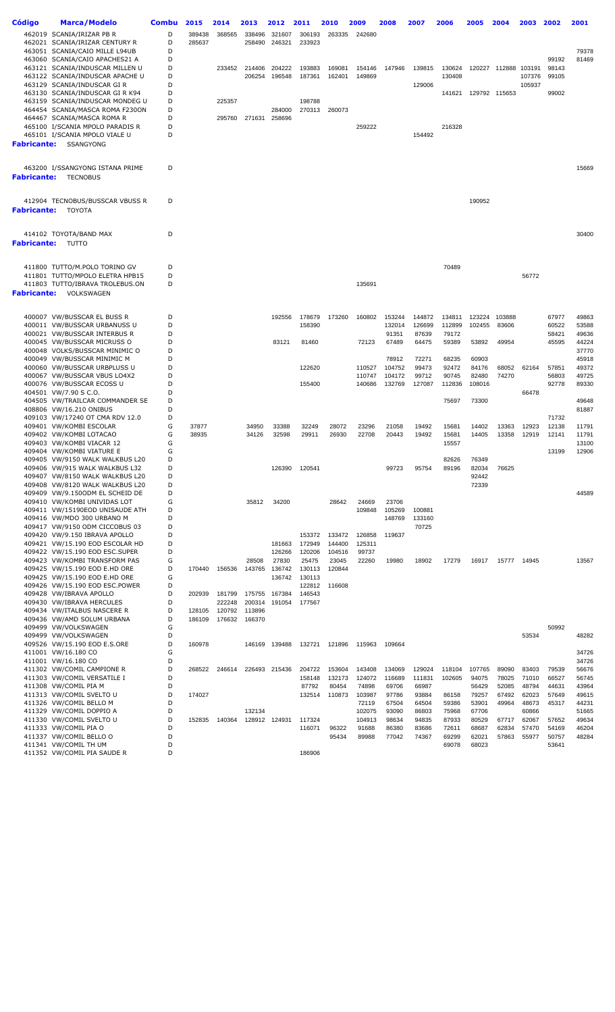| Código      | Marca/Modelo                                                       | <b>Combu</b> | 2015   | 2014             | 2013             | 2012            | 2011             | 2010             | 2009             | 2008             | 2007             | 2006             | 2005             | 2004                 | 2003           | 2002           | 2001           |
|-------------|--------------------------------------------------------------------|--------------|--------|------------------|------------------|-----------------|------------------|------------------|------------------|------------------|------------------|------------------|------------------|----------------------|----------------|----------------|----------------|
|             | 462019 SCANIA/IRIZAR PB R                                          | D            | 389438 | 368565           | 338496           | 321607          | 306193           | 263335           | 242680           |                  |                  |                  |                  |                      |                |                |                |
|             | 462021 SCANIA/IRIZAR CENTURY R                                     | D            | 285637 |                  | 258490           | 246321          | 233923           |                  |                  |                  |                  |                  |                  |                      |                |                |                |
|             | 463051 SCANIA/CAIO MILLE L94UB                                     | D            |        |                  |                  |                 |                  |                  |                  |                  |                  |                  |                  |                      |                |                | 79378          |
|             | 463060 SCANIA/CAIO APACHES21 A                                     | D<br>D       |        |                  | 214406           | 204222          |                  |                  |                  |                  |                  |                  |                  | 120227 112888 103191 |                | 99192          | 81469          |
|             | 463121 SCANIA/INDUSCAR MILLEN U<br>463122 SCANIA/INDUSCAR APACHE U | D            |        | 233452           | 206254           | 196548          | 193883<br>187361 | 169081<br>162401 | 154146<br>149869 | 147946           | 139815           | 130624<br>130408 |                  |                      | 107376         | 98143<br>99105 |                |
|             | 463129 SCANIA/INDUSCAR GIR                                         | D            |        |                  |                  |                 |                  |                  |                  |                  | 129006           |                  |                  |                      | 105937         |                |                |
|             | 463130 SCANIA/INDUSCAR GIRK94                                      | D            |        |                  |                  |                 |                  |                  |                  |                  |                  | 141621           |                  | 129792 115653        |                | 99002          |                |
|             | 463159 SCANIA/INDUSCAR MONDEG U                                    | D            |        | 225357           |                  |                 | 198788           |                  |                  |                  |                  |                  |                  |                      |                |                |                |
|             | 464454 SCANIA/MASCA ROMA F230ON                                    | D            |        |                  |                  | 284000          | 270313           | 260073           |                  |                  |                  |                  |                  |                      |                |                |                |
|             | 464467 SCANIA/MASCA ROMA R<br>465100 I/SCANIA MPOLO PARADIS R      | D<br>D       |        | 295760           | 271631           | 258696          |                  |                  | 259222           |                  |                  | 216328           |                  |                      |                |                |                |
|             | 465101 I/SCANIA MPOLO VIALE U                                      | D            |        |                  |                  |                 |                  |                  |                  |                  | 154492           |                  |                  |                      |                |                |                |
| Fabricante: | SSANGYONG                                                          |              |        |                  |                  |                 |                  |                  |                  |                  |                  |                  |                  |                      |                |                |                |
|             |                                                                    |              |        |                  |                  |                 |                  |                  |                  |                  |                  |                  |                  |                      |                |                |                |
|             | 463200 I/SSANGYONG ISTANA PRIME                                    | D            |        |                  |                  |                 |                  |                  |                  |                  |                  |                  |                  |                      |                |                | 15669          |
| Fabricante: | <b>TECNOBUS</b>                                                    |              |        |                  |                  |                 |                  |                  |                  |                  |                  |                  |                  |                      |                |                |                |
|             |                                                                    |              |        |                  |                  |                 |                  |                  |                  |                  |                  |                  |                  |                      |                |                |                |
|             | 412904 TECNOBUS/BUSSCAR VBUSS R                                    | D            |        |                  |                  |                 |                  |                  |                  |                  |                  |                  | 190952           |                      |                |                |                |
| Fabricante: | TOYOTA                                                             |              |        |                  |                  |                 |                  |                  |                  |                  |                  |                  |                  |                      |                |                |                |
|             |                                                                    |              |        |                  |                  |                 |                  |                  |                  |                  |                  |                  |                  |                      |                |                |                |
|             |                                                                    |              |        |                  |                  |                 |                  |                  |                  |                  |                  |                  |                  |                      |                |                |                |
| Fabricante: | 414102 TOYOTA/BAND MAX<br>TUTTO                                    | D            |        |                  |                  |                 |                  |                  |                  |                  |                  |                  |                  |                      |                |                | 30400          |
|             |                                                                    |              |        |                  |                  |                 |                  |                  |                  |                  |                  |                  |                  |                      |                |                |                |
|             |                                                                    |              |        |                  |                  |                 |                  |                  |                  |                  |                  |                  |                  |                      |                |                |                |
|             | 411800 TUTTO/M.POLO TORINO GV                                      | D            |        |                  |                  |                 |                  |                  |                  |                  |                  | 70489            |                  |                      |                |                |                |
|             | 411801 TUTTO/MPOLO ELETRA HPB15<br>411803 TUTTO/IBRAVA TROLEBUS.ON | D<br>D       |        |                  |                  |                 |                  |                  | 135691           |                  |                  |                  |                  |                      | 56772          |                |                |
| Fabricante: | VOLKSWAGEN                                                         |              |        |                  |                  |                 |                  |                  |                  |                  |                  |                  |                  |                      |                |                |                |
|             |                                                                    |              |        |                  |                  |                 |                  |                  |                  |                  |                  |                  |                  |                      |                |                |                |
|             |                                                                    |              |        |                  |                  |                 |                  |                  |                  |                  |                  |                  |                  |                      |                |                |                |
|             | 400007 VW/BUSSCAR EL BUSS R<br>400011 VW/BUSSCAR URBANUSS U        | D<br>D       |        |                  |                  | 192556          | 178679<br>158390 | 173260           | 160802           | 153244<br>132014 | 144872<br>126699 | 134811<br>112899 | 123224<br>102455 | 103888<br>83606      |                | 67977<br>60522 | 49863<br>53588 |
|             | 400021 VW/BUSSCAR INTERBUS R                                       | D            |        |                  |                  |                 |                  |                  |                  | 91351            | 87639            | 79172            |                  |                      |                | 58421          | 49636          |
|             | 400045 VW/BUSSCAR MICRUSS O                                        | D            |        |                  |                  | 83121           | 81460            |                  | 72123            | 67489            | 64475            | 59389            | 53892            | 49954                |                | 45595          | 44224          |
|             | 400048 VOLKS/BUSSCAR MINIMIC O                                     | D            |        |                  |                  |                 |                  |                  |                  |                  |                  |                  |                  |                      |                |                | 37770          |
|             | 400049 VW/BUSSCAR MINIMIC M                                        | D            |        |                  |                  |                 |                  |                  |                  | 78912            | 72271            | 68235            | 60903            |                      |                |                | 45918          |
|             | 400060 VW/BUSSCAR URBPLUSS U<br>400067 VW/BUSSCAR VBUS LO4X2       | D<br>D       |        |                  |                  |                 | 122620           |                  | 110527<br>110747 | 104752<br>104172 | 99473<br>99712   | 92472<br>90745   | 84176<br>82480   | 68052<br>74270       | 62164          | 57851<br>56803 | 49372<br>49725 |
|             | 400076 VW/BUSSCAR ECOSS U                                          | D            |        |                  |                  |                 | 155400           |                  | 140686           | 132769           | 127087           | 112836           | 108016           |                      |                | 92778          | 89330          |
|             | 404501 VW/7.90 S C.O.                                              | D            |        |                  |                  |                 |                  |                  |                  |                  |                  |                  |                  |                      | 66478          |                |                |
|             | 404505 VW/TRAILCAR COMMANDER SE                                    | D            |        |                  |                  |                 |                  |                  |                  |                  |                  | 75697            | 73300            |                      |                |                | 49648          |
|             | 408806 VW/16.210 ONIBUS                                            | D<br>D       |        |                  |                  |                 |                  |                  |                  |                  |                  |                  |                  |                      |                |                | 81887          |
|             | 409103 VW/17240 OT CMA RDV 12.0<br>409401 VW/KOMBI ESCOLAR         | G            | 37877  |                  | 34950            | 33388           | 32249            | 28072            | 23296            | 21058            | 19492            | 15681            | 14402            | 13363                | 12923          | 71732<br>12138 | 11791          |
|             | 409402 VW/KOMBI LOTACAO                                            | G            | 38935  |                  | 34126            | 32598           | 29911            | 26930            | 22708            | 20443            | 19492            | 15681            | 14405            | 13358                | 12919          | 12141          | 11791          |
|             | 409403 VW/KOMBI VIACAR 12                                          | G            |        |                  |                  |                 |                  |                  |                  |                  |                  | 15557            |                  |                      |                |                | 13100          |
|             | 409404 VW/KOMBI VIATURE E                                          | G            |        |                  |                  |                 |                  |                  |                  |                  |                  |                  |                  |                      |                | 13199          | 12906          |
|             | 409405 VW/9150 WALK WALKBUS L20<br>409406 VW/915 WALK WALKBUS L32  | D<br>D       |        |                  |                  | 126390          | 120541           |                  |                  | 99723            | 95754            | 82626<br>89196   | 76349<br>82034   | 76625                |                |                |                |
|             | 409407 VW/8150 WALK WALKBUS L20                                    | D            |        |                  |                  |                 |                  |                  |                  |                  |                  |                  | 92442            |                      |                |                |                |
|             | 409408 VW/8120 WALK WALKBUS L20                                    | D            |        |                  |                  |                 |                  |                  |                  |                  |                  |                  | 72339            |                      |                |                |                |
|             | 409409 VW/9.1500DM EL SCHEID DE                                    | D            |        |                  |                  |                 |                  |                  |                  |                  |                  |                  |                  |                      |                |                | 44589          |
|             | 409410 VW/KOMBI UNIVIDAS LOT                                       | G            |        |                  | 35812            | 34200           |                  | 28642            | 24669            | 23706            |                  |                  |                  |                      |                |                |                |
|             | 409411 VW/15190EOD UNISAUDE ATH<br>409416 VW/MDO 300 URBANO M      | D<br>D       |        |                  |                  |                 |                  |                  | 109848           | 105269<br>148769 | 100881<br>133160 |                  |                  |                      |                |                |                |
|             | 409417 VW/9150 ODM CICCOBUS 03                                     | D            |        |                  |                  |                 |                  |                  |                  |                  | 70725            |                  |                  |                      |                |                |                |
|             | 409420 VW/9.150 IBRAVA APOLLO                                      | D            |        |                  |                  |                 | 153372           | 133472           | 126858           | 119637           |                  |                  |                  |                      |                |                |                |
|             | 409421 VW/15.190 EOD ESCOLAR HD                                    | D            |        |                  |                  | 181663          | 172949           | 144400           | 125311           |                  |                  |                  |                  |                      |                |                |                |
|             | 409422 VW/15.190 EOD ESC.SUPER<br>409423 VW/KOMBI TRANSFORM PAS    | D<br>G       |        |                  | 28508            | 126266<br>27830 | 120206<br>25475  | 104516<br>23045  | 99737<br>22260   | 19980            | 18902            | 17279            | 16917            | 15777 14945          |                |                | 13567          |
|             | 409425 VW/15.190 EOD E.HD ORE                                      | D            | 170440 | 156536           | 143765           | 136742          | 130113           | 120844           |                  |                  |                  |                  |                  |                      |                |                |                |
|             | 409425 VW/15.190 EOD E.HD ORE                                      | G            |        |                  |                  | 136742          | 130113           |                  |                  |                  |                  |                  |                  |                      |                |                |                |
|             | 409426 VW/15.190 EOD ESC.POWER                                     | D            |        |                  |                  |                 | 122812           | 116608           |                  |                  |                  |                  |                  |                      |                |                |                |
|             | 409428 VW/IBRAVA APOLLO                                            | D<br>D       | 202939 | 181799           | 175755           | 167384          | 146543           |                  |                  |                  |                  |                  |                  |                      |                |                |                |
|             | 409430 VW/IBRAVA HERCULES<br>409434 VW/ITALBUS NASCERE R           | D            | 128105 | 222248<br>120792 | 200314<br>113896 | 191054          | 177567           |                  |                  |                  |                  |                  |                  |                      |                |                |                |
|             | 409436 VW/AMD SOLUM URBANA                                         | D            | 186109 | 176632           | 166370           |                 |                  |                  |                  |                  |                  |                  |                  |                      |                |                |                |
|             | 409499 VW/VOLKSWAGEN                                               | G            |        |                  |                  |                 |                  |                  |                  |                  |                  |                  |                  |                      |                | 50992          |                |
|             | 409499 VW/VOLKSWAGEN                                               | D            |        |                  |                  |                 |                  |                  |                  |                  |                  |                  |                  |                      | 53534          |                | 48282          |
|             | 409526 VW/15.190 EOD E.S.ORE                                       | D            | 160978 |                  | 146169           | 139488          | 132721           | 121896           | 115963           | 109664           |                  |                  |                  |                      |                |                |                |
|             | 411001 VW/16.180 CO<br>411001 VW/16.180 CO                         | G<br>D       |        |                  |                  |                 |                  |                  |                  |                  |                  |                  |                  |                      |                |                | 34726<br>34726 |
|             | 411302 VW/COMIL CAMPIONE R                                         | D            | 268522 | 246614           |                  | 226493 215436   | 204722           | 153604           | 143408           | 134069           | 129024           | 118104           | 107765           | 89090                | 83403          | 79539          | 56676          |
|             | 411303 VW/COMIL VERSATILE I                                        | D            |        |                  |                  |                 | 158148           | 132173           | 124072           | 116689           | 111831           | 102605           | 94075            | 78025                | 71010          | 66527          | 56745          |
|             | 411308 VW/COMIL PIA M                                              | D            |        |                  |                  |                 | 87792            | 80454            | 74898            | 69706            | 66987            |                  | 56429            | 52085                | 48794          | 44631          | 43964          |
|             | 411313 VW/COMIL SVELTO U                                           | D<br>D       | 174027 |                  |                  |                 | 132514           | 110873           | 103987<br>72119  | 97786<br>67504   | 93884<br>64504   | 86158<br>59386   | 79257<br>53901   | 67492<br>49964       | 62023<br>48673 | 57649<br>45317 | 49615<br>44231 |
|             | 411326 VW/COMIL BELLO M<br>411329 VW/COMIL DOPPIO A                | D            |        |                  | 132134           |                 |                  |                  | 102075           | 93090            | 86803            | 75968            | 67706            |                      | 60866          |                | 51665          |
|             | 411330 VW/COMIL SVELTO U                                           | D            | 152835 | 140364           |                  | 128912 124931   | 117324           |                  | 104913           | 98634            | 94835            | 87933            | 80529            | 67717                | 62067          | 57652          | 49634          |
|             | 411333 VW/COMIL PIA O                                              | D            |        |                  |                  |                 | 116071           | 96322            | 91688            | 86380            | 83686            | 72611            | 68687            | 62834                | 57470          | 54169          | 46204          |
|             | 411337 VW/COMIL BELLO O                                            | D            |        |                  |                  |                 |                  | 95434            | 89988            | 77042            | 74367            | 69299            | 62021            | 57863                | 55977          | 50757          | 48284          |
|             | 411341 VW/COMIL TH UM<br>411352 VW/COMIL PIA SAUDE R               | D<br>D       |        |                  |                  |                 | 186906           |                  |                  |                  |                  | 69078            | 68023            |                      |                | 53641          |                |
|             |                                                                    |              |        |                  |                  |                 |                  |                  |                  |                  |                  |                  |                  |                      |                |                |                |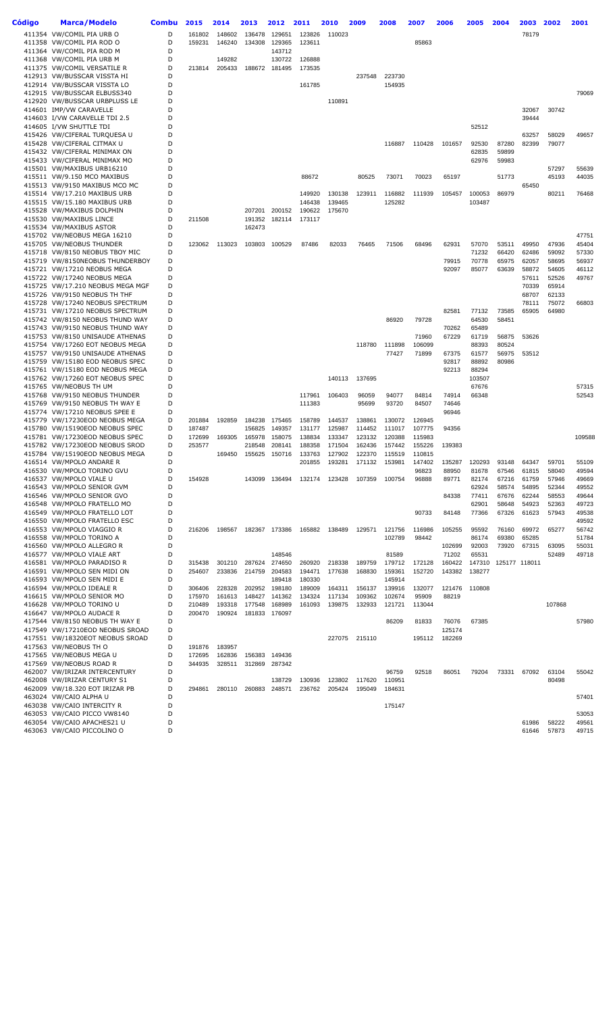| Código | <b>Marca/Modelo</b>                                                | <b>Combu</b> | 2015   | 2014             | 2013             | 2012             | 2011             | 2010             | 2009             | 2008             | 2007             | 2006             | 2005           | 2004           | 2003           | 2002           | 2001           |
|--------|--------------------------------------------------------------------|--------------|--------|------------------|------------------|------------------|------------------|------------------|------------------|------------------|------------------|------------------|----------------|----------------|----------------|----------------|----------------|
|        | 411354 VW/COMIL PIA URB O                                          | D            | 161802 | 148602           | 136478           | 129651           | 123826           | 110023           |                  |                  |                  |                  |                |                | 78179          |                |                |
|        | 411358 VW/COMIL PIA ROD O                                          | D            | 159231 | 146240           | 134308           | 129365           | 123611           |                  |                  |                  | 85863            |                  |                |                |                |                |                |
|        | 411364 VW/COMIL PIA ROD M                                          | D            |        |                  |                  | 143712           |                  |                  |                  |                  |                  |                  |                |                |                |                |                |
|        | 411368 VW/COMIL PIA URB M<br>411375 VW/COMIL VERSATILE R           | D<br>D       | 213814 | 149282<br>205433 | 188672           | 130722<br>181495 | 126888<br>173535 |                  |                  |                  |                  |                  |                |                |                |                |                |
|        | 412913 VW/BUSSCAR VISSTA HI                                        | D            |        |                  |                  |                  |                  |                  | 237548           | 223730           |                  |                  |                |                |                |                |                |
|        | 412914 VW/BUSSCAR VISSTA LO                                        | D            |        |                  |                  |                  | 161785           |                  |                  | 154935           |                  |                  |                |                |                |                |                |
|        | 412915 VW/BUSSCAR ELBUSS340                                        | D            |        |                  |                  |                  |                  |                  |                  |                  |                  |                  |                |                |                |                | 79069          |
|        | 412920 VW/BUSSCAR URBPLUSS LE                                      | D            |        |                  |                  |                  |                  | 110891           |                  |                  |                  |                  |                |                |                |                |                |
|        | 414601 IMP/VW CARAVELLE                                            | D            |        |                  |                  |                  |                  |                  |                  |                  |                  |                  |                |                | 32067          | 30742          |                |
|        | 414603 I/VW CARAVELLE TDI 2.5                                      | D            |        |                  |                  |                  |                  |                  |                  |                  |                  |                  |                |                | 39444          |                |                |
|        | 414605 I/VW SHUTTLE TDI                                            | D            |        |                  |                  |                  |                  |                  |                  |                  |                  |                  | 52512          |                |                |                |                |
|        | 415426 VW/CIFERAL TURQUESA U                                       | D            |        |                  |                  |                  |                  |                  |                  |                  |                  |                  |                |                | 63257          | 58029          | 49657          |
|        | 415428 VW/CIFERAL CITMAX U                                         | D            |        |                  |                  |                  |                  |                  |                  | 116887           | 110428           | 101657           | 92530          | 87280          | 82399          | 79077          |                |
|        | 415432 VW/CIFERAL MINIMAX ON                                       | D<br>D       |        |                  |                  |                  |                  |                  |                  |                  |                  |                  | 62835          | 59899          |                |                |                |
|        | 415433 VW/CIFERAL MINIMAX MO<br>415501 VW/MAXIBUS URB16210         | D            |        |                  |                  |                  |                  |                  |                  |                  |                  |                  | 62976          | 59983          |                | 57297          | 55639          |
|        | 415511 VW/9.150 MCO MAXIBUS                                        | D            |        |                  |                  |                  | 88672            |                  | 80525            | 73071            | 70023            | 65197            |                | 51773          |                | 45193          | 44035          |
|        | 415513 VW/9150 MAXIBUS MCO MC                                      | D            |        |                  |                  |                  |                  |                  |                  |                  |                  |                  |                |                | 65450          |                |                |
|        | 415514 VW/17.210 MAXIBUS URB                                       | D            |        |                  |                  |                  | 149920           | 130138           | 123911           | 116882           | 111939           | 105457           | 100053         | 86979          |                | 80211          | 76468          |
|        | 415515 VW/15.180 MAXIBUS URB                                       | D            |        |                  |                  |                  | 146438           | 139465           |                  | 125282           |                  |                  | 103487         |                |                |                |                |
|        | 415528 VW/MAXIBUS DOLPHIN                                          | D            |        |                  | 207201           | 200152           | 190622           | 175670           |                  |                  |                  |                  |                |                |                |                |                |
|        | 415530 VW/MAXIBUS LINCE                                            | D            | 211508 |                  | 191352           | 182114           | 173117           |                  |                  |                  |                  |                  |                |                |                |                |                |
|        | 415534 VW/MAXIBUS ASTOR                                            | D            |        |                  | 162473           |                  |                  |                  |                  |                  |                  |                  |                |                |                |                |                |
|        | 415702 VW/NEOBUS MEGA 16210                                        | D            |        |                  |                  |                  |                  |                  |                  |                  |                  |                  |                |                |                |                | 47751          |
|        | 415705 VW/NEOBUS THUNDER                                           | D            | 123062 | 113023           | 103803           | 100529           | 87486            | 82033            | 76465            | 71506            | 68496            | 62931            | 57070          | 53511          | 49950          | 47936          | 45404          |
|        | 415718 VW/8150 NEOBUS TBOY MIC                                     | D<br>D       |        |                  |                  |                  |                  |                  |                  |                  |                  |                  | 71232<br>70778 | 66420<br>65975 | 62486<br>62057 | 59092<br>58695 | 57330          |
|        | 415719 VW/8150NEOBUS THUNDERBOY<br>415721 VW/17210 NEOBUS MEGA     | D            |        |                  |                  |                  |                  |                  |                  |                  |                  | 79915<br>92097   | 85077          | 63639          | 58872          | 54605          | 56937<br>46112 |
|        | 415722 VW/17240 NEOBUS MEGA                                        | D            |        |                  |                  |                  |                  |                  |                  |                  |                  |                  |                |                | 57611          | 52526          | 49767          |
|        | 415725 VW/17.210 NEOBUS MEGA MGF                                   | D            |        |                  |                  |                  |                  |                  |                  |                  |                  |                  |                |                | 70339          | 65914          |                |
|        | 415726 VW/9150 NEOBUS TH THF                                       | D            |        |                  |                  |                  |                  |                  |                  |                  |                  |                  |                |                | 68707          | 62133          |                |
|        | 415728 VW/17240 NEOBUS SPECTRUM                                    | D            |        |                  |                  |                  |                  |                  |                  |                  |                  |                  |                |                | 78111          | 75072          | 66803          |
|        | 415731 VW/17210 NEOBUS SPECTRUM                                    | D            |        |                  |                  |                  |                  |                  |                  |                  |                  | 82581            | 77132          | 73585          | 65905          | 64980          |                |
|        | 415742 VW/8150 NEOBUS THUND WAY                                    | D            |        |                  |                  |                  |                  |                  |                  | 86920            | 79728            |                  | 64530          | 58451          |                |                |                |
|        | 415743 VW/9150 NEOBUS THUND WAY                                    | D            |        |                  |                  |                  |                  |                  |                  |                  |                  | 70262            | 65489          |                |                |                |                |
|        | 415753 VW/8150 UNISAUDE ATHENAS                                    | D            |        |                  |                  |                  |                  |                  |                  |                  | 71960            | 67229            | 61719          | 56875          | 53626          |                |                |
|        | 415754 VW/17260 EOT NEOBUS MEGA                                    | D<br>D       |        |                  |                  |                  |                  |                  | 118780           | 111898<br>77427  | 106099<br>71899  |                  | 88393          | 80524          | 53512          |                |                |
|        | 415757 VW/9150 UNISAUDE ATHENAS<br>415759 VW/15180 EOD NEOBUS SPEC | D            |        |                  |                  |                  |                  |                  |                  |                  |                  | 67375<br>92817   | 61577<br>88892 | 56975<br>80986 |                |                |                |
|        | 415761 VW/15180 EOD NEOBUS MEGA                                    | D            |        |                  |                  |                  |                  |                  |                  |                  |                  | 92213            | 88294          |                |                |                |                |
|        | 415762 VW/17260 EOT NEOBUS SPEC                                    | D            |        |                  |                  |                  |                  | 140113           | 137695           |                  |                  |                  | 103507         |                |                |                |                |
|        | 415765 VW/NEOBUS TH UM                                             | D            |        |                  |                  |                  |                  |                  |                  |                  |                  |                  | 67676          |                |                |                | 57315          |
|        | 415768 VW/9150 NEOBUS THUNDER                                      | D            |        |                  |                  |                  | 117961           | 106403           | 96059            | 94077            | 84814            | 74914            | 66348          |                |                |                | 52543          |
|        | 415769 VW/9150 NEOBUS TH WAY E                                     | D            |        |                  |                  |                  | 111383           |                  | 95699            | 93720            | 84507            | 74646            |                |                |                |                |                |
|        | 415774 VW/17210 NEOBUS SPEE E                                      | D            |        |                  |                  |                  |                  |                  |                  |                  |                  | 96946            |                |                |                |                |                |
|        | 415779 VW/17230EOD NEOBUS MEGA                                     | D            | 201884 | 192859           | 184238           | 175465           | 158789           | 144537           | 138861           | 130072           | 126945           |                  |                |                |                |                |                |
|        | 415780 VW/15190EOD NEOBUS SPEC                                     | D            | 187487 |                  | 156825           | 149357           | 131177           | 125987           | 114452           | 111017           | 107775           | 94356            |                |                |                |                |                |
|        | 415781 VW/17230EOD NEOBUS SPEC                                     | D            | 172699 | 169305           | 165978           | 158075           | 138834           | 133347           | 123132           | 120388           | 115983           |                  |                |                |                |                | 109588         |
|        | 415782 VW/17230EOD NEOBUS SROD<br>415784 VW/15190EOD NEOBUS MEGA   | D<br>D       | 253577 | 169450           | 218548<br>155625 | 208141<br>150716 | 188358<br>133763 | 171504<br>127902 | 162436<br>122370 | 157442<br>115519 | 155226<br>110815 | 139383           |                |                |                |                |                |
|        | 416514 VW/MPOLO ANDARE R                                           | D            |        |                  |                  |                  | 201855           | 193281           | 171132           | 153981           | 147402           | 135287           | 120293         | 93148          | 64347          | 59701          | 55109          |
|        | 416530 VW/MPOLO TORINO GVU                                         | D            |        |                  |                  |                  |                  |                  |                  |                  | 96823            | 88950            | 81678          | 67546          | 61815          | 58040          | 49594          |
|        | 416537 VW/MPOLO VIALE U                                            | D            | 154928 |                  | 143099           | 136494           | 132174           | 123428           | 107359           | 100754           | 96888            | 89771            | 82174          | 67216          | 61759          | 57946          | 49669          |
|        | 416543 VW/MPOLO SENIOR GVM                                         | D            |        |                  |                  |                  |                  |                  |                  |                  |                  |                  | 62924          | 58574          | 54895          | 52344          | 49552          |
|        | 416546 VW/MPOLO SENIOR GVO                                         | D            |        |                  |                  |                  |                  |                  |                  |                  |                  | 84338            | 77411          | 67676          | 62244          | 58553          | 49644          |
|        | 416548 VW/MPOLO FRATELLO MO                                        | D            |        |                  |                  |                  |                  |                  |                  |                  |                  |                  | 62901          | 58648          | 54923          | 52363          | 49723          |
|        | 416549 VW/MPOLO FRATELLO LOT                                       | D            |        |                  |                  |                  |                  |                  |                  |                  | 90733            | 84148            | 77366          | 67326          | 61623          | 57943          | 49538          |
|        | 416550 VW/MPOLO FRATELLO ESC<br>416553 VW/MPOLO VIAGGIO R          | D<br>D       |        |                  |                  | 182367 173386    |                  |                  |                  |                  |                  |                  |                |                |                |                | 49592          |
|        | 416558 VW/MPOLO TORINO A                                           | D            | 216206 | 198567           |                  |                  | 165882           | 138489           | 129571           | 121756<br>102789 | 116986<br>98442  | 105255           | 95592<br>86174 | 76160<br>69380 | 69972<br>65285 | 65277          | 56742<br>51784 |
|        | 416560 VW/MPOLO ALLEGRO R                                          | D            |        |                  |                  |                  |                  |                  |                  |                  |                  | 102699           | 92003          | 73920          | 67315          | 63095          | 55031          |
|        | 416577 VW/MPOLO VIALE ART                                          | D            |        |                  |                  | 148546           |                  |                  |                  | 81589            |                  | 71202            | 65531          |                |                | 52489          | 49718          |
|        | 416581 VW/MPOLO PARADISO R                                         | D            | 315438 | 301210           | 287624           | 274650           | 260920           | 218338           | 189759           | 179712           | 172128           | 160422           | 147310         |                | 125177 118011  |                |                |
|        | 416591 VW/MPOLO SEN MIDI ON                                        | D            | 254607 | 233836           |                  | 214759 204583    | 194471           | 177638           | 168830           | 159361           | 152720           | 143382           | 138277         |                |                |                |                |
|        | 416593 VW/MPOLO SEN MIDI E                                         | D            |        |                  |                  | 189418           | 180330           |                  |                  | 145914           |                  |                  |                |                |                |                |                |
|        | 416594 VW/MPOLO IDEALE R                                           | D            | 306406 | 228328           | 202952           | 198180           | 189009           | 164311           | 156137           | 139916           | 132077           | 121476           | 110808         |                |                |                |                |
|        | 416615 VW/MPOLO SENIOR MO                                          | D            | 175970 | 161613           | 148427           | 141362           | 134324           | 117134           | 109362           | 102674           | 95909            | 88219            |                |                |                |                |                |
|        | 416628 VW/MPOLO TORINO U                                           | D            | 210489 | 193318           | 177548           | 168989           | 161093           | 139875           | 132933           | 121721           | 113044           |                  |                |                |                | 107868         |                |
|        | 416647 VW/MPOLO AUDACE R                                           | D            | 200470 | 190924           | 181833           | 176097           |                  |                  |                  |                  |                  |                  |                |                |                |                |                |
|        | 417544 VW/8150 NEOBUS TH WAY E                                     | D<br>D       |        |                  |                  |                  |                  |                  |                  | 86209            | 81833            | 76076            | 67385          |                |                |                | 57980          |
|        | 417549 VW/17210EOD NEOBUS SROAD<br>417551 VW/18320EOT NEOBUS SROAD | D            |        |                  |                  |                  |                  |                  | 227075 215110    |                  | 195112           | 125174<br>182269 |                |                |                |                |                |
|        | 417563 VW/NEOBUS TH O                                              | D            | 191876 | 183957           |                  |                  |                  |                  |                  |                  |                  |                  |                |                |                |                |                |
|        | 417565 VW/NEOBUS MEGA U                                            | D            | 172695 | 162836           |                  | 156383 149436    |                  |                  |                  |                  |                  |                  |                |                |                |                |                |
|        | 417569 VW/NEOBUS ROAD R                                            | D            | 344935 | 328511           |                  | 312869 287342    |                  |                  |                  |                  |                  |                  |                |                |                |                |                |
|        | 462007 VW/IRIZAR INTERCENTURY                                      | D            |        |                  |                  |                  |                  |                  |                  | 96759            | 92518            | 86051            | 79204          | 73331          | 67092          | 63104          | 55042          |
|        | 462008 VW/IRIZAR CENTURY S1                                        | D            |        |                  |                  | 138729           | 130936           | 123802           | 117620           | 110951           |                  |                  |                |                |                | 80498          |                |
|        | 462009 VW/18.320 EOT IRIZAR PB                                     | D            | 294861 | 280110           |                  | 260883 248571    | 236762           | 205424           | 195049           | 184631           |                  |                  |                |                |                |                |                |
|        | 463024 VW/CAIO ALPHA U                                             | D            |        |                  |                  |                  |                  |                  |                  |                  |                  |                  |                |                |                |                | 57401          |
|        | 463038 VW/CAIO INTERCITY R                                         | D            |        |                  |                  |                  |                  |                  |                  | 175147           |                  |                  |                |                |                |                |                |
|        | 463053 VW/CAIO PICCO VW8140                                        | D            |        |                  |                  |                  |                  |                  |                  |                  |                  |                  |                |                |                |                | 53053          |
|        | 463054 VW/CAIO APACHES21 U<br>463063 VW/CAIO PICCOLINO O           | D<br>D       |        |                  |                  |                  |                  |                  |                  |                  |                  |                  |                |                | 61986<br>61646 | 58222<br>57873 | 49561<br>49715 |
|        |                                                                    |              |        |                  |                  |                  |                  |                  |                  |                  |                  |                  |                |                |                |                |                |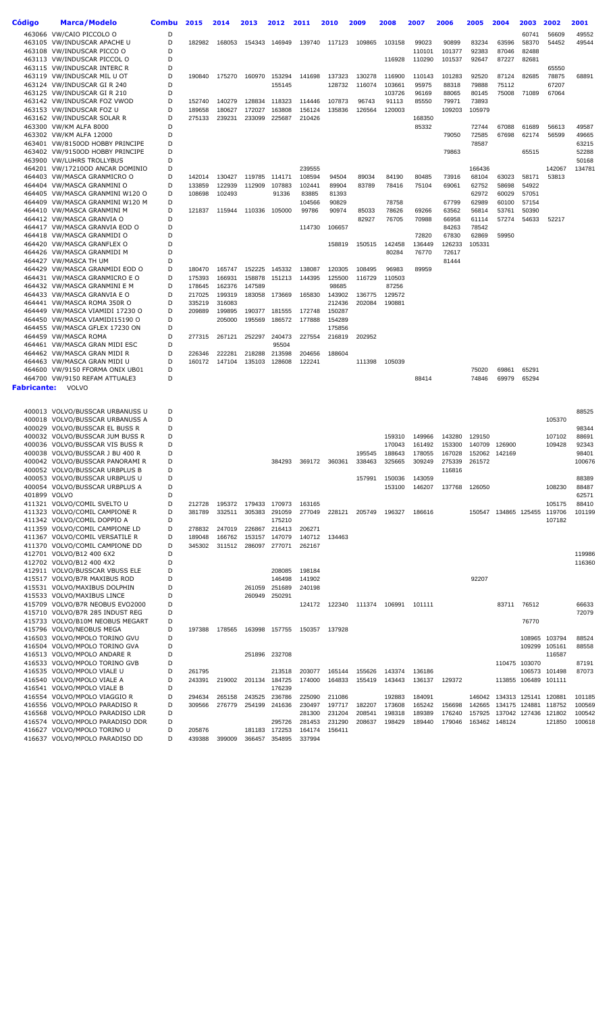| Código       | <b>Marca/Modelo</b>                                                | <b>Combu</b> | 2015             | 2014             | 2013             | 2012                    | 2011             | 2010             | 2009             | 2008             | 2007             | 2006            | 2005           | 2004                        | 2003           | 2002                 | 2001             |
|--------------|--------------------------------------------------------------------|--------------|------------------|------------------|------------------|-------------------------|------------------|------------------|------------------|------------------|------------------|-----------------|----------------|-----------------------------|----------------|----------------------|------------------|
|              | 463066 VW/CAIO PICCOLO O                                           | D            |                  |                  |                  |                         |                  |                  |                  |                  |                  |                 |                |                             | 60741          | 56609                | 49552            |
|              | 463105 VW/INDUSCAR APACHE U                                        | D            | 182982           | 168053           | 154343           | 146949                  | 139740           | 117123           | 109865           | 103158           | 99023            | 90899           | 83234          | 63596                       | 58370          | 54452                | 49544            |
|              | 463108 VW/INDUSCAR PICCO O                                         | D            |                  |                  |                  |                         |                  |                  |                  |                  | 110101           | 101377          | 92383          | 87046                       | 82488          |                      |                  |
|              | 463113 VW/INDUSCAR PICCOL O<br>463115 VW/INDUSCAR INTERC R         | D<br>D       |                  |                  |                  |                         |                  |                  |                  | 116928           | 110290           | 101537          | 92647          | 87227                       | 82681          | 65550                |                  |
|              | 463119 VW/INDUSCAR MIL U OT                                        | D            | 190840           | 175270           | 160970           | 153294                  | 141698           | 137323           | 130278           | 116900           | 110143           | 101283          | 92520          | 87124                       | 82685          | 78875                | 68891            |
|              | 463124 VW/INDUSCAR GI R 240                                        | D            |                  |                  |                  | 155145                  |                  | 128732           | 116074           | 103661           | 95975            | 88318           | 79888          | 75112                       |                | 67207                |                  |
|              | 463125 VW/INDUSCAR GI R 210                                        | D            |                  |                  |                  |                         |                  |                  |                  | 103726           | 96169            | 88065           | 80145          | 75008                       | 71089          | 67064                |                  |
|              | 463142 VW/INDUSCAR FOZ VWOD                                        | D<br>D       | 152740           | 140279           | 128834           | 118323                  | 114446           | 107873           | 96743            | 91113            | 85550            | 79971           | 73893          |                             |                |                      |                  |
|              | 463153 VW/INDUSCAR FOZ U<br>463162 VW/INDUSCAR SOLAR R             | D            | 189658<br>275133 | 180627<br>239231 | 172027<br>233099 | 163808<br>225687        | 156124<br>210426 | 135836           | 126564           | 120003           | 168350           | 109203          | 105979         |                             |                |                      |                  |
|              | 463300 VW/KM ALFA 8000                                             | D            |                  |                  |                  |                         |                  |                  |                  |                  | 85332            |                 | 72744          | 67088                       | 61689          | 56613                | 49587            |
|              | 463302 VW/KM ALFA 12000                                            | D            |                  |                  |                  |                         |                  |                  |                  |                  |                  | 79050           | 72585          | 67698                       | 62174          | 56599                | 49665            |
|              | 463401 VW/8150OD HOBBY PRINCIPE                                    | D            |                  |                  |                  |                         |                  |                  |                  |                  |                  |                 | 78587          |                             |                |                      | 63215            |
|              | 463402 VW/9150OD HOBBY PRINCIPE<br>463900 VW/LUHRS TROLLYBUS       | D<br>D       |                  |                  |                  |                         |                  |                  |                  |                  |                  | 79863           |                |                             | 65515          |                      | 52288<br>50168   |
|              | 464201 VW/17210OD ANCAR DOMINIO                                    | D            |                  |                  |                  |                         | 239555           |                  |                  |                  |                  |                 | 166436         |                             |                | 142067               | 134781           |
|              | 464403 VW/MASCA GRANMICRO O                                        | D            | 142014           | 130427           | 119785           | 114171                  | 108594           | 94504            | 89034            | 84190            | 80485            | 73916           | 68104          | 63023                       | 58171          | 53813                |                  |
|              | 464404 VW/MASCA GRANMINI O                                         | D            | 133859           | 122939           | 112909           | 107883                  | 102441           | 89904            | 83789            | 78416            | 75104            | 69061           | 62752          | 58698                       | 54922          |                      |                  |
|              | 464405 VW/MASCA GRANMINI W120 O                                    | D<br>D       | 108698           | 102493           |                  | 91336                   | 83885            | 81393            |                  |                  |                  |                 | 62972          | 60029                       | 57051          |                      |                  |
|              | 464409 VW/MASCA GRANMINI W120 M<br>464410 VW/MASCA GRANMINI M      | D            | 121837           | 115944           | 110336           | 105000                  | 104566<br>99786  | 90829<br>90974   | 85033            | 78758<br>78626   | 69266            | 67799<br>63562  | 62989<br>56814 | 60100<br>53761              | 57154<br>50390 |                      |                  |
|              | 464412 VW/MASCA GRANVIA O                                          | D            |                  |                  |                  |                         |                  |                  | 82927            | 76705            | 70988            | 66958           | 61114          | 57274                       | 54633          | 52217                |                  |
|              | 464417 VW/MASCA GRANVIA EOD O                                      | D            |                  |                  |                  |                         | 114730           | 106657           |                  |                  |                  | 84263           | 78542          |                             |                |                      |                  |
|              | 464418 VW/MASCA GRANMIDI O                                         | D            |                  |                  |                  |                         |                  |                  |                  |                  | 72820            | 67830           | 62869          | 59950                       |                |                      |                  |
|              | 464420 VW/MASCA GRANFLEX O<br>464426 VW/MASCA GRANMIDI M           | D<br>D       |                  |                  |                  |                         |                  | 158819           | 150515           | 142458<br>80284  | 136449<br>76770  | 126233<br>72617 | 105331         |                             |                |                      |                  |
|              | 464427 VW/MASCA TH UM                                              | D            |                  |                  |                  |                         |                  |                  |                  |                  |                  | 81444           |                |                             |                |                      |                  |
|              | 464429 VW/MASCA GRANMIDI EOD O                                     | D            | 180470           | 165747           | 152225           | 145332                  | 138087           | 120305           | 108495           | 96983            | 89959            |                 |                |                             |                |                      |                  |
|              | 464431 VW/MASCA GRANMICRO E O                                      | D            | 175393           | 166931           | 158878           | 151213                  | 144395           | 125500           | 116729           | 110503           |                  |                 |                |                             |                |                      |                  |
|              | 464432 VW/MASCA GRANMINI E M                                       | D            | 178645           | 162376           | 147589           |                         |                  | 98685            |                  | 87256            |                  |                 |                |                             |                |                      |                  |
|              | 464433 VW/MASCA GRANVIA E O<br>464441 VW/MASCA ROMA 350R O         | D<br>D       | 217025<br>335219 | 199319<br>316083 | 183058           | 173669                  | 165830           | 143902<br>212436 | 136775<br>202084 | 129572<br>190881 |                  |                 |                |                             |                |                      |                  |
|              | 464449 VW/MASCA VIAMIDI 17230 O                                    | D            | 209889           | 199895           | 190377           | 181555                  | 172748           | 150287           |                  |                  |                  |                 |                |                             |                |                      |                  |
|              | 464450 VW/MASCA VIAMIDI15190 O                                     | D            |                  | 205000           | 195569           | 186572                  | 177888           | 154289           |                  |                  |                  |                 |                |                             |                |                      |                  |
|              | 464455 VW/MASCA GFLEX 17230 ON                                     | D            |                  |                  |                  |                         |                  | 175856           |                  |                  |                  |                 |                |                             |                |                      |                  |
|              | 464459 VW/MASCA ROMA                                               | D<br>D       | 277315           | 267121           | 252297           | 240473                  | 227554           | 216819           | 202952           |                  |                  |                 |                |                             |                |                      |                  |
|              | 464461 VW/MASCA GRAN MIDI ESC<br>464462 VW/MASCA GRAN MIDI R       | D            | 226346           | 222281           | 218288           | 95504<br>213598         | 204656           | 188604           |                  |                  |                  |                 |                |                             |                |                      |                  |
|              | 464463 VW/MASCA GRAN MIDI U                                        | D            | 160172           | 147104           | 135103           | 128608                  | 122241           |                  | 111398           | 105039           |                  |                 |                |                             |                |                      |                  |
|              | 464600 VW/9150 FFORMA ONIX UB01                                    | D            |                  |                  |                  |                         |                  |                  |                  |                  |                  |                 | 75020          | 69861                       | 65291          |                      |                  |
|              | 464700 VW/9150 REFAM ATTUALE3                                      | D            |                  |                  |                  |                         |                  |                  |                  |                  | 88414            |                 | 74846          | 69979                       | 65294          |                      |                  |
| Fabricante:  | VOLVO                                                              |              |                  |                  |                  |                         |                  |                  |                  |                  |                  |                 |                |                             |                |                      |                  |
|              |                                                                    |              |                  |                  |                  |                         |                  |                  |                  |                  |                  |                 |                |                             |                |                      |                  |
|              | 400013 VOLVO/BUSSCAR URBANUSS U                                    | D            |                  |                  |                  |                         |                  |                  |                  |                  |                  |                 |                |                             |                |                      | 88525            |
|              | 400018 VOLVO/BUSSCAR URBANUSS A<br>400029 VOLVO/BUSSCAR EL BUSS R  | D<br>D       |                  |                  |                  |                         |                  |                  |                  |                  |                  |                 |                |                             |                | 105370               | 98344            |
|              | 400032 VOLVO/BUSSCAR JUM BUSS R                                    | D            |                  |                  |                  |                         |                  |                  |                  | 159310           | 149966           | 143280          | 129150         |                             |                | 107102               | 88691            |
|              | 400036 VOLVO/BUSSCAR VIS BUSS R                                    | D            |                  |                  |                  |                         |                  |                  |                  | 170043           | 161492           | 153300          | 140709         | 126900                      |                | 109428               | 92343            |
|              | 400038 VOLVO/BUSSCAR J BU 400 R                                    | D            |                  |                  |                  |                         |                  |                  | 195545           | 188643           | 178055           | 167028          | 152062         | 142169                      |                |                      | 98401            |
|              | 400042 VOLVO/BUSSCAR PANORAMI R<br>400052 VOLVO/BUSSCAR URBPLUS B  | D<br>D       |                  |                  |                  | 384293                  | 369172           | 360361           | 338463           | 325665           | 309249           | 275339          | 261572         |                             |                |                      | 100676           |
|              | 400053 VOLVO/BUSSCAR URBPLUS U                                     | D            |                  |                  |                  |                         |                  |                  | 157991           | 150036           | 143059           | 116816          |                |                             |                |                      | 88389            |
|              | 400054 VOLVO/BUSSCAR URBPLUS A                                     | D            |                  |                  |                  |                         |                  |                  |                  | 153100           | 146207           | 137768          | 126050         |                             |                | 108230               | 88487            |
| 401899 VOLVO |                                                                    | D            |                  |                  |                  |                         |                  |                  |                  |                  |                  |                 |                |                             |                |                      | 62571            |
|              | 411321 VOLVO/COMIL SVELTO U                                        | D            | 212728           | 195372           | 179433           | 170973                  | 163165           |                  |                  |                  |                  |                 |                |                             |                | 105175               | 88410            |
|              | 411323 VOLVO/COMIL CAMPIONE R<br>411342 VOLVO/COMIL DOPPIO A       | D<br>D       | 381789           | 332511           |                  | 305383 291059<br>175210 | 277049           | 228121           | 205749           | 196327           | 186616           |                 |                | 150547 134865 125455 119706 |                | 107182               | 101199           |
|              | 411359 VOLVO/COMIL CAMPIONE LD                                     | D            | 278832           | 247019           | 226867           | 216413                  | 206271           |                  |                  |                  |                  |                 |                |                             |                |                      |                  |
|              | 411367 VOLVO/COMIL VERSATILE R                                     | D            | 189048           | 166762           |                  | 153157 147079           | 140712           | 134463           |                  |                  |                  |                 |                |                             |                |                      |                  |
|              | 411370 VOLVO/COMIL CAMPIONE DD                                     | D            | 345302           | 311512           |                  | 286097 277071           | 262167           |                  |                  |                  |                  |                 |                |                             |                |                      |                  |
|              | 412701 VOLVO/B12 400 6X2                                           | D<br>D       |                  |                  |                  |                         |                  |                  |                  |                  |                  |                 |                |                             |                |                      | 119986           |
|              | 412702 VOLVO/B12 400 4X2<br>412911 VOLVO/BUSSCAR VBUSS ELE         | D            |                  |                  |                  | 208085                  | 198184           |                  |                  |                  |                  |                 |                |                             |                |                      | 116360           |
|              | 415517 VOLVO/B7R MAXIBUS ROD                                       | D            |                  |                  |                  | 146498                  | 141902           |                  |                  |                  |                  |                 | 92207          |                             |                |                      |                  |
|              | 415531 VOLVO/MAXIBUS DOLPHIN                                       | D            |                  |                  | 261059           | 251689                  | 240198           |                  |                  |                  |                  |                 |                |                             |                |                      |                  |
|              | 415533 VOLVO/MAXIBUS LINCE                                         | D            |                  |                  | 260949           | 250291                  |                  |                  |                  |                  |                  |                 |                |                             |                |                      |                  |
|              | 415709 VOLVO/B7R NEOBUS EVO2000<br>415710 VOLVO/B7R 285 INDUST REG | D<br>D       |                  |                  |                  |                         | 124172           | 122340           | 111374           | 106991           | 101111           |                 |                | 83711                       | 76512          |                      | 66633<br>72079   |
|              | 415733 VOLVO/B10M NEOBUS MEGART                                    | D            |                  |                  |                  |                         |                  |                  |                  |                  |                  |                 |                |                             | 76770          |                      |                  |
|              | 415796 VOLVO/NEOBUS MEGA                                           | D            | 197388           | 178565           | 163998           | 157755                  | 150357           | 137928           |                  |                  |                  |                 |                |                             |                |                      |                  |
|              | 416503 VOLVO/MPOLO TORINO GVU                                      | D            |                  |                  |                  |                         |                  |                  |                  |                  |                  |                 |                |                             |                | 108965 103794        | 88524            |
|              | 416504 VOLVO/MPOLO TORINO GVA                                      | D<br>D       |                  |                  |                  |                         |                  |                  |                  |                  |                  |                 |                |                             |                | 109299 105161        | 88558            |
|              | 416513 VOLVO/MPOLO ANDARE R<br>416533 VOLVO/MPOLO TORINO GVB       | D            |                  |                  |                  | 251896 232708           |                  |                  |                  |                  |                  |                 |                |                             | 110475 103070  | 116587               | 87191            |
|              | 416535 VOLVO/MPOLO VIALE U                                         | D            | 261795           |                  |                  | 213518                  | 203077           | 165144           | 155626           | 143374           | 136186           |                 |                |                             | 106573         | 101498               | 87073            |
|              | 416540 VOLVO/MPOLO VIALE A                                         | D            | 243391           | 219002           |                  | 201134 184725           | 174000           | 164833           | 155419           | 143443           | 136137           | 129372          |                |                             |                | 113855 106489 101111 |                  |
|              | 416541 VOLVO/MPOLO VIALE B                                         | D            |                  |                  |                  | 176239                  |                  |                  |                  |                  |                  |                 |                |                             |                |                      |                  |
|              | 416554 VOLVO/MPOLO VIAGGIO R<br>416556 VOLVO/MPOLO PARADISO R      | D<br>D       | 294634<br>309566 | 265158<br>276779 | 243525<br>254199 | 236786<br>241636        | 225090<br>230497 | 211086<br>197717 | 182207           | 192883<br>173608 | 184091<br>165242 | 156698          | 142665         | 146042 134313 125141        | 134175 124881  | 120881<br>118752     | 101185<br>100569 |
|              | 416568 VOLVO/MPOLO PARADISO LDR                                    | D            |                  |                  |                  |                         | 281300           | 231204           | 208541           | 198318           | 189389           | 176240          | 157925         |                             | 137042 127436  | 121802               | 100542           |
|              | 416574 VOLVO/MPOLO PARADISO DDR                                    | D            |                  |                  |                  | 295726                  | 281453           | 231290           | 208637           | 198429           | 189440           | 179046          |                | 163462 148124               |                | 121850               | 100618           |
|              | 416627 VOLVO/MPOLO TORINO U                                        | D            | 205876           |                  | 181183           | 172253                  | 164174           | 156411           |                  |                  |                  |                 |                |                             |                |                      |                  |
|              | 416637 VOLVO/MPOLO PARADISO DD                                     | D            | 439388           | 399009           | 366457           | 354895                  | 337994           |                  |                  |                  |                  |                 |                |                             |                |                      |                  |